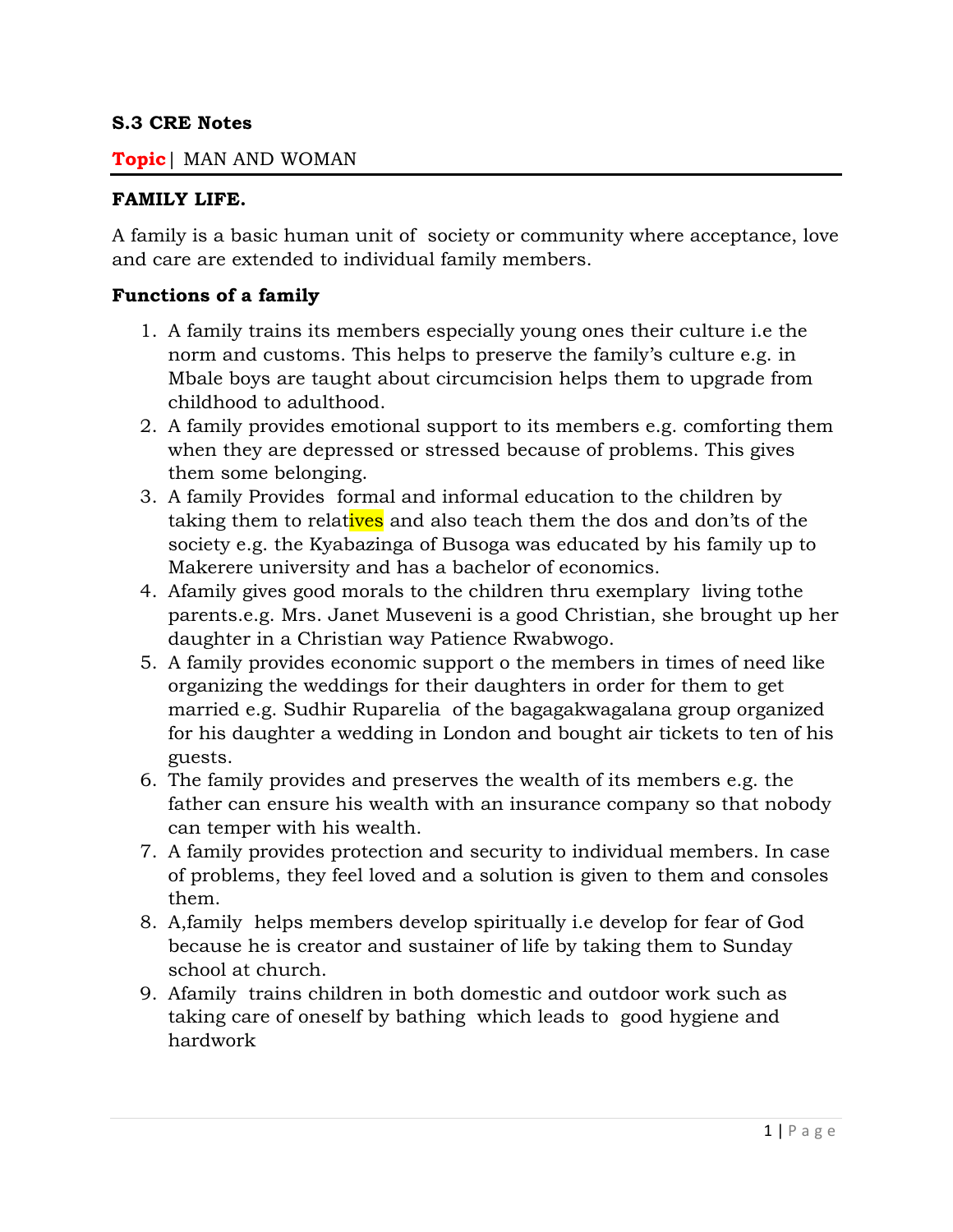#### **S.3 CRE Notes**

#### **Topic**| MAN AND WOMAN

#### **FAMILY LIFE.**

A family is a basic human unit of society or community where acceptance, love and care are extended to individual family members.

#### **Functions of a family**

- 1. A family trains its members especially young ones their culture i.e the norm and customs. This helps to preserve the family's culture e.g. in Mbale boys are taught about circumcision helps them to upgrade from childhood to adulthood.
- 2. A family provides emotional support to its members e.g. comforting them when they are depressed or stressed because of problems. This gives them some belonging.
- 3. A family Provides formal and informal education to the children by taking them to relatives and also teach them the dos and don'ts of the society e.g. the Kyabazinga of Busoga was educated by his family up to Makerere university and has a bachelor of economics.
- 4. Afamily gives good morals to the children thru exemplary living tothe parents.e.g. Mrs. Janet Museveni is a good Christian, she brought up her daughter in a Christian way Patience Rwabwogo.
- 5. A family provides economic support o the members in times of need like organizing the weddings for their daughters in order for them to get married e.g. Sudhir Ruparelia of the bagagakwagalana group organized for his daughter a wedding in London and bought air tickets to ten of his guests.
- 6. The family provides and preserves the wealth of its members e.g. the father can ensure his wealth with an insurance company so that nobody can temper with his wealth.
- 7. A family provides protection and security to individual members. In case of problems, they feel loved and a solution is given to them and consoles them.
- 8. A,family helps members develop spiritually i.e develop for fear of God because he is creator and sustainer of life by taking them to Sunday school at church.
- 9. Afamily trains children in both domestic and outdoor work such as taking care of oneself by bathing which leads to good hygiene and hardwork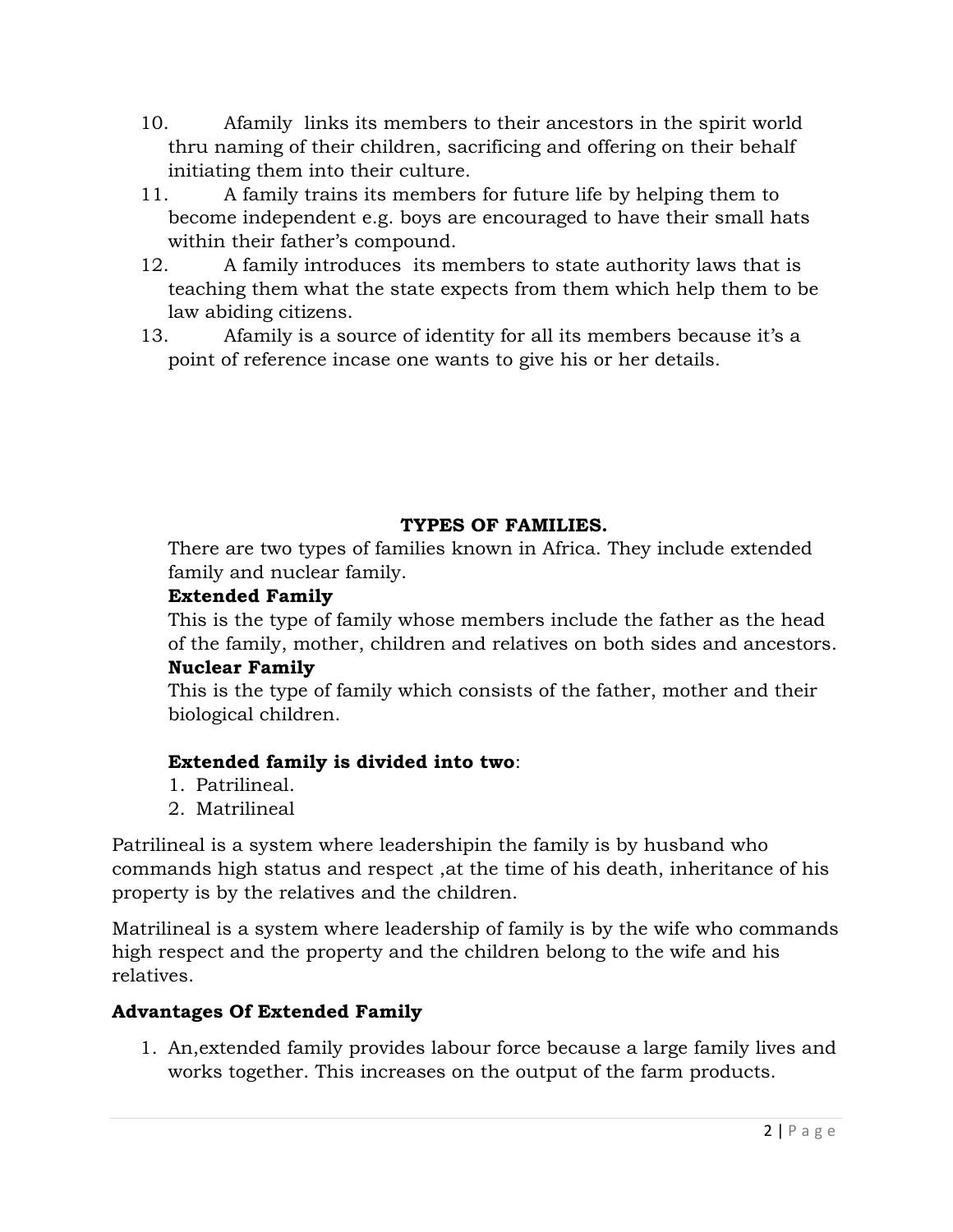- 10. Afamily links its members to their ancestors in the spirit world thru naming of their children, sacrificing and offering on their behalf initiating them into their culture.
- 11. A family trains its members for future life by helping them to become independent e.g. boys are encouraged to have their small hats within their father's compound.
- 12. A family introduces its members to state authority laws that is teaching them what the state expects from them which help them to be law abiding citizens.
- 13. Afamily is a source of identity for all its members because it's a point of reference incase one wants to give his or her details.

### **TYPES OF FAMILIES.**

There are two types of families known in Africa. They include extended family and nuclear family.

### **Extended Family**

This is the type of family whose members include the father as the head of the family, mother, children and relatives on both sides and ancestors.

### **Nuclear Family**

This is the type of family which consists of the father, mother and their biological children.

### **Extended family is divided into two**:

- 1. Patrilineal.
- 2. Matrilineal

Patrilineal is a system where leadershipin the family is by husband who commands high status and respect ,at the time of his death, inheritance of his property is by the relatives and the children.

Matrilineal is a system where leadership of family is by the wife who commands high respect and the property and the children belong to the wife and his relatives.

### **Advantages Of Extended Family**

1. An,extended family provides labour force because a large family lives and works together. This increases on the output of the farm products.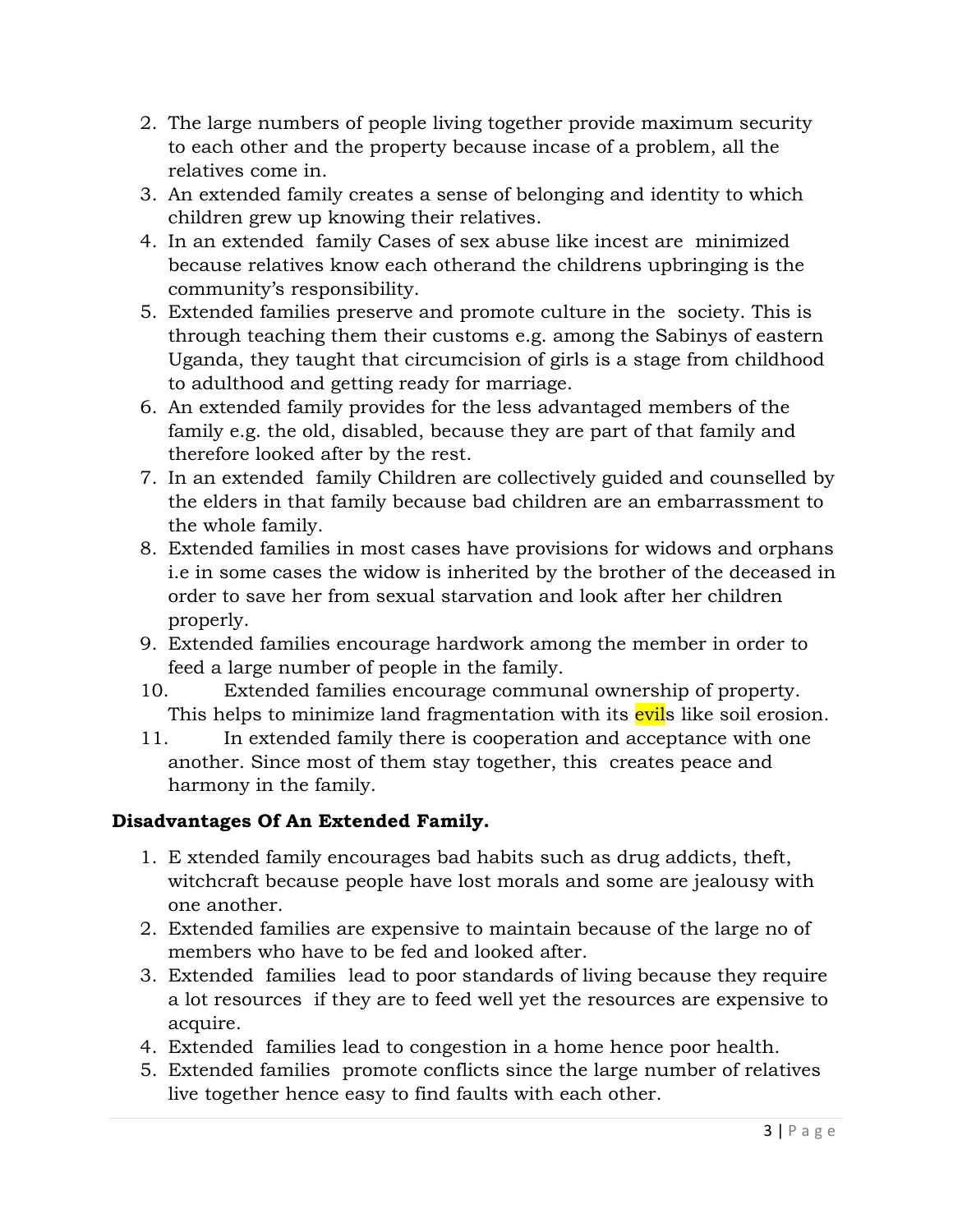- 2. The large numbers of people living together provide maximum security to each other and the property because incase of a problem, all the relatives come in.
- 3. An extended family creates a sense of belonging and identity to which children grew up knowing their relatives.
- 4. In an extended family Cases of sex abuse like incest are minimized because relatives know each otherand the childrens upbringing is the community's responsibility.
- 5. Extended families preserve and promote culture in the society. This is through teaching them their customs e.g. among the Sabinys of eastern Uganda, they taught that circumcision of girls is a stage from childhood to adulthood and getting ready for marriage.
- 6. An extended family provides for the less advantaged members of the family e.g. the old, disabled, because they are part of that family and therefore looked after by the rest.
- 7. In an extended family Children are collectively guided and counselled by the elders in that family because bad children are an embarrassment to the whole family.
- 8. Extended families in most cases have provisions for widows and orphans i.e in some cases the widow is inherited by the brother of the deceased in order to save her from sexual starvation and look after her children properly.
- 9. Extended families encourage hardwork among the member in order to feed a large number of people in the family.
- 10. Extended families encourage communal ownership of property. This helps to minimize land fragmentation with its evils like soil erosion.
- 11. In extended family there is cooperation and acceptance with one another. Since most of them stay together, this creates peace and harmony in the family.

# **Disadvantages Of An Extended Family.**

- 1. E xtended family encourages bad habits such as drug addicts, theft, witchcraft because people have lost morals and some are jealousy with one another.
- 2. Extended families are expensive to maintain because of the large no of members who have to be fed and looked after.
- 3. Extended families lead to poor standards of living because they require a lot resources if they are to feed well yet the resources are expensive to acquire.
- 4. Extended families lead to congestion in a home hence poor health.
- 5. Extended families promote conflicts since the large number of relatives live together hence easy to find faults with each other.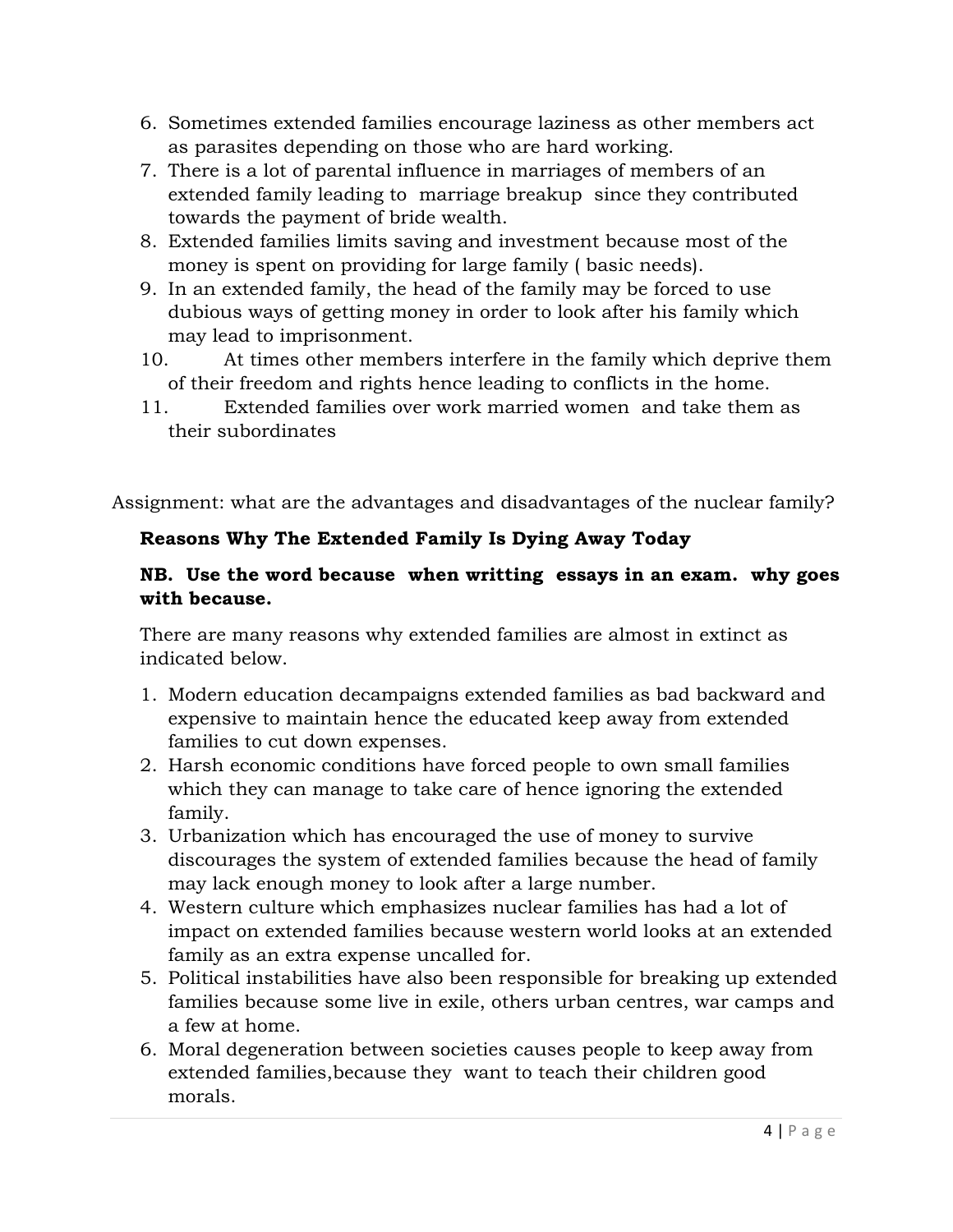- 6. Sometimes extended families encourage laziness as other members act as parasites depending on those who are hard working.
- 7. There is a lot of parental influence in marriages of members of an extended family leading to marriage breakup since they contributed towards the payment of bride wealth.
- 8. Extended families limits saving and investment because most of the money is spent on providing for large family ( basic needs).
- 9. In an extended family, the head of the family may be forced to use dubious ways of getting money in order to look after his family which may lead to imprisonment.
- 10. At times other members interfere in the family which deprive them of their freedom and rights hence leading to conflicts in the home.
- 11. Extended families over work married women and take them as their subordinates

Assignment: what are the advantages and disadvantages of the nuclear family?

# **Reasons Why The Extended Family Is Dying Away Today**

# **NB. Use the word because when writting essays in an exam. why goes with because.**

There are many reasons why extended families are almost in extinct as indicated below.

- 1. Modern education decampaigns extended families as bad backward and expensive to maintain hence the educated keep away from extended families to cut down expenses.
- 2. Harsh economic conditions have forced people to own small families which they can manage to take care of hence ignoring the extended family.
- 3. Urbanization which has encouraged the use of money to survive discourages the system of extended families because the head of family may lack enough money to look after a large number.
- 4. Western culture which emphasizes nuclear families has had a lot of impact on extended families because western world looks at an extended family as an extra expense uncalled for.
- 5. Political instabilities have also been responsible for breaking up extended families because some live in exile, others urban centres, war camps and a few at home.
- 6. Moral degeneration between societies causes people to keep away from extended families,because they want to teach their children good morals.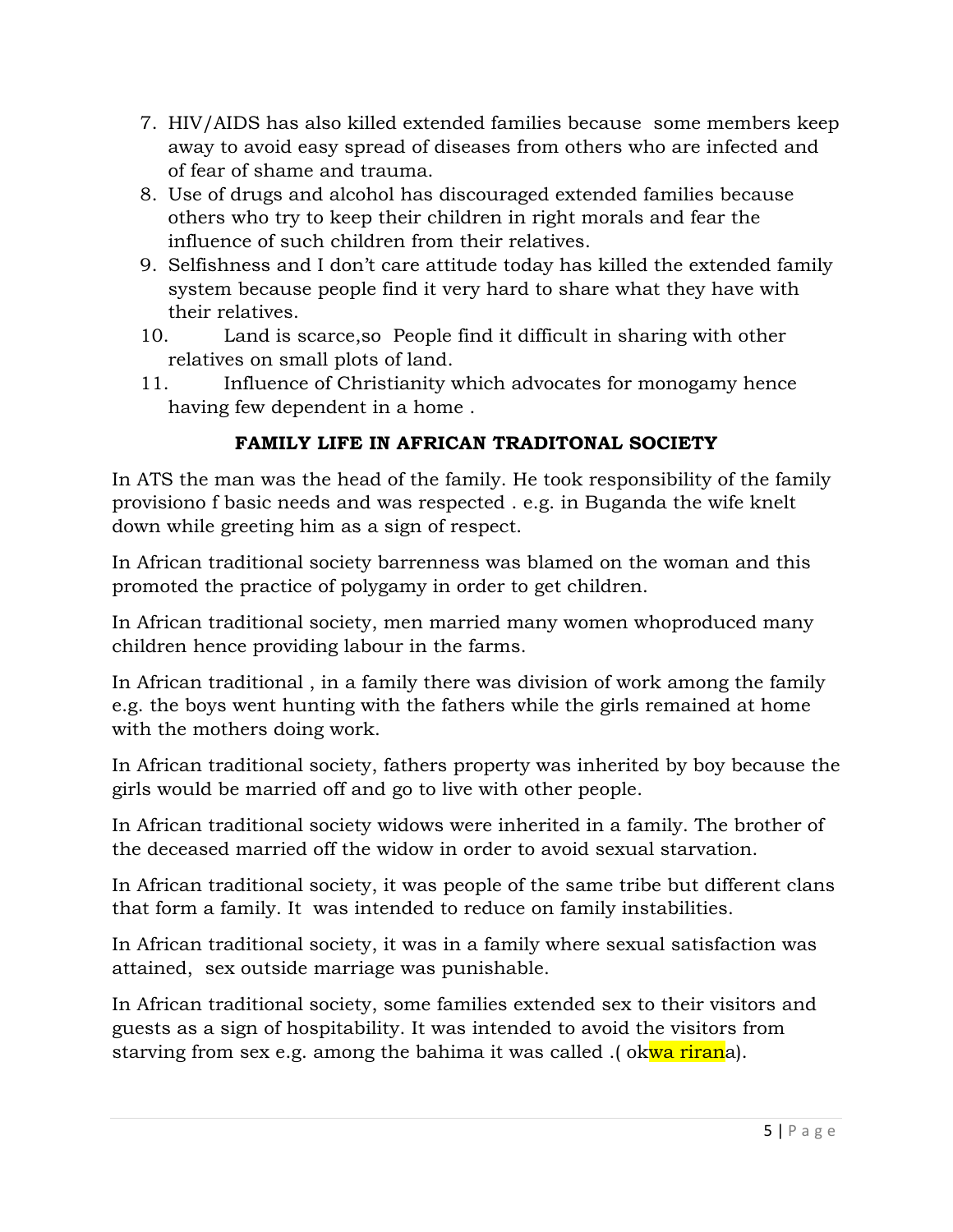- 7. HIV/AIDS has also killed extended families because some members keep away to avoid easy spread of diseases from others who are infected and of fear of shame and trauma.
- 8. Use of drugs and alcohol has discouraged extended families because others who try to keep their children in right morals and fear the influence of such children from their relatives.
- 9. Selfishness and I don't care attitude today has killed the extended family system because people find it very hard to share what they have with their relatives.
- 10. Land is scarce,so People find it difficult in sharing with other relatives on small plots of land.
- 11. Influence of Christianity which advocates for monogamy hence having few dependent in a home .

# **FAMILY LIFE IN AFRICAN TRADITONAL SOCIETY**

In ATS the man was the head of the family. He took responsibility of the family provisiono f basic needs and was respected . e.g. in Buganda the wife knelt down while greeting him as a sign of respect.

In African traditional society barrenness was blamed on the woman and this promoted the practice of polygamy in order to get children.

In African traditional society, men married many women whoproduced many children hence providing labour in the farms.

In African traditional , in a family there was division of work among the family e.g. the boys went hunting with the fathers while the girls remained at home with the mothers doing work.

In African traditional society, fathers property was inherited by boy because the girls would be married off and go to live with other people.

In African traditional society widows were inherited in a family. The brother of the deceased married off the widow in order to avoid sexual starvation.

In African traditional society, it was people of the same tribe but different clans that form a family. It was intended to reduce on family instabilities.

In African traditional society, it was in a family where sexual satisfaction was attained, sex outside marriage was punishable.

In African traditional society, some families extended sex to their visitors and guests as a sign of hospitability. It was intended to avoid the visitors from starving from sex e.g. among the bahima it was called .(okwa rirana).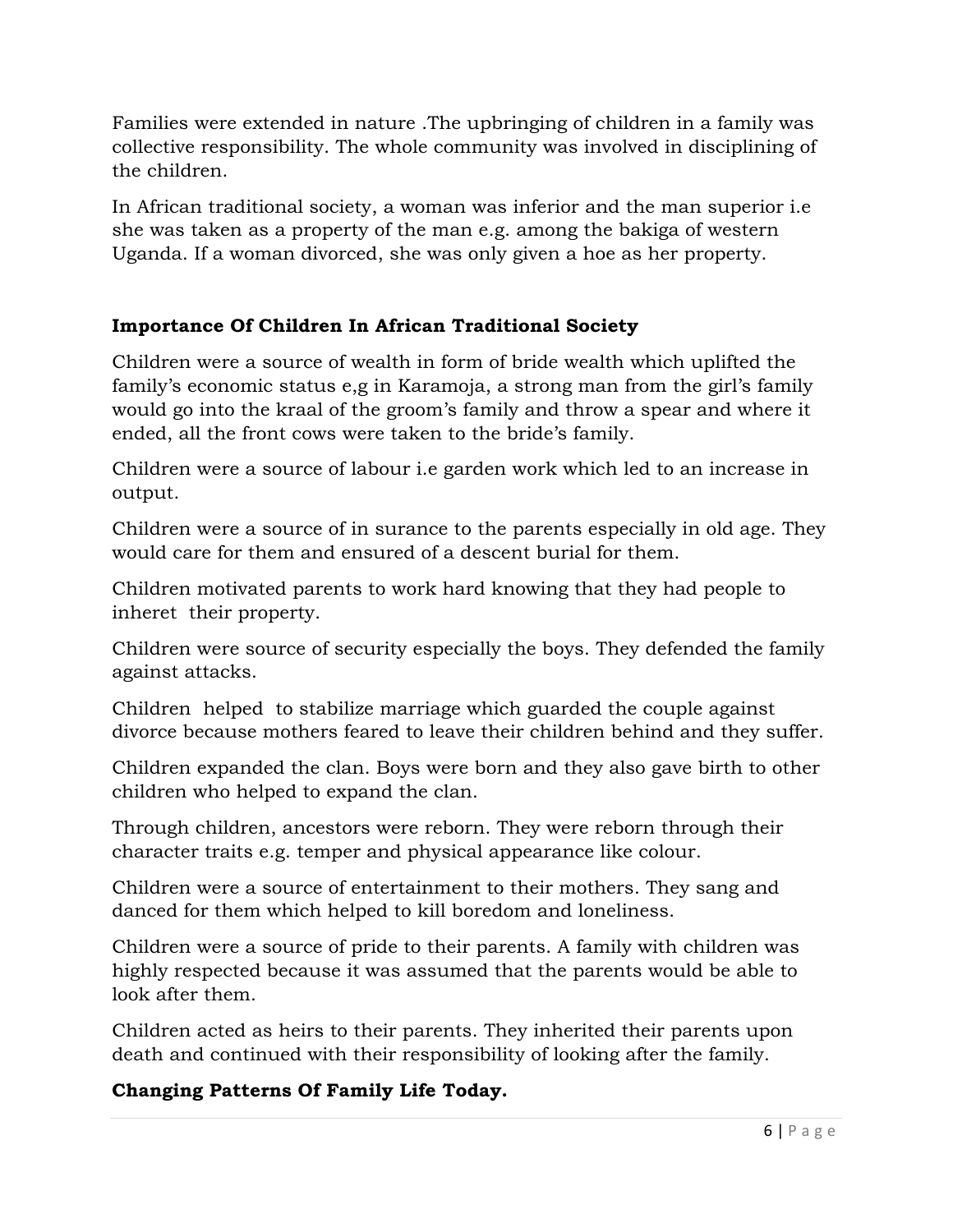Families were extended in nature .The upbringing of children in a family was collective responsibility. The whole community was involved in disciplining of the children.

In African traditional society, a woman was inferior and the man superior i.e she was taken as a property of the man e.g. among the bakiga of western Uganda. If a woman divorced, she was only given a hoe as her property.

### **Importance Of Children In African Traditional Society**

Children were a source of wealth in form of bride wealth which uplifted the family's economic status e,g in Karamoja, a strong man from the girl's family would go into the kraal of the groom's family and throw a spear and where it ended, all the front cows were taken to the bride's family.

Children were a source of labour i.e garden work which led to an increase in output.

Children were a source of in surance to the parents especially in old age. They would care for them and ensured of a descent burial for them.

Children motivated parents to work hard knowing that they had people to inheret their property.

Children were source of security especially the boys. They defended the family against attacks.

Children helped to stabilize marriage which guarded the couple against divorce because mothers feared to leave their children behind and they suffer.

Children expanded the clan. Boys were born and they also gave birth to other children who helped to expand the clan.

Through children, ancestors were reborn. They were reborn through their character traits e.g. temper and physical appearance like colour.

Children were a source of entertainment to their mothers. They sang and danced for them which helped to kill boredom and loneliness.

Children were a source of pride to their parents. A family with children was highly respected because it was assumed that the parents would be able to look after them.

Children acted as heirs to their parents. They inherited their parents upon death and continued with their responsibility of looking after the family.

# **Changing Patterns Of Family Life Today.**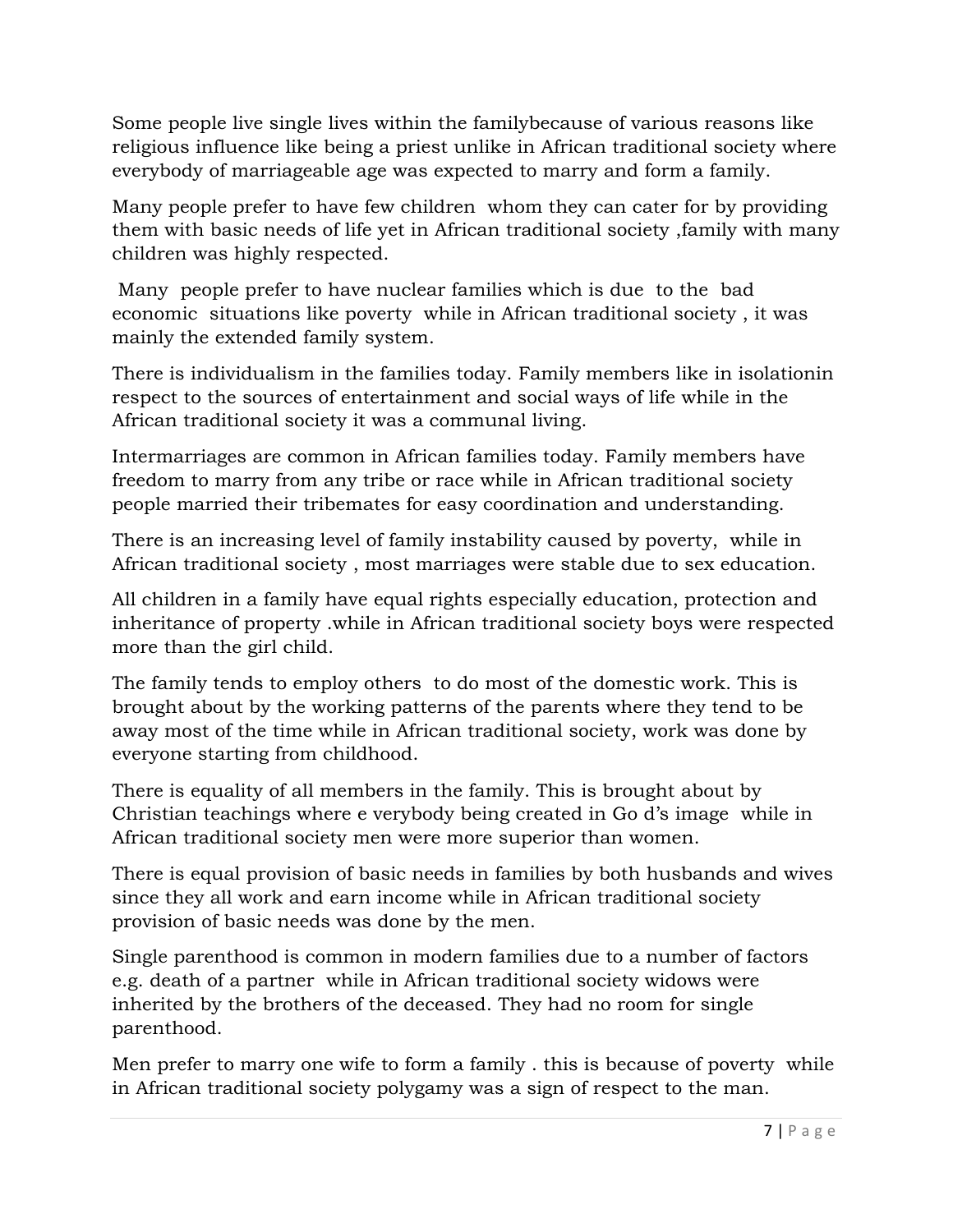Some people live single lives within the familybecause of various reasons like religious influence like being a priest unlike in African traditional society where everybody of marriageable age was expected to marry and form a family.

Many people prefer to have few children whom they can cater for by providing them with basic needs of life yet in African traditional society ,family with many children was highly respected.

 Many people prefer to have nuclear families which is due to the bad economic situations like poverty while in African traditional society , it was mainly the extended family system.

There is individualism in the families today. Family members like in isolationin respect to the sources of entertainment and social ways of life while in the African traditional society it was a communal living.

Intermarriages are common in African families today. Family members have freedom to marry from any tribe or race while in African traditional society people married their tribemates for easy coordination and understanding.

There is an increasing level of family instability caused by poverty, while in African traditional society , most marriages were stable due to sex education.

All children in a family have equal rights especially education, protection and inheritance of property .while in African traditional society boys were respected more than the girl child.

The family tends to employ others to do most of the domestic work. This is brought about by the working patterns of the parents where they tend to be away most of the time while in African traditional society, work was done by everyone starting from childhood.

There is equality of all members in the family. This is brought about by Christian teachings where e verybody being created in Go d's image while in African traditional society men were more superior than women.

There is equal provision of basic needs in families by both husbands and wives since they all work and earn income while in African traditional society provision of basic needs was done by the men.

Single parenthood is common in modern families due to a number of factors e.g. death of a partner while in African traditional society widows were inherited by the brothers of the deceased. They had no room for single parenthood.

Men prefer to marry one wife to form a family . this is because of poverty while in African traditional society polygamy was a sign of respect to the man.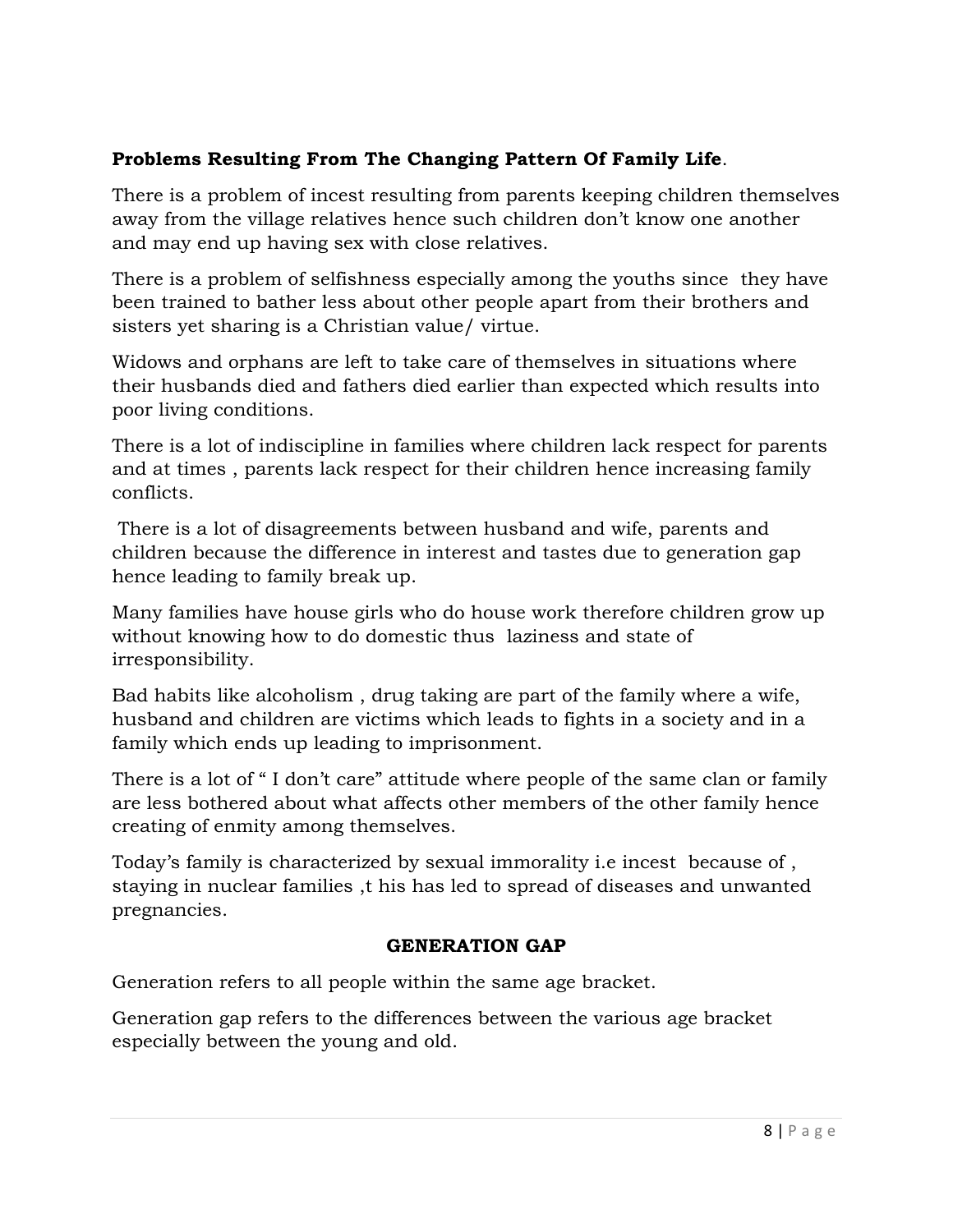### **Problems Resulting From The Changing Pattern Of Family Life**.

There is a problem of incest resulting from parents keeping children themselves away from the village relatives hence such children don't know one another and may end up having sex with close relatives.

There is a problem of selfishness especially among the youths since they have been trained to bather less about other people apart from their brothers and sisters yet sharing is a Christian value/ virtue.

Widows and orphans are left to take care of themselves in situations where their husbands died and fathers died earlier than expected which results into poor living conditions.

There is a lot of indiscipline in families where children lack respect for parents and at times , parents lack respect for their children hence increasing family conflicts.

 There is a lot of disagreements between husband and wife, parents and children because the difference in interest and tastes due to generation gap hence leading to family break up.

Many families have house girls who do house work therefore children grow up without knowing how to do domestic thus laziness and state of irresponsibility.

Bad habits like alcoholism , drug taking are part of the family where a wife, husband and children are victims which leads to fights in a society and in a family which ends up leading to imprisonment.

There is a lot of " I don't care" attitude where people of the same clan or family are less bothered about what affects other members of the other family hence creating of enmity among themselves.

Today's family is characterized by sexual immorality i.e incest because of , staying in nuclear families ,t his has led to spread of diseases and unwanted pregnancies.

### **GENERATION GAP**

Generation refers to all people within the same age bracket.

Generation gap refers to the differences between the various age bracket especially between the young and old.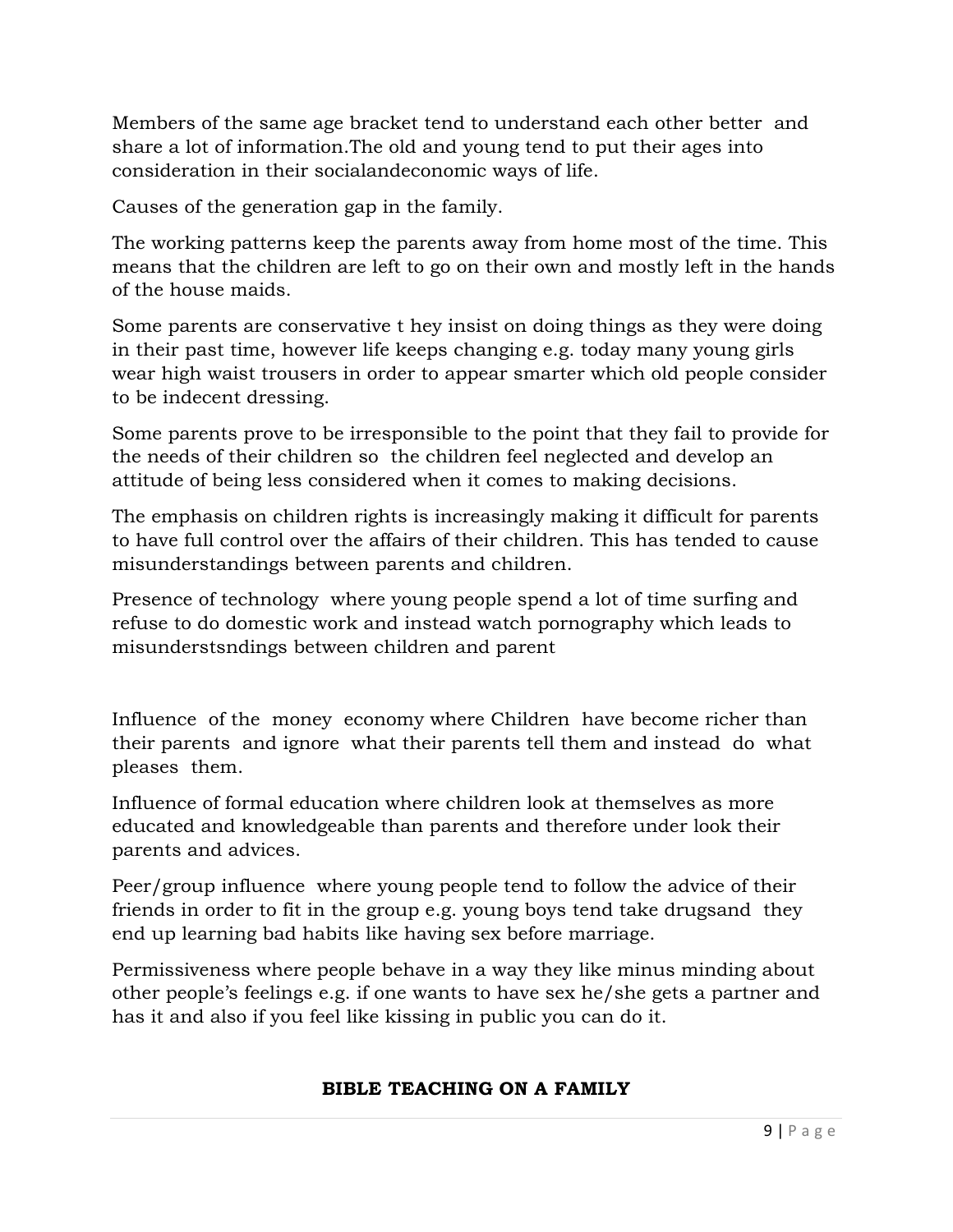Members of the same age bracket tend to understand each other better and share a lot of information.The old and young tend to put their ages into consideration in their socialandeconomic ways of life.

Causes of the generation gap in the family.

The working patterns keep the parents away from home most of the time. This means that the children are left to go on their own and mostly left in the hands of the house maids.

Some parents are conservative t hey insist on doing things as they were doing in their past time, however life keeps changing e.g. today many young girls wear high waist trousers in order to appear smarter which old people consider to be indecent dressing.

Some parents prove to be irresponsible to the point that they fail to provide for the needs of their children so the children feel neglected and develop an attitude of being less considered when it comes to making decisions.

The emphasis on children rights is increasingly making it difficult for parents to have full control over the affairs of their children. This has tended to cause misunderstandings between parents and children.

Presence of technology where young people spend a lot of time surfing and refuse to do domestic work and instead watch pornography which leads to misunderstsndings between children and parent

Influence of the money economy where Children have become richer than their parents and ignore what their parents tell them and instead do what pleases them.

Influence of formal education where children look at themselves as more educated and knowledgeable than parents and therefore under look their parents and advices.

Peer/group influence where young people tend to follow the advice of their friends in order to fit in the group e.g. young boys tend take drugsand they end up learning bad habits like having sex before marriage.

Permissiveness where people behave in a way they like minus minding about other people's feelings e.g. if one wants to have sex he/she gets a partner and has it and also if you feel like kissing in public you can do it.

#### **BIBLE TEACHING ON A FAMILY**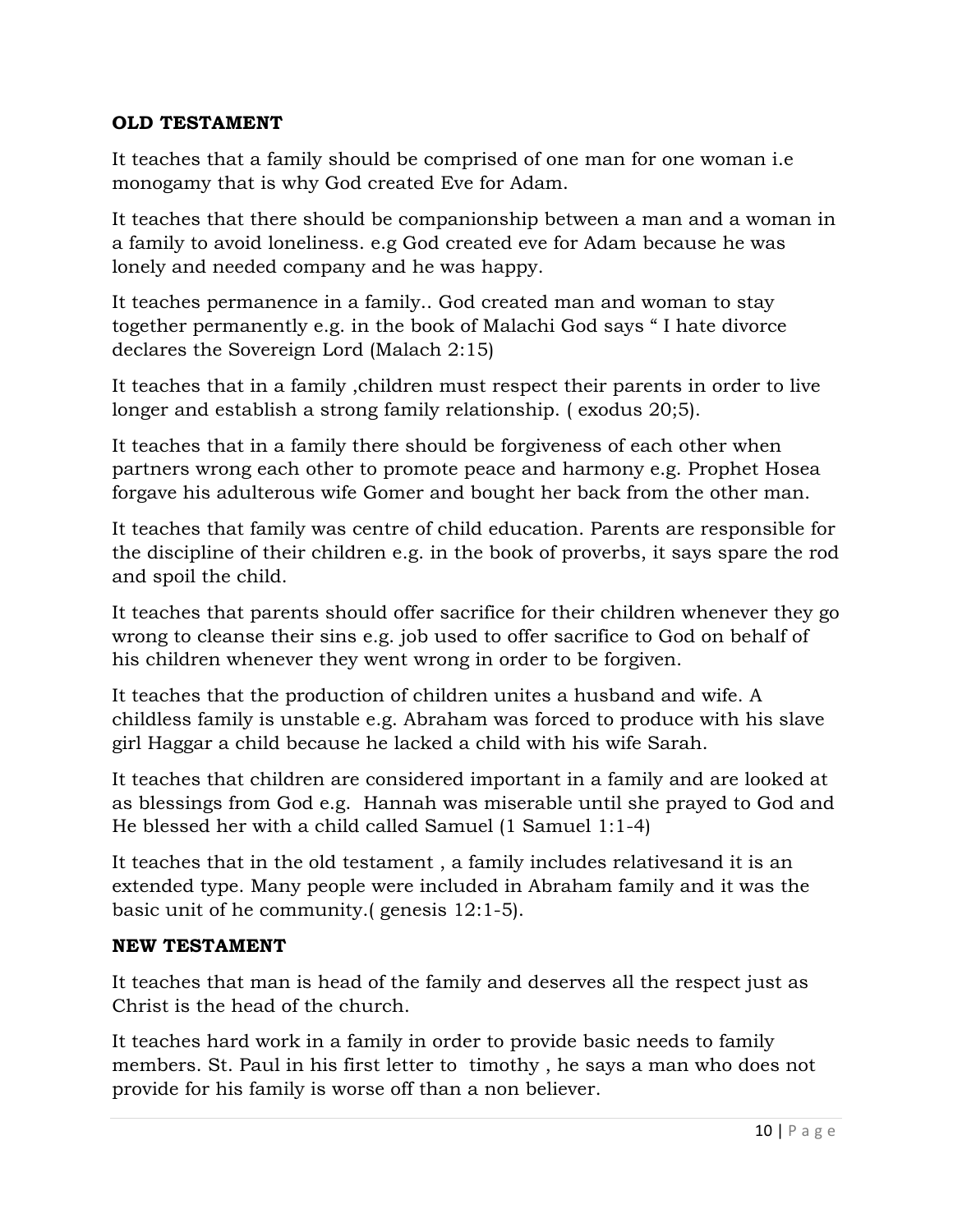#### **OLD TESTAMENT**

It teaches that a family should be comprised of one man for one woman i.e monogamy that is why God created Eve for Adam.

It teaches that there should be companionship between a man and a woman in a family to avoid loneliness. e.g God created eve for Adam because he was lonely and needed company and he was happy.

It teaches permanence in a family.. God created man and woman to stay together permanently e.g. in the book of Malachi God says " I hate divorce declares the Sovereign Lord (Malach 2:15)

It teaches that in a family ,children must respect their parents in order to live longer and establish a strong family relationship. ( exodus 20;5).

It teaches that in a family there should be forgiveness of each other when partners wrong each other to promote peace and harmony e.g. Prophet Hosea forgave his adulterous wife Gomer and bought her back from the other man.

It teaches that family was centre of child education. Parents are responsible for the discipline of their children e.g. in the book of proverbs, it says spare the rod and spoil the child.

It teaches that parents should offer sacrifice for their children whenever they go wrong to cleanse their sins e.g. job used to offer sacrifice to God on behalf of his children whenever they went wrong in order to be forgiven.

It teaches that the production of children unites a husband and wife. A childless family is unstable e.g. Abraham was forced to produce with his slave girl Haggar a child because he lacked a child with his wife Sarah.

It teaches that children are considered important in a family and are looked at as blessings from God e.g. Hannah was miserable until she prayed to God and He blessed her with a child called Samuel (1 Samuel 1:1-4)

It teaches that in the old testament , a family includes relativesand it is an extended type. Many people were included in Abraham family and it was the basic unit of he community.( genesis 12:1-5).

#### **NEW TESTAMENT**

It teaches that man is head of the family and deserves all the respect just as Christ is the head of the church.

It teaches hard work in a family in order to provide basic needs to family members. St. Paul in his first letter to timothy , he says a man who does not provide for his family is worse off than a non believer.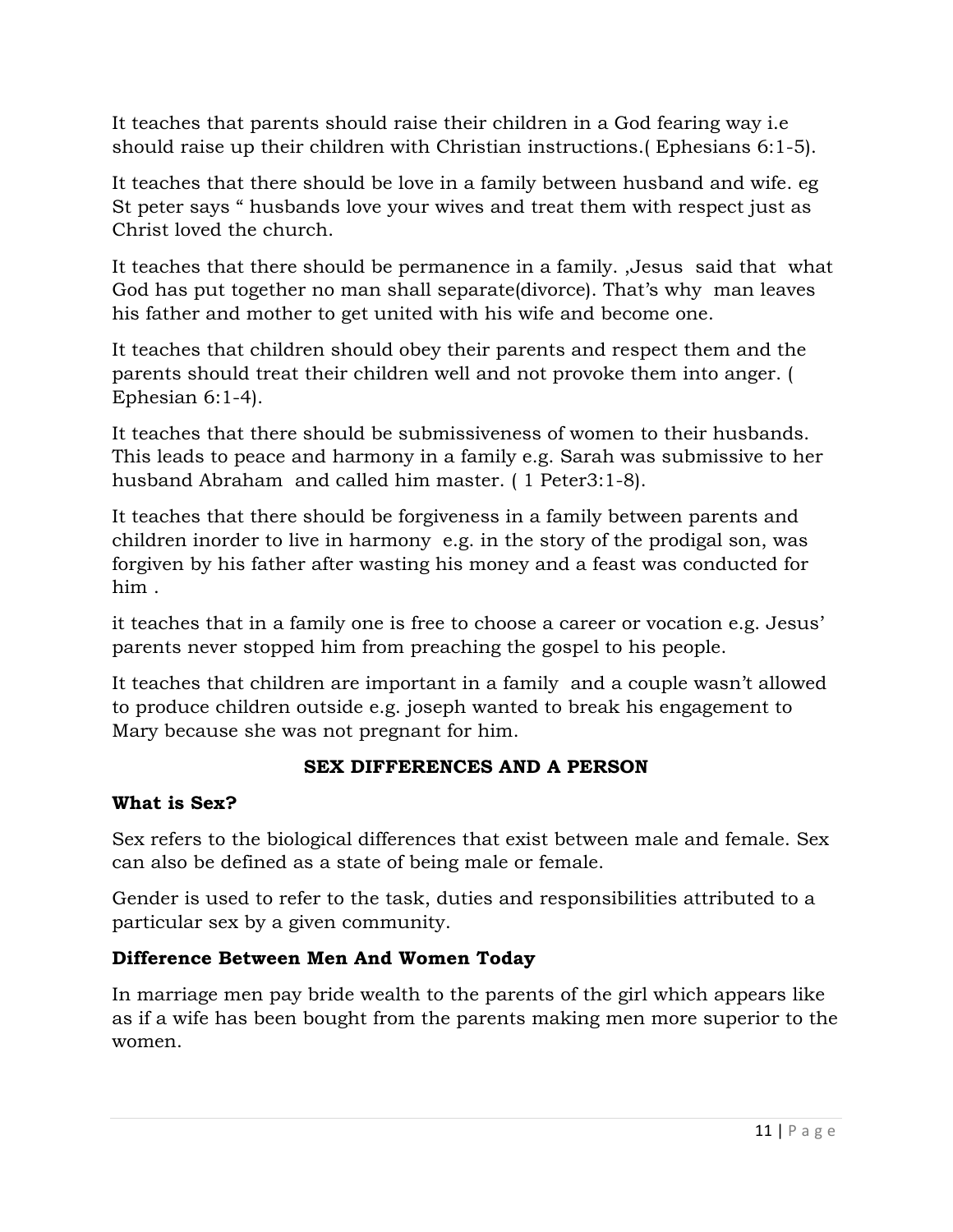It teaches that parents should raise their children in a God fearing way i.e should raise up their children with Christian instructions.( Ephesians 6:1-5).

It teaches that there should be love in a family between husband and wife. eg St peter says " husbands love your wives and treat them with respect just as Christ loved the church.

It teaches that there should be permanence in a family. ,Jesus said that what God has put together no man shall separate(divorce). That's why man leaves his father and mother to get united with his wife and become one.

It teaches that children should obey their parents and respect them and the parents should treat their children well and not provoke them into anger. ( Ephesian 6:1-4).

It teaches that there should be submissiveness of women to their husbands. This leads to peace and harmony in a family e.g. Sarah was submissive to her husband Abraham and called him master. ( 1 Peter3:1-8).

It teaches that there should be forgiveness in a family between parents and children inorder to live in harmony e.g. in the story of the prodigal son, was forgiven by his father after wasting his money and a feast was conducted for him .

it teaches that in a family one is free to choose a career or vocation e.g. Jesus' parents never stopped him from preaching the gospel to his people.

It teaches that children are important in a family and a couple wasn't allowed to produce children outside e.g. joseph wanted to break his engagement to Mary because she was not pregnant for him.

### **SEX DIFFERENCES AND A PERSON**

### **What is Sex?**

Sex refers to the biological differences that exist between male and female. Sex can also be defined as a state of being male or female.

Gender is used to refer to the task, duties and responsibilities attributed to a particular sex by a given community.

### **Difference Between Men And Women Today**

In marriage men pay bride wealth to the parents of the girl which appears like as if a wife has been bought from the parents making men more superior to the women.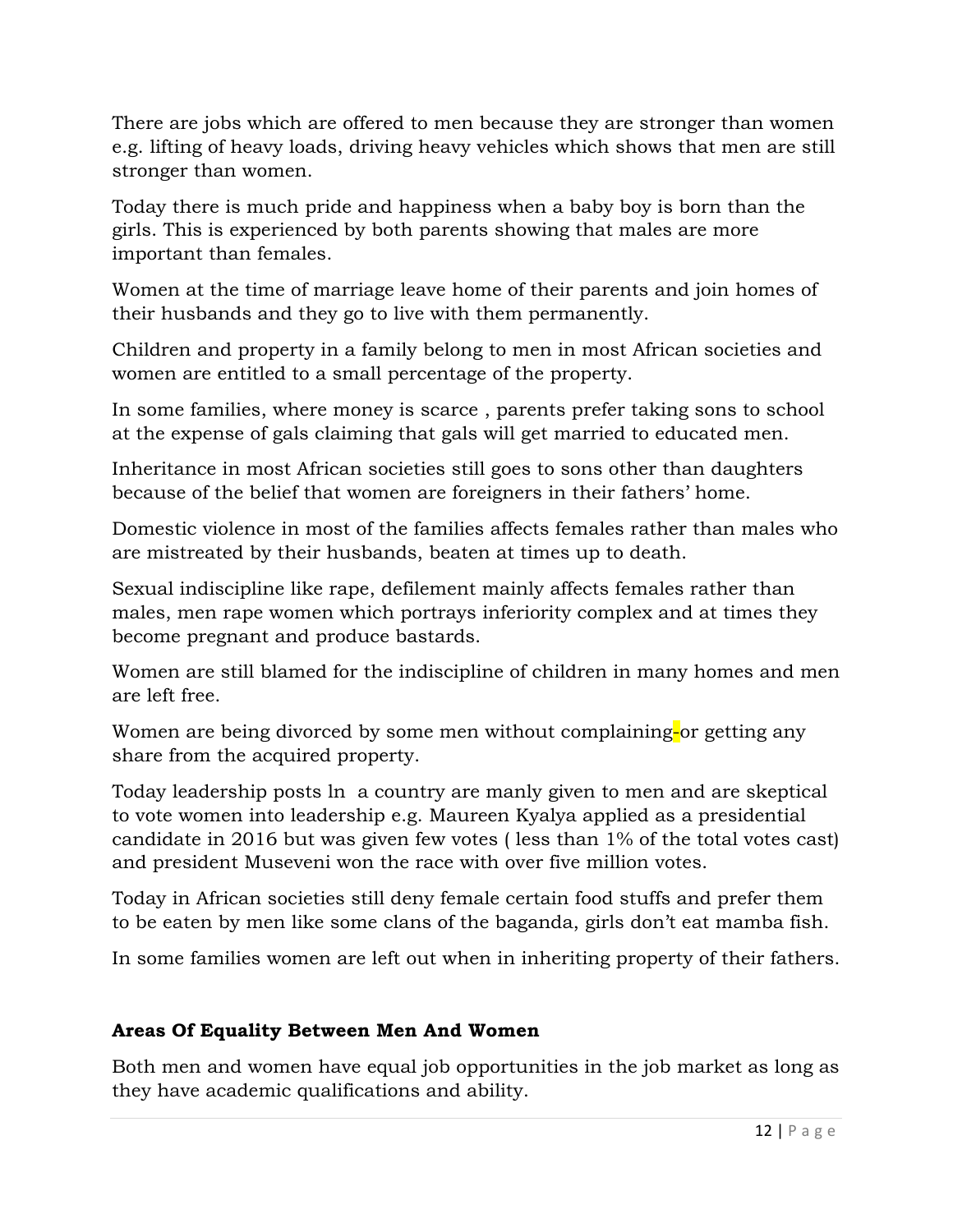There are jobs which are offered to men because they are stronger than women e.g. lifting of heavy loads, driving heavy vehicles which shows that men are still stronger than women.

Today there is much pride and happiness when a baby boy is born than the girls. This is experienced by both parents showing that males are more important than females.

Women at the time of marriage leave home of their parents and join homes of their husbands and they go to live with them permanently.

Children and property in a family belong to men in most African societies and women are entitled to a small percentage of the property.

In some families, where money is scarce , parents prefer taking sons to school at the expense of gals claiming that gals will get married to educated men.

Inheritance in most African societies still goes to sons other than daughters because of the belief that women are foreigners in their fathers' home.

Domestic violence in most of the families affects females rather than males who are mistreated by their husbands, beaten at times up to death.

Sexual indiscipline like rape, defilement mainly affects females rather than males, men rape women which portrays inferiority complex and at times they become pregnant and produce bastards.

Women are still blamed for the indiscipline of children in many homes and men are left free.

Women are being divorced by some men without complaining-or getting any share from the acquired property.

Today leadership posts ln a country are manly given to men and are skeptical to vote women into leadership e.g. Maureen Kyalya applied as a presidential candidate in 2016 but was given few votes ( less than 1% of the total votes cast) and president Museveni won the race with over five million votes.

Today in African societies still deny female certain food stuffs and prefer them to be eaten by men like some clans of the baganda, girls don't eat mamba fish.

In some families women are left out when in inheriting property of their fathers.

### **Areas Of Equality Between Men And Women**

Both men and women have equal job opportunities in the job market as long as they have academic qualifications and ability.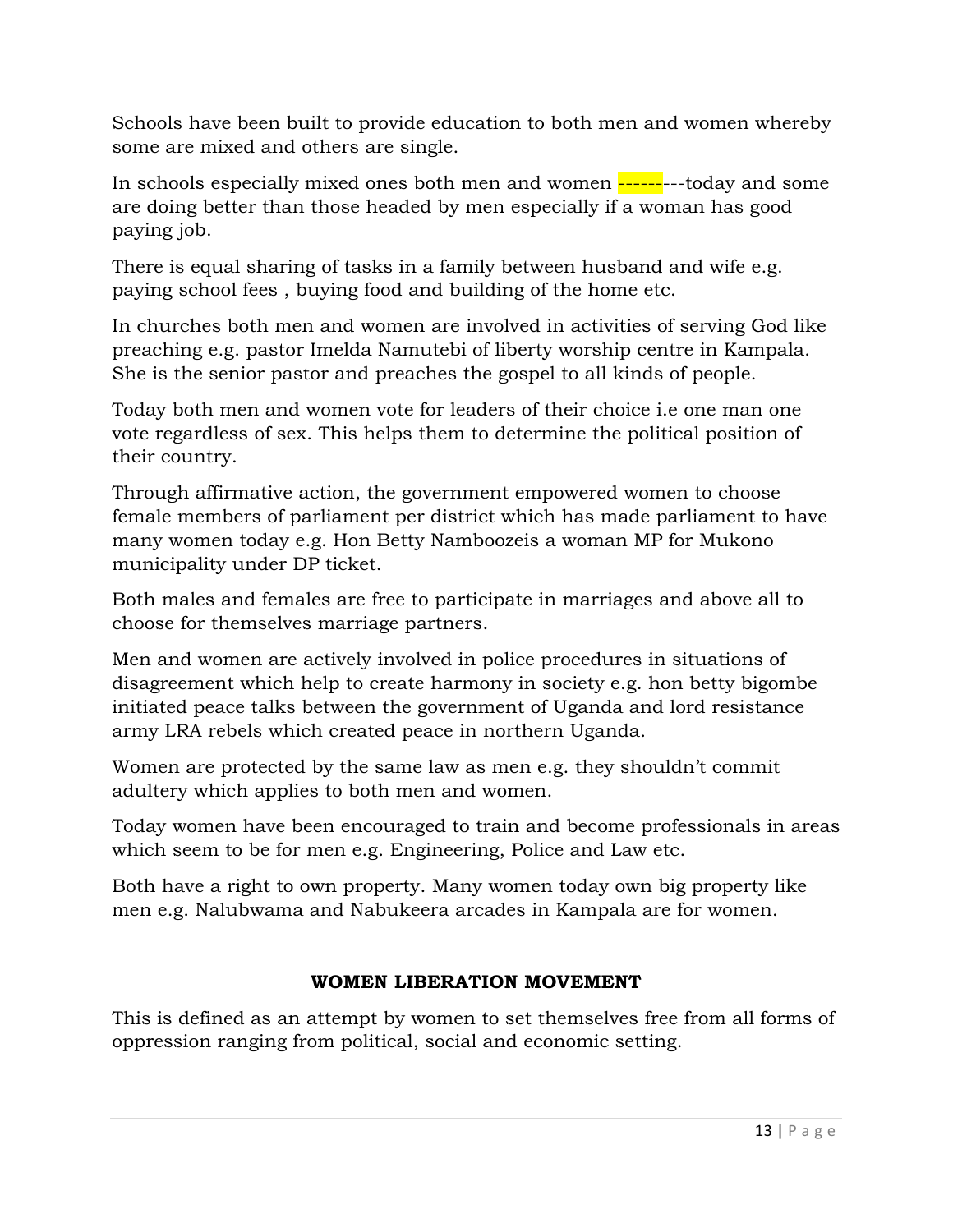Schools have been built to provide education to both men and women whereby some are mixed and others are single.

In schools especially mixed ones both men and women ---------today and some are doing better than those headed by men especially if a woman has good paying job.

There is equal sharing of tasks in a family between husband and wife e.g. paying school fees , buying food and building of the home etc.

In churches both men and women are involved in activities of serving God like preaching e.g. pastor Imelda Namutebi of liberty worship centre in Kampala. She is the senior pastor and preaches the gospel to all kinds of people.

Today both men and women vote for leaders of their choice i.e one man one vote regardless of sex. This helps them to determine the political position of their country.

Through affirmative action, the government empowered women to choose female members of parliament per district which has made parliament to have many women today e.g. Hon Betty Namboozeis a woman MP for Mukono municipality under DP ticket.

Both males and females are free to participate in marriages and above all to choose for themselves marriage partners.

Men and women are actively involved in police procedures in situations of disagreement which help to create harmony in society e.g. hon betty bigombe initiated peace talks between the government of Uganda and lord resistance army LRA rebels which created peace in northern Uganda.

Women are protected by the same law as men e.g. they shouldn't commit adultery which applies to both men and women.

Today women have been encouraged to train and become professionals in areas which seem to be for men e.g. Engineering, Police and Law etc.

Both have a right to own property. Many women today own big property like men e.g. Nalubwama and Nabukeera arcades in Kampala are for women.

### **WOMEN LIBERATION MOVEMENT**

This is defined as an attempt by women to set themselves free from all forms of oppression ranging from political, social and economic setting.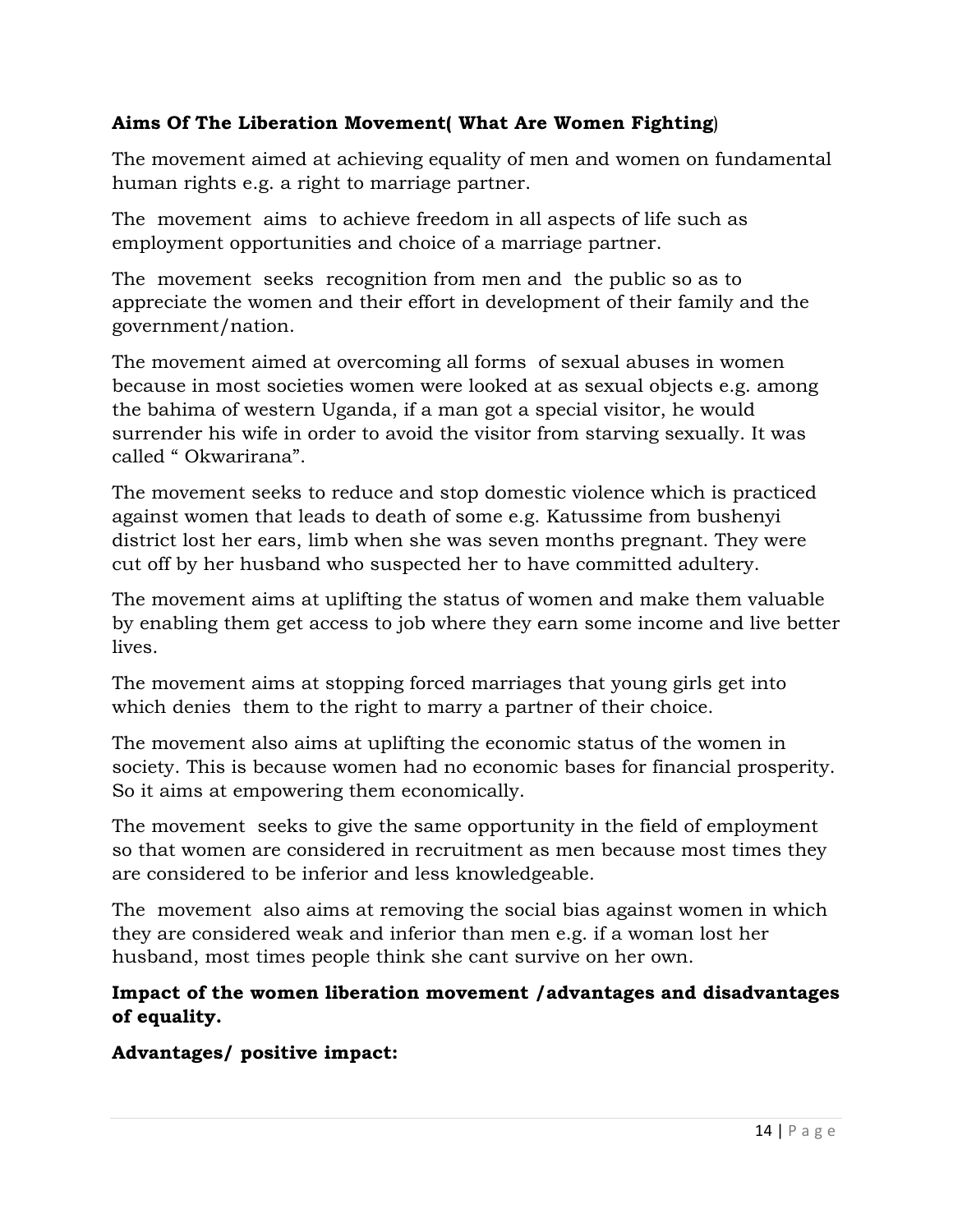### **Aims Of The Liberation Movement( What Are Women Fighting**)

The movement aimed at achieving equality of men and women on fundamental human rights e.g. a right to marriage partner.

The movement aims to achieve freedom in all aspects of life such as employment opportunities and choice of a marriage partner.

The movement seeks recognition from men and the public so as to appreciate the women and their effort in development of their family and the government/nation.

The movement aimed at overcoming all forms of sexual abuses in women because in most societies women were looked at as sexual objects e.g. among the bahima of western Uganda, if a man got a special visitor, he would surrender his wife in order to avoid the visitor from starving sexually. It was called " Okwarirana".

The movement seeks to reduce and stop domestic violence which is practiced against women that leads to death of some e.g. Katussime from bushenyi district lost her ears, limb when she was seven months pregnant. They were cut off by her husband who suspected her to have committed adultery.

The movement aims at uplifting the status of women and make them valuable by enabling them get access to job where they earn some income and live better lives.

The movement aims at stopping forced marriages that young girls get into which denies them to the right to marry a partner of their choice.

The movement also aims at uplifting the economic status of the women in society. This is because women had no economic bases for financial prosperity. So it aims at empowering them economically.

The movement seeks to give the same opportunity in the field of employment so that women are considered in recruitment as men because most times they are considered to be inferior and less knowledgeable.

The movement also aims at removing the social bias against women in which they are considered weak and inferior than men e.g. if a woman lost her husband, most times people think she cant survive on her own.

### **Impact of the women liberation movement /advantages and disadvantages of equality.**

**Advantages/ positive impact:**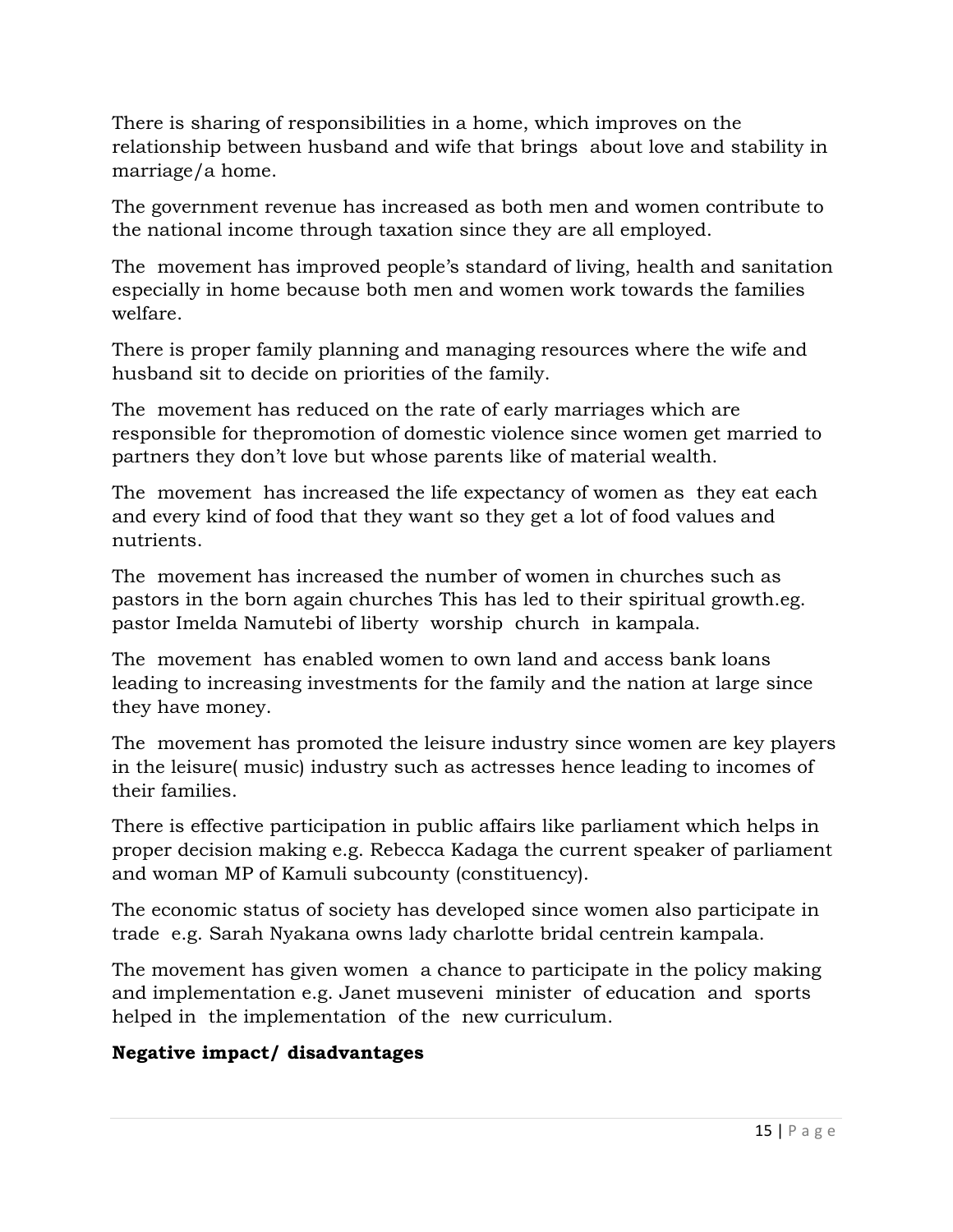There is sharing of responsibilities in a home, which improves on the relationship between husband and wife that brings about love and stability in marriage/a home.

The government revenue has increased as both men and women contribute to the national income through taxation since they are all employed.

The movement has improved people's standard of living, health and sanitation especially in home because both men and women work towards the families welfare.

There is proper family planning and managing resources where the wife and husband sit to decide on priorities of the family.

The movement has reduced on the rate of early marriages which are responsible for thepromotion of domestic violence since women get married to partners they don't love but whose parents like of material wealth.

The movement has increased the life expectancy of women as they eat each and every kind of food that they want so they get a lot of food values and nutrients.

The movement has increased the number of women in churches such as pastors in the born again churches This has led to their spiritual growth.eg. pastor Imelda Namutebi of liberty worship church in kampala.

The movement has enabled women to own land and access bank loans leading to increasing investments for the family and the nation at large since they have money.

The movement has promoted the leisure industry since women are key players in the leisure( music) industry such as actresses hence leading to incomes of their families.

There is effective participation in public affairs like parliament which helps in proper decision making e.g. Rebecca Kadaga the current speaker of parliament and woman MP of Kamuli subcounty (constituency).

The economic status of society has developed since women also participate in trade e.g. Sarah Nyakana owns lady charlotte bridal centrein kampala.

The movement has given women a chance to participate in the policy making and implementation e.g. Janet museveni minister of education and sports helped in the implementation of the new curriculum.

### **Negative impact/ disadvantages**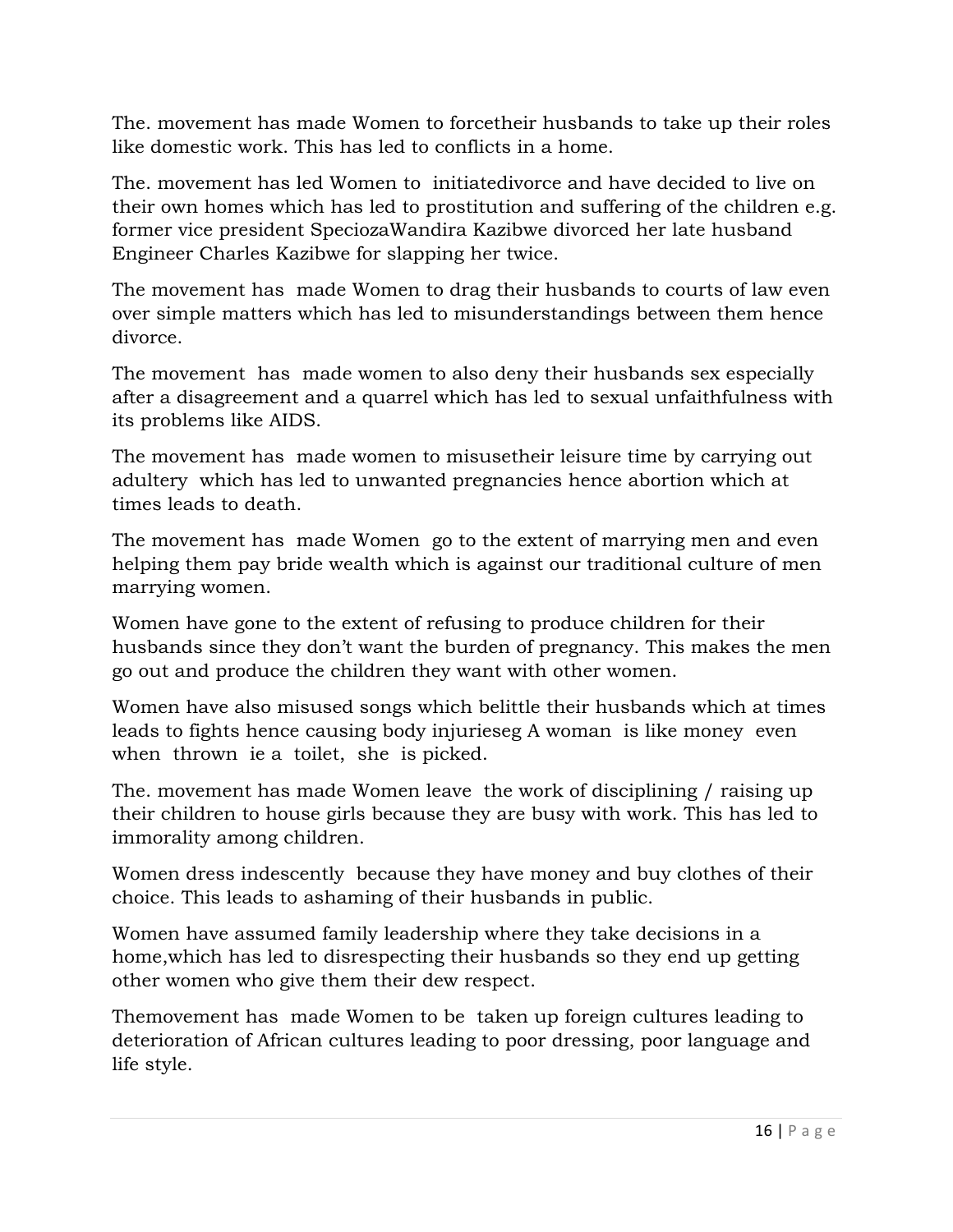The. movement has made Women to forcetheir husbands to take up their roles like domestic work. This has led to conflicts in a home.

The. movement has led Women to initiatedivorce and have decided to live on their own homes which has led to prostitution and suffering of the children e.g. former vice president SpeciozaWandira Kazibwe divorced her late husband Engineer Charles Kazibwe for slapping her twice.

The movement has made Women to drag their husbands to courts of law even over simple matters which has led to misunderstandings between them hence divorce.

The movement has made women to also deny their husbands sex especially after a disagreement and a quarrel which has led to sexual unfaithfulness with its problems like AIDS.

The movement has made women to misusetheir leisure time by carrying out adultery which has led to unwanted pregnancies hence abortion which at times leads to death.

The movement has made Women go to the extent of marrying men and even helping them pay bride wealth which is against our traditional culture of men marrying women.

Women have gone to the extent of refusing to produce children for their husbands since they don't want the burden of pregnancy. This makes the men go out and produce the children they want with other women.

Women have also misused songs which belittle their husbands which at times leads to fights hence causing body injurieseg A woman is like money even when thrown ie a toilet, she is picked.

The. movement has made Women leave the work of disciplining / raising up their children to house girls because they are busy with work. This has led to immorality among children.

Women dress indescently because they have money and buy clothes of their choice. This leads to ashaming of their husbands in public.

Women have assumed family leadership where they take decisions in a home,which has led to disrespecting their husbands so they end up getting other women who give them their dew respect.

Themovement has made Women to be taken up foreign cultures leading to deterioration of African cultures leading to poor dressing, poor language and life style.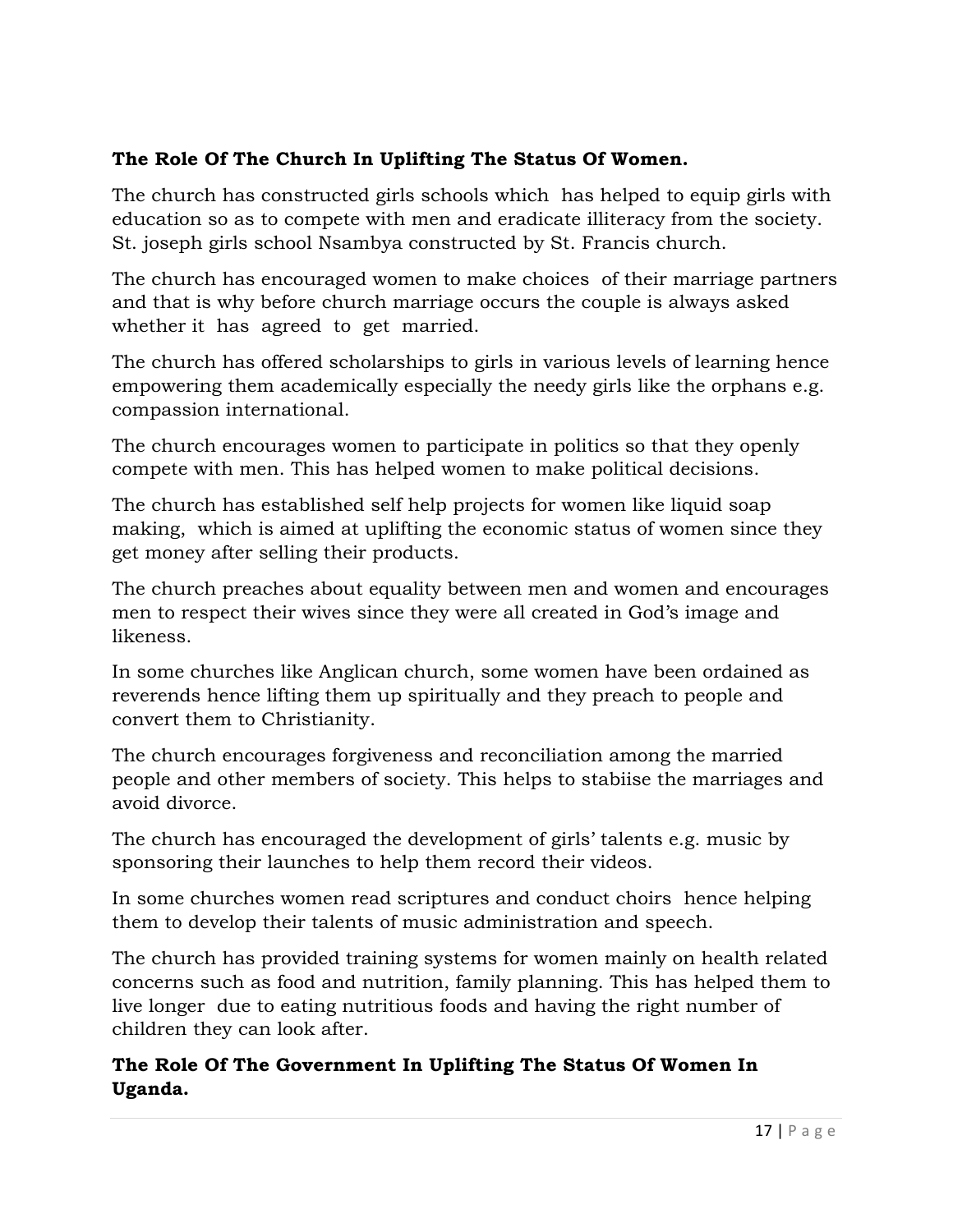# **The Role Of The Church In Uplifting The Status Of Women.**

The church has constructed girls schools which has helped to equip girls with education so as to compete with men and eradicate illiteracy from the society. St. joseph girls school Nsambya constructed by St. Francis church.

The church has encouraged women to make choices of their marriage partners and that is why before church marriage occurs the couple is always asked whether it has agreed to get married.

The church has offered scholarships to girls in various levels of learning hence empowering them academically especially the needy girls like the orphans e.g. compassion international.

The church encourages women to participate in politics so that they openly compete with men. This has helped women to make political decisions.

The church has established self help projects for women like liquid soap making, which is aimed at uplifting the economic status of women since they get money after selling their products.

The church preaches about equality between men and women and encourages men to respect their wives since they were all created in God's image and likeness.

In some churches like Anglican church, some women have been ordained as reverends hence lifting them up spiritually and they preach to people and convert them to Christianity.

The church encourages forgiveness and reconciliation among the married people and other members of society. This helps to stabiise the marriages and avoid divorce.

The church has encouraged the development of girls' talents e.g. music by sponsoring their launches to help them record their videos.

In some churches women read scriptures and conduct choirs hence helping them to develop their talents of music administration and speech.

The church has provided training systems for women mainly on health related concerns such as food and nutrition, family planning. This has helped them to live longer due to eating nutritious foods and having the right number of children they can look after.

**The Role Of The Government In Uplifting The Status Of Women In Uganda.**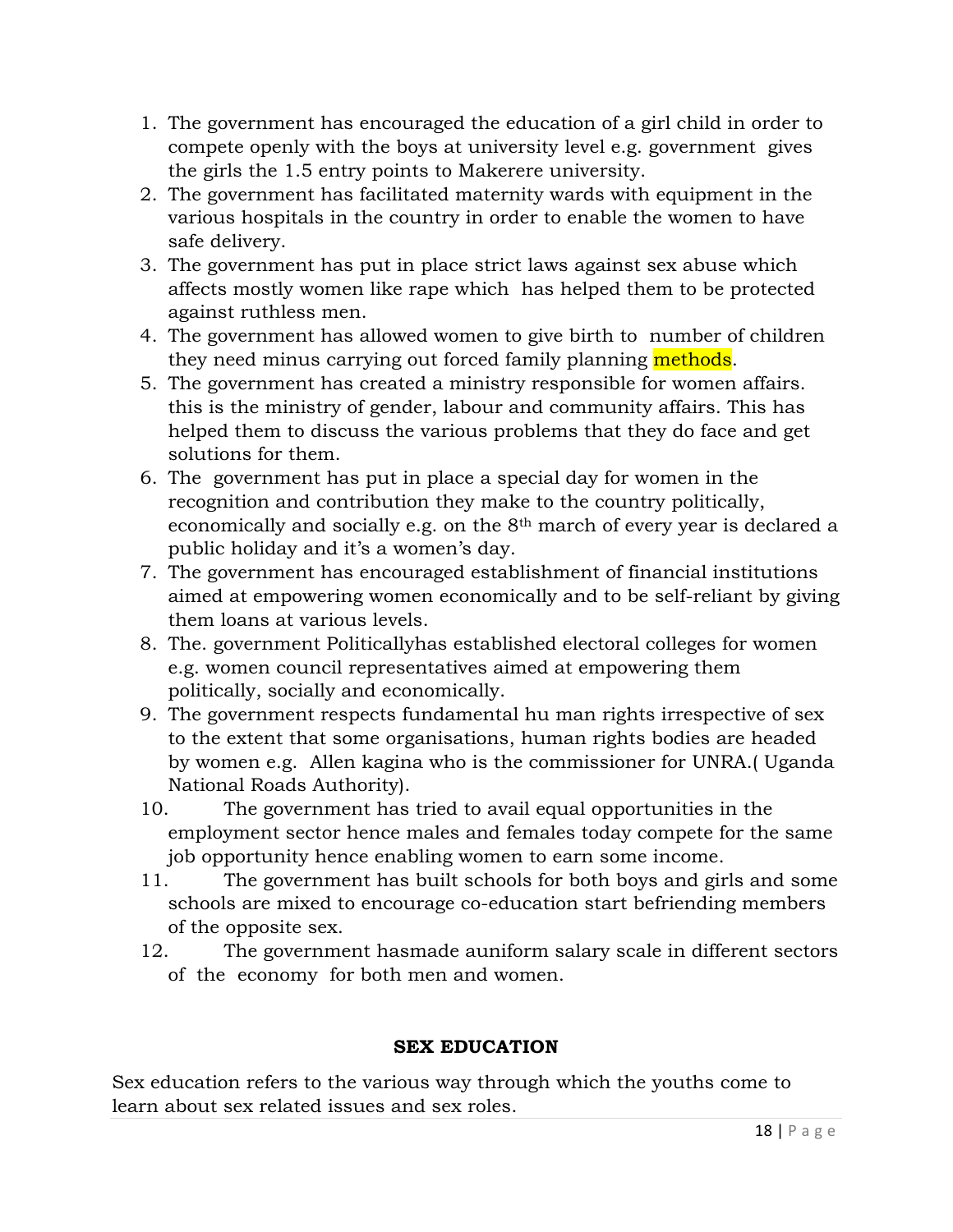- 1. The government has encouraged the education of a girl child in order to compete openly with the boys at university level e.g. government gives the girls the 1.5 entry points to Makerere university.
- 2. The government has facilitated maternity wards with equipment in the various hospitals in the country in order to enable the women to have safe delivery.
- 3. The government has put in place strict laws against sex abuse which affects mostly women like rape which has helped them to be protected against ruthless men.
- 4. The government has allowed women to give birth to number of children they need minus carrying out forced family planning methods.
- 5. The government has created a ministry responsible for women affairs. this is the ministry of gender, labour and community affairs. This has helped them to discuss the various problems that they do face and get solutions for them.
- 6. The government has put in place a special day for women in the recognition and contribution they make to the country politically, economically and socially e.g. on the 8th march of every year is declared a public holiday and it's a women's day.
- 7. The government has encouraged establishment of financial institutions aimed at empowering women economically and to be self-reliant by giving them loans at various levels.
- 8. The. government Politicallyhas established electoral colleges for women e.g. women council representatives aimed at empowering them politically, socially and economically.
- 9. The government respects fundamental hu man rights irrespective of sex to the extent that some organisations, human rights bodies are headed by women e.g. Allen kagina who is the commissioner for UNRA.( Uganda National Roads Authority).
- 10. The government has tried to avail equal opportunities in the employment sector hence males and females today compete for the same job opportunity hence enabling women to earn some income.
- 11. The government has built schools for both boys and girls and some schools are mixed to encourage co-education start befriending members of the opposite sex.
- 12. The government hasmade auniform salary scale in different sectors of the economy for both men and women.

# **SEX EDUCATION**

Sex education refers to the various way through which the youths come to learn about sex related issues and sex roles.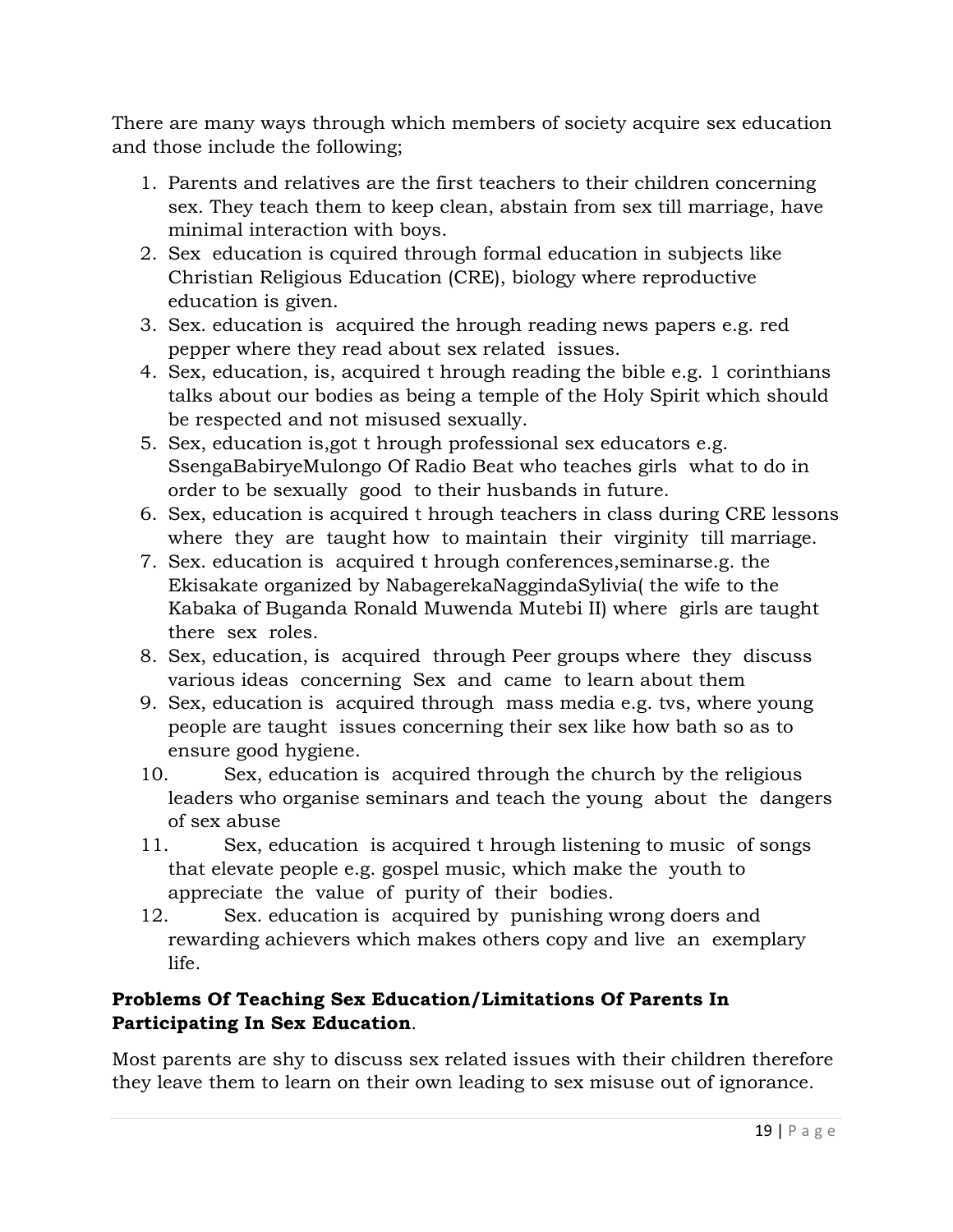There are many ways through which members of society acquire sex education and those include the following;

- 1. Parents and relatives are the first teachers to their children concerning sex. They teach them to keep clean, abstain from sex till marriage, have minimal interaction with boys.
- 2. Sex education is cquired through formal education in subjects like Christian Religious Education (CRE), biology where reproductive education is given.
- 3. Sex. education is acquired the hrough reading news papers e.g. red pepper where they read about sex related issues.
- 4. Sex, education, is, acquired t hrough reading the bible e.g. 1 corinthians talks about our bodies as being a temple of the Holy Spirit which should be respected and not misused sexually.
- 5. Sex, education is,got t hrough professional sex educators e.g. SsengaBabiryeMulongo Of Radio Beat who teaches girls what to do in order to be sexually good to their husbands in future.
- 6. Sex, education is acquired t hrough teachers in class during CRE lessons where they are taught how to maintain their virginity till marriage.
- 7. Sex. education is acquired t hrough conferences,seminarse.g. the Ekisakate organized by NabagerekaNaggindaSylivia( the wife to the Kabaka of Buganda Ronald Muwenda Mutebi II) where girls are taught there sex roles.
- 8. Sex, education, is acquired through Peer groups where they discuss various ideas concerning Sex and came to learn about them
- 9. Sex, education is acquired through mass media e.g. tvs, where young people are taught issues concerning their sex like how bath so as to ensure good hygiene.
- 10. Sex, education is acquired through the church by the religious leaders who organise seminars and teach the young about the dangers of sex abuse
- 11. Sex, education is acquired t hrough listening to music of songs that elevate people e.g. gospel music, which make the youth to appreciate the value of purity of their bodies.
- 12. Sex. education is acquired by punishing wrong doers and rewarding achievers which makes others copy and live an exemplary life.

# **Problems Of Teaching Sex Education/Limitations Of Parents In Participating In Sex Education**.

Most parents are shy to discuss sex related issues with their children therefore they leave them to learn on their own leading to sex misuse out of ignorance.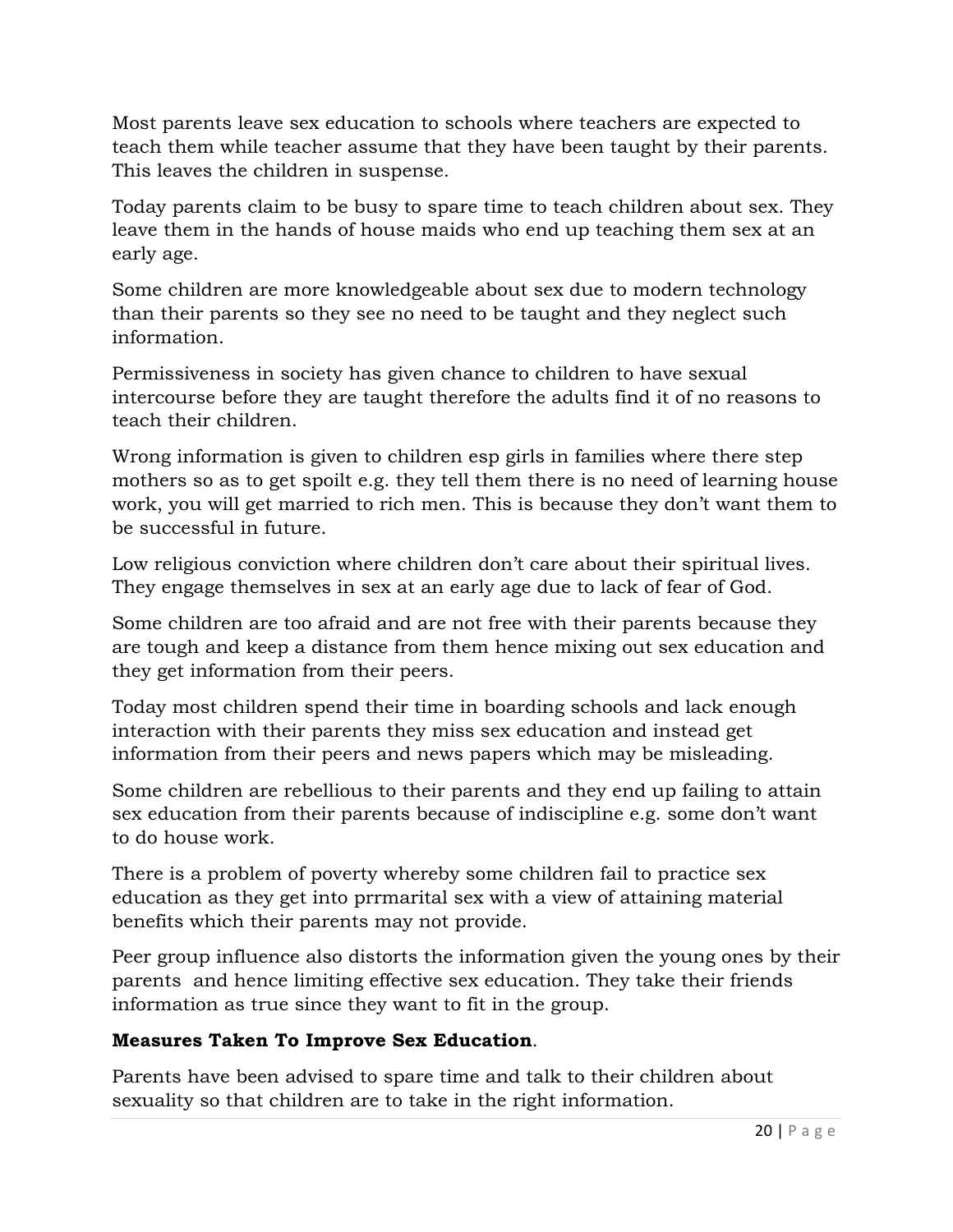Most parents leave sex education to schools where teachers are expected to teach them while teacher assume that they have been taught by their parents. This leaves the children in suspense.

Today parents claim to be busy to spare time to teach children about sex. They leave them in the hands of house maids who end up teaching them sex at an early age.

Some children are more knowledgeable about sex due to modern technology than their parents so they see no need to be taught and they neglect such information.

Permissiveness in society has given chance to children to have sexual intercourse before they are taught therefore the adults find it of no reasons to teach their children.

Wrong information is given to children esp girls in families where there step mothers so as to get spoilt e.g. they tell them there is no need of learning house work, you will get married to rich men. This is because they don't want them to be successful in future.

Low religious conviction where children don't care about their spiritual lives. They engage themselves in sex at an early age due to lack of fear of God.

Some children are too afraid and are not free with their parents because they are tough and keep a distance from them hence mixing out sex education and they get information from their peers.

Today most children spend their time in boarding schools and lack enough interaction with their parents they miss sex education and instead get information from their peers and news papers which may be misleading.

Some children are rebellious to their parents and they end up failing to attain sex education from their parents because of indiscipline e.g. some don't want to do house work.

There is a problem of poverty whereby some children fail to practice sex education as they get into prrmarital sex with a view of attaining material benefits which their parents may not provide.

Peer group influence also distorts the information given the young ones by their parents and hence limiting effective sex education. They take their friends information as true since they want to fit in the group.

# **Measures Taken To Improve Sex Education**.

Parents have been advised to spare time and talk to their children about sexuality so that children are to take in the right information.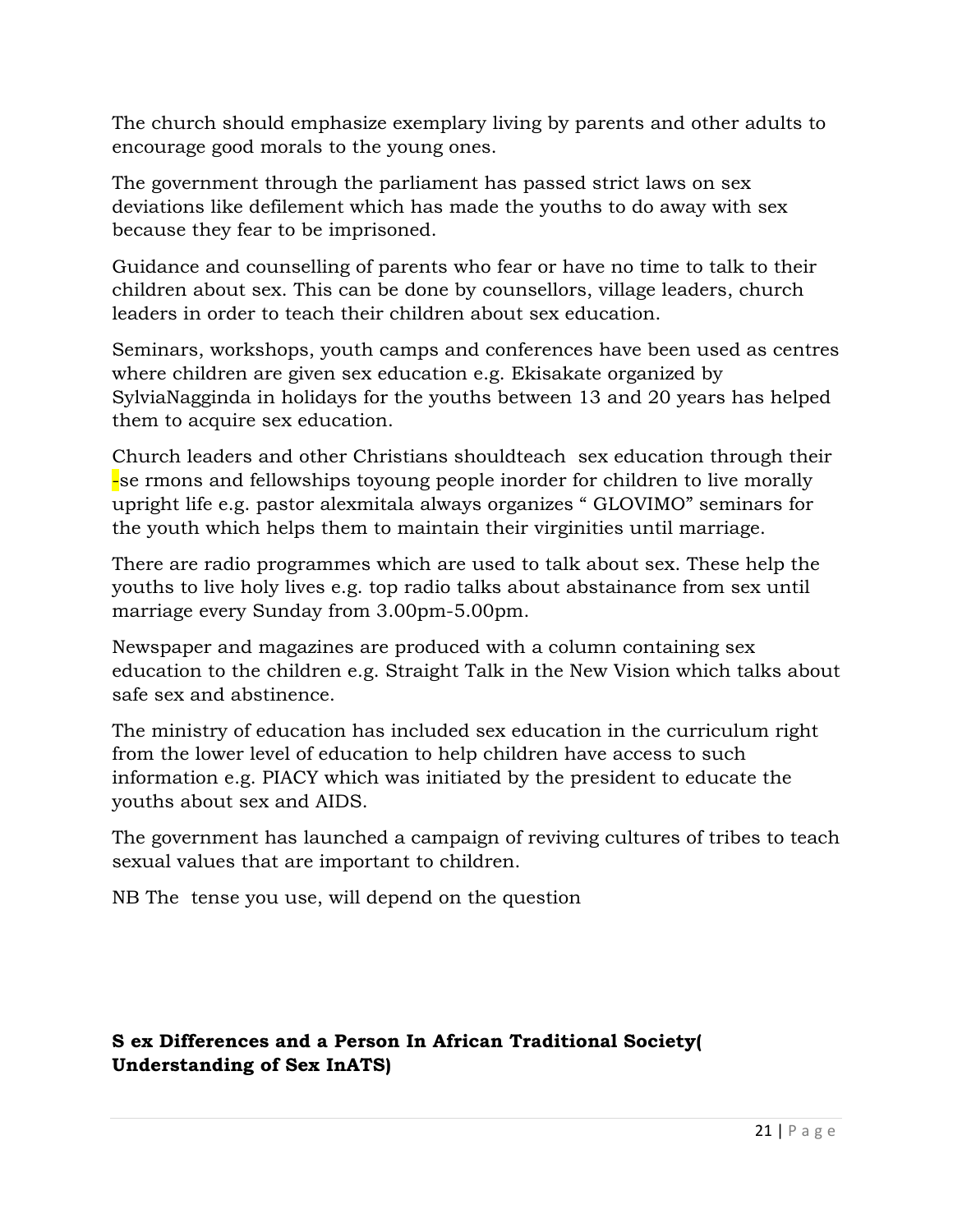The church should emphasize exemplary living by parents and other adults to encourage good morals to the young ones.

The government through the parliament has passed strict laws on sex deviations like defilement which has made the youths to do away with sex because they fear to be imprisoned.

Guidance and counselling of parents who fear or have no time to talk to their children about sex. This can be done by counsellors, village leaders, church leaders in order to teach their children about sex education.

Seminars, workshops, youth camps and conferences have been used as centres where children are given sex education e.g. Ekisakate organized by SylviaNagginda in holidays for the youths between 13 and 20 years has helped them to acquire sex education.

Church leaders and other Christians shouldteach sex education through their -se rmons and fellowships toyoung people inorder for children to live morally upright life e.g. pastor alexmitala always organizes " GLOVIMO" seminars for the youth which helps them to maintain their virginities until marriage.

There are radio programmes which are used to talk about sex. These help the youths to live holy lives e.g. top radio talks about abstainance from sex until marriage every Sunday from 3.00pm-5.00pm.

Newspaper and magazines are produced with a column containing sex education to the children e.g. Straight Talk in the New Vision which talks about safe sex and abstinence.

The ministry of education has included sex education in the curriculum right from the lower level of education to help children have access to such information e.g. PIACY which was initiated by the president to educate the youths about sex and AIDS.

The government has launched a campaign of reviving cultures of tribes to teach sexual values that are important to children.

NB The tense you use, will depend on the question

# **S ex Differences and a Person In African Traditional Society( Understanding of Sex InATS)**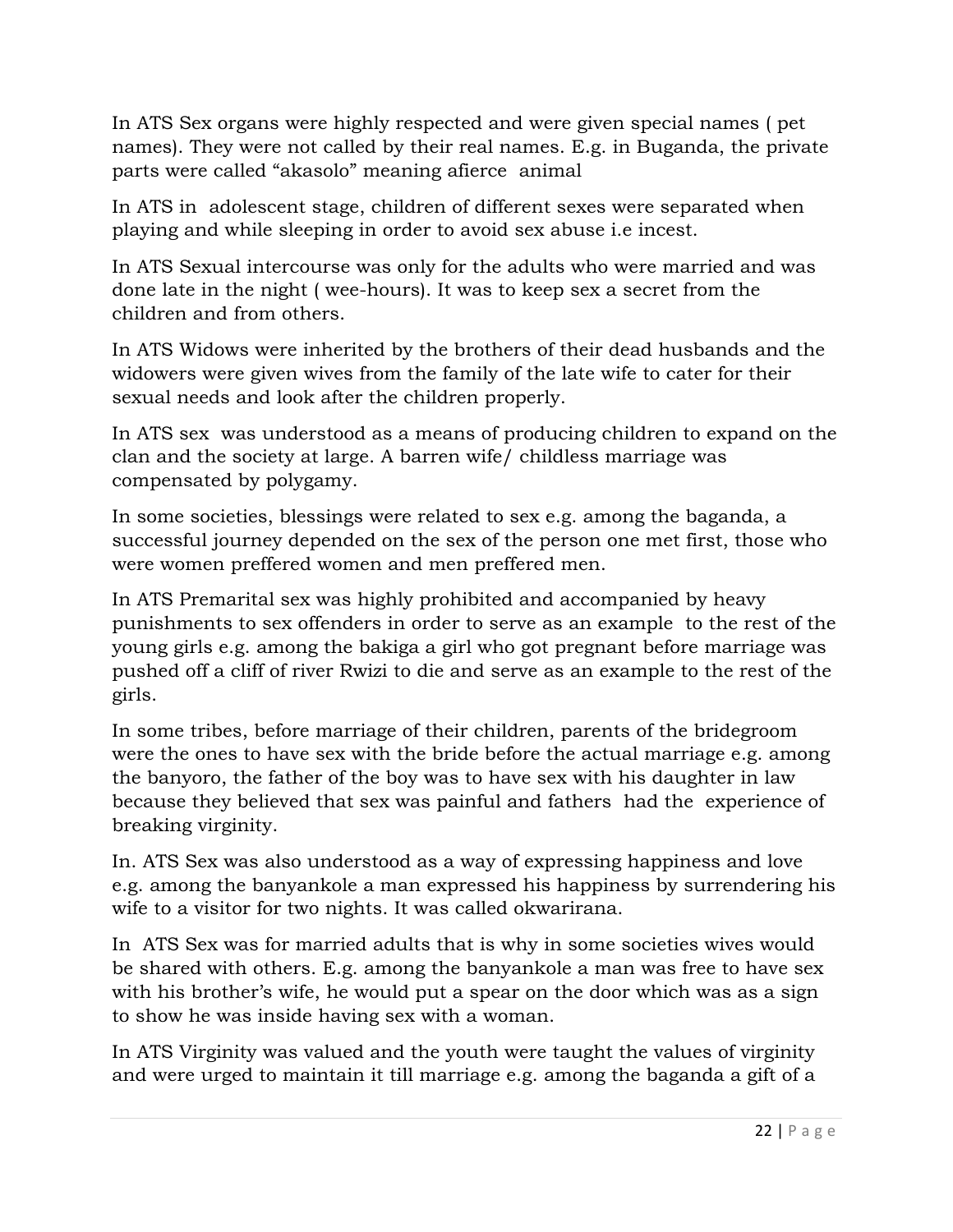In ATS Sex organs were highly respected and were given special names ( pet names). They were not called by their real names. E.g. in Buganda, the private parts were called "akasolo" meaning afierce animal

In ATS in adolescent stage, children of different sexes were separated when playing and while sleeping in order to avoid sex abuse i.e incest.

In ATS Sexual intercourse was only for the adults who were married and was done late in the night ( wee-hours). It was to keep sex a secret from the children and from others.

In ATS Widows were inherited by the brothers of their dead husbands and the widowers were given wives from the family of the late wife to cater for their sexual needs and look after the children properly.

In ATS sex was understood as a means of producing children to expand on the clan and the society at large. A barren wife/ childless marriage was compensated by polygamy.

In some societies, blessings were related to sex e.g. among the baganda, a successful journey depended on the sex of the person one met first, those who were women preffered women and men preffered men.

In ATS Premarital sex was highly prohibited and accompanied by heavy punishments to sex offenders in order to serve as an example to the rest of the young girls e.g. among the bakiga a girl who got pregnant before marriage was pushed off a cliff of river Rwizi to die and serve as an example to the rest of the girls.

In some tribes, before marriage of their children, parents of the bridegroom were the ones to have sex with the bride before the actual marriage e.g. among the banyoro, the father of the boy was to have sex with his daughter in law because they believed that sex was painful and fathers had the experience of breaking virginity.

In. ATS Sex was also understood as a way of expressing happiness and love e.g. among the banyankole a man expressed his happiness by surrendering his wife to a visitor for two nights. It was called okwarirana.

In ATS Sex was for married adults that is why in some societies wives would be shared with others. E.g. among the banyankole a man was free to have sex with his brother's wife, he would put a spear on the door which was as a sign to show he was inside having sex with a woman.

In ATS Virginity was valued and the youth were taught the values of virginity and were urged to maintain it till marriage e.g. among the baganda a gift of a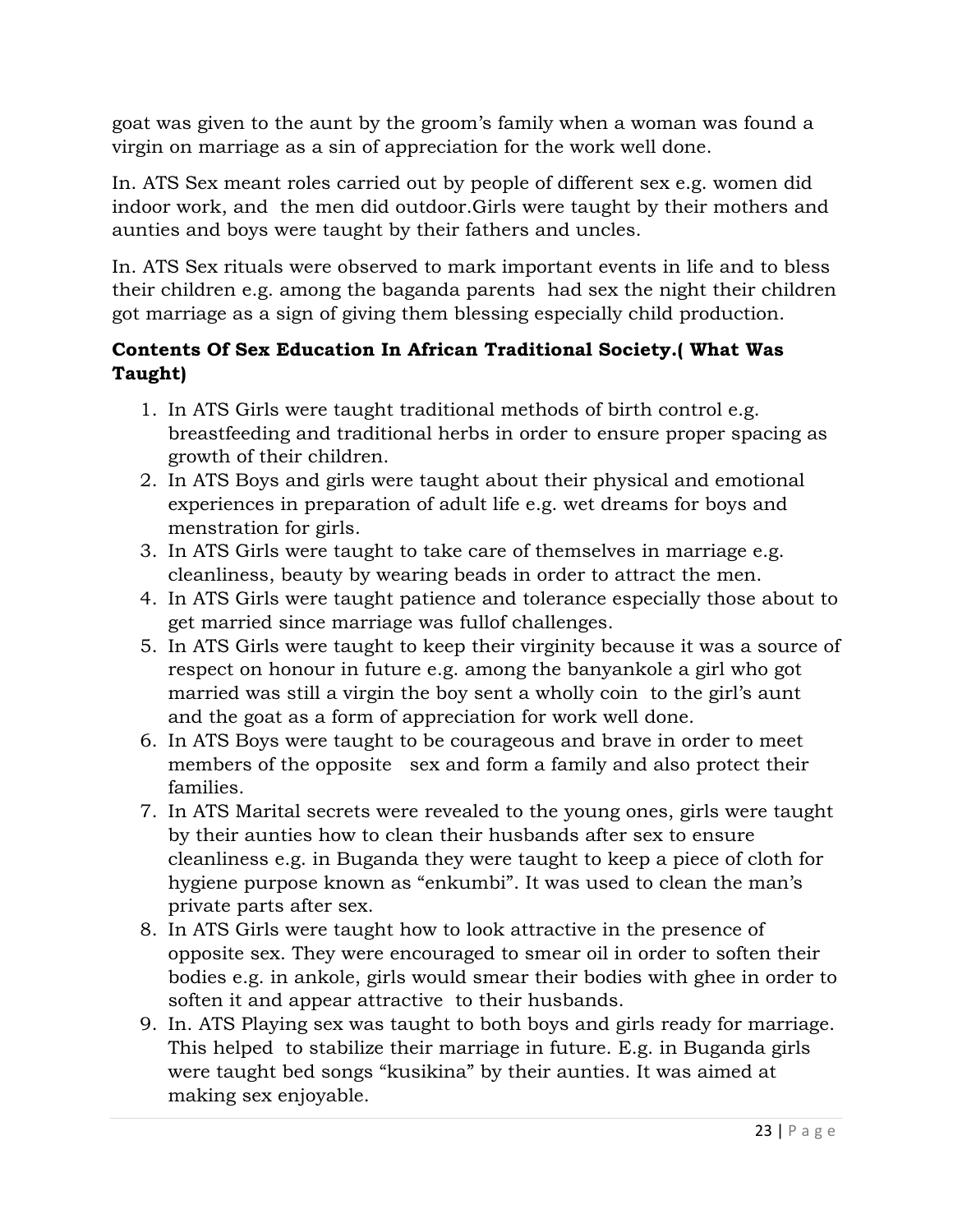goat was given to the aunt by the groom's family when a woman was found a virgin on marriage as a sin of appreciation for the work well done.

In. ATS Sex meant roles carried out by people of different sex e.g. women did indoor work, and the men did outdoor.Girls were taught by their mothers and aunties and boys were taught by their fathers and uncles.

In. ATS Sex rituals were observed to mark important events in life and to bless their children e.g. among the baganda parents had sex the night their children got marriage as a sign of giving them blessing especially child production.

### **Contents Of Sex Education In African Traditional Society.( What Was Taught)**

- 1. In ATS Girls were taught traditional methods of birth control e.g. breastfeeding and traditional herbs in order to ensure proper spacing as growth of their children.
- 2. In ATS Boys and girls were taught about their physical and emotional experiences in preparation of adult life e.g. wet dreams for boys and menstration for girls.
- 3. In ATS Girls were taught to take care of themselves in marriage e.g. cleanliness, beauty by wearing beads in order to attract the men.
- 4. In ATS Girls were taught patience and tolerance especially those about to get married since marriage was fullof challenges.
- 5. In ATS Girls were taught to keep their virginity because it was a source of respect on honour in future e.g. among the banyankole a girl who got married was still a virgin the boy sent a wholly coin to the girl's aunt and the goat as a form of appreciation for work well done.
- 6. In ATS Boys were taught to be courageous and brave in order to meet members of the opposite sex and form a family and also protect their families.
- 7. In ATS Marital secrets were revealed to the young ones, girls were taught by their aunties how to clean their husbands after sex to ensure cleanliness e.g. in Buganda they were taught to keep a piece of cloth for hygiene purpose known as "enkumbi". It was used to clean the man's private parts after sex.
- 8. In ATS Girls were taught how to look attractive in the presence of opposite sex. They were encouraged to smear oil in order to soften their bodies e.g. in ankole, girls would smear their bodies with ghee in order to soften it and appear attractive to their husbands.
- 9. In. ATS Playing sex was taught to both boys and girls ready for marriage. This helped to stabilize their marriage in future. E.g. in Buganda girls were taught bed songs "kusikina" by their aunties. It was aimed at making sex enjoyable.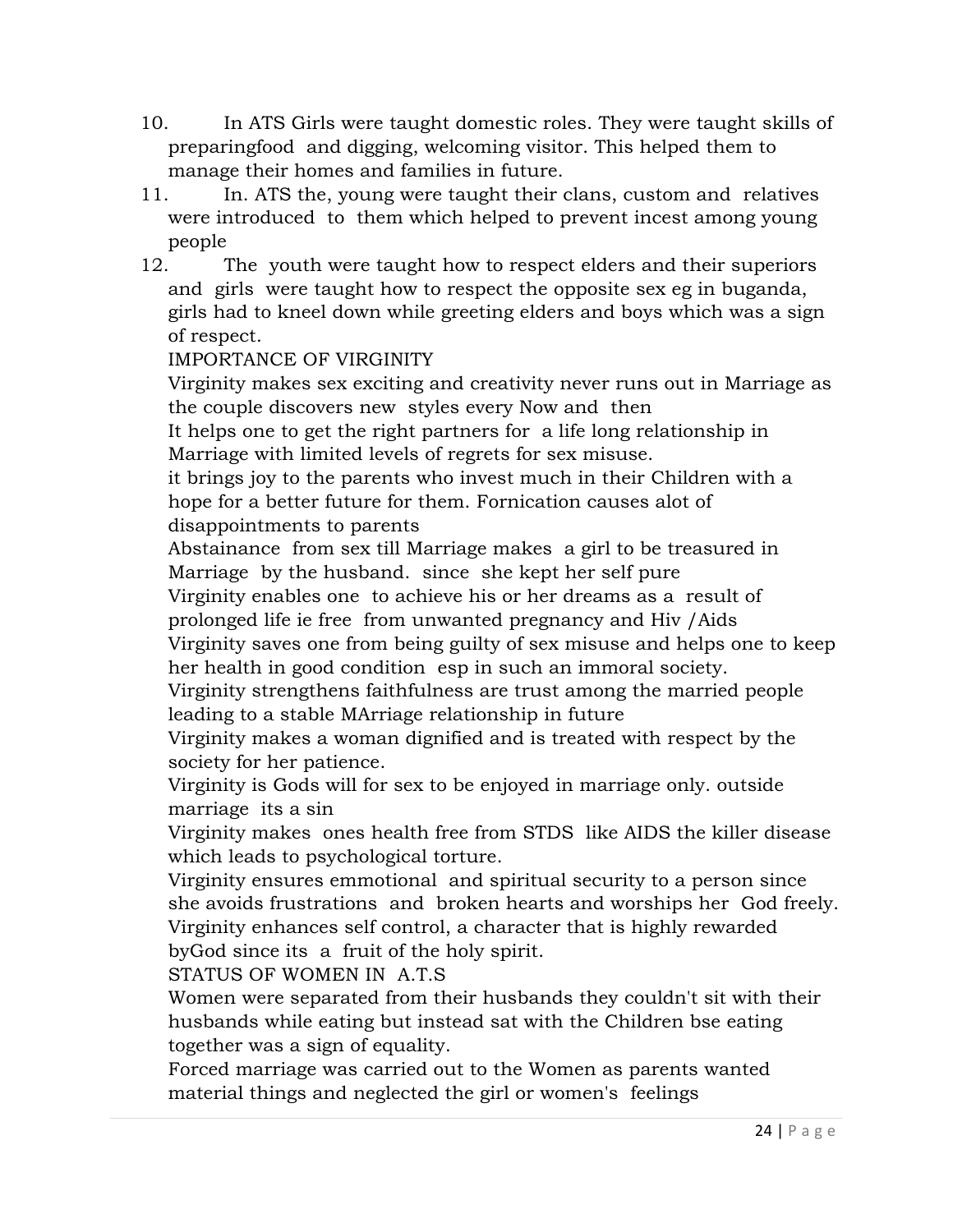- 10. In ATS Girls were taught domestic roles. They were taught skills of preparingfood and digging, welcoming visitor. This helped them to manage their homes and families in future.
- 11. In. ATS the, young were taught their clans, custom and relatives were introduced to them which helped to prevent incest among young people
- 12. The youth were taught how to respect elders and their superiors and girls were taught how to respect the opposite sex eg in buganda, girls had to kneel down while greeting elders and boys which was a sign of respect.

### IMPORTANCE OF VIRGINITY

Virginity makes sex exciting and creativity never runs out in Marriage as the couple discovers new styles every Now and then

It helps one to get the right partners for a life long relationship in Marriage with limited levels of regrets for sex misuse.

it brings joy to the parents who invest much in their Children with a hope for a better future for them. Fornication causes alot of disappointments to parents

Abstainance from sex till Marriage makes a girl to be treasured in Marriage by the husband. since she kept her self pure

Virginity enables one to achieve his or her dreams as a result of prolonged life ie free from unwanted pregnancy and Hiv /Aids

Virginity saves one from being guilty of sex misuse and helps one to keep her health in good condition esp in such an immoral society.

Virginity strengthens faithfulness are trust among the married people leading to a stable MArriage relationship in future

Virginity makes a woman dignified and is treated with respect by the society for her patience.

Virginity is Gods will for sex to be enjoyed in marriage only. outside marriage its a sin

Virginity makes ones health free from STDS like AIDS the killer disease which leads to psychological torture.

Virginity ensures emmotional and spiritual security to a person since she avoids frustrations and broken hearts and worships her God freely. Virginity enhances self control, a character that is highly rewarded byGod since its a fruit of the holy spirit.

STATUS OF WOMEN IN A.T.S

Women were separated from their husbands they couldn't sit with their husbands while eating but instead sat with the Children bse eating together was a sign of equality.

Forced marriage was carried out to the Women as parents wanted material things and neglected the girl or women's feelings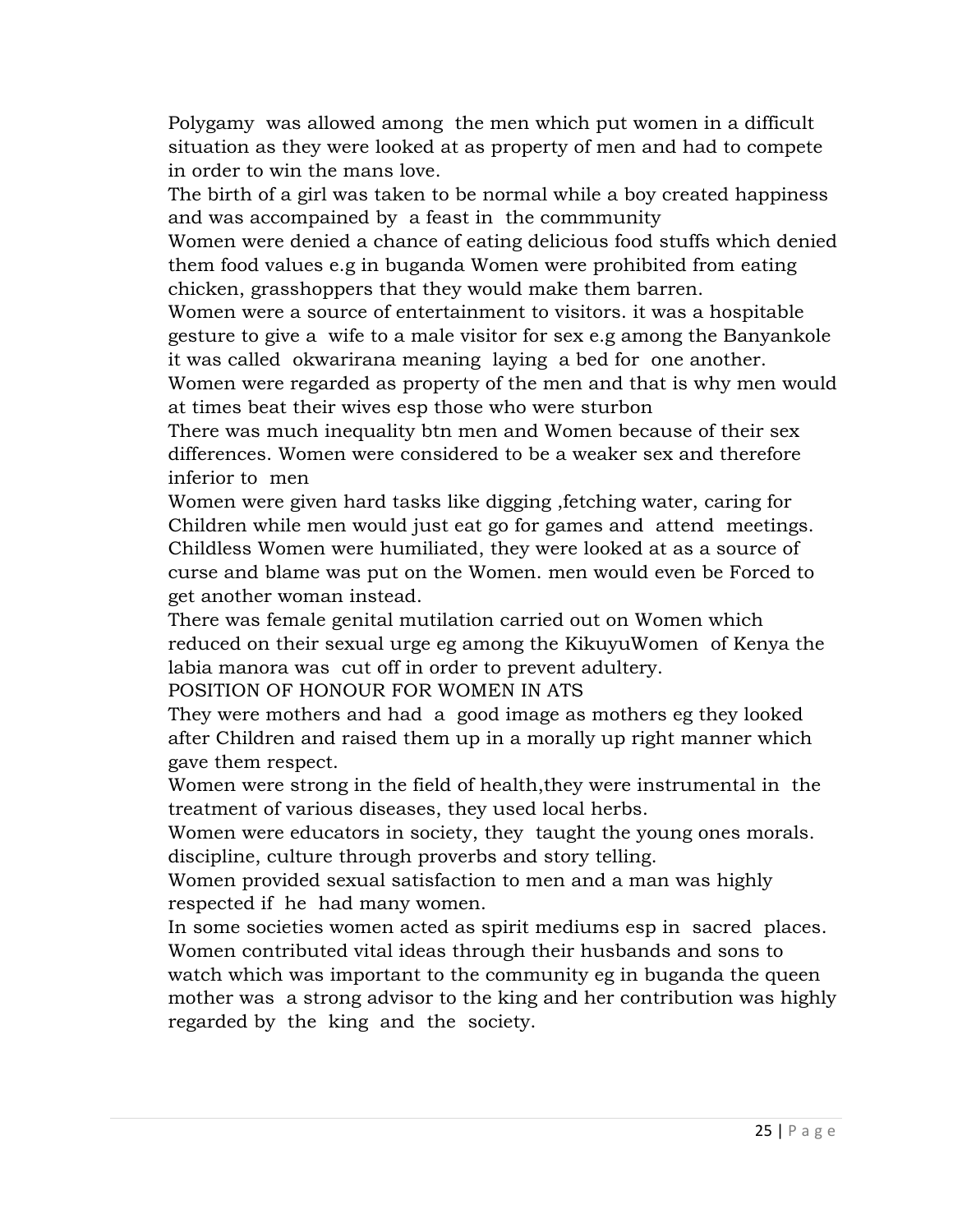Polygamy was allowed among the men which put women in a difficult situation as they were looked at as property of men and had to compete in order to win the mans love.

The birth of a girl was taken to be normal while a boy created happiness and was accompained by a feast in the commmunity

Women were denied a chance of eating delicious food stuffs which denied them food values e.g in buganda Women were prohibited from eating chicken, grasshoppers that they would make them barren.

Women were a source of entertainment to visitors. it was a hospitable gesture to give a wife to a male visitor for sex e.g among the Banyankole it was called okwarirana meaning laying a bed for one another.

Women were regarded as property of the men and that is why men would at times beat their wives esp those who were sturbon

There was much inequality btn men and Women because of their sex differences. Women were considered to be a weaker sex and therefore inferior to men

Women were given hard tasks like digging ,fetching water, caring for Children while men would just eat go for games and attend meetings. Childless Women were humiliated, they were looked at as a source of curse and blame was put on the Women. men would even be Forced to get another woman instead.

There was female genital mutilation carried out on Women which reduced on their sexual urge eg among the KikuyuWomen of Kenya the labia manora was cut off in order to prevent adultery.

POSITION OF HONOUR FOR WOMEN IN ATS

They were mothers and had a good image as mothers eg they looked after Children and raised them up in a morally up right manner which gave them respect.

Women were strong in the field of health,they were instrumental in the treatment of various diseases, they used local herbs.

Women were educators in society, they taught the young ones morals. discipline, culture through proverbs and story telling.

Women provided sexual satisfaction to men and a man was highly respected if he had many women.

In some societies women acted as spirit mediums esp in sacred places. Women contributed vital ideas through their husbands and sons to watch which was important to the community eg in buganda the queen mother was a strong advisor to the king and her contribution was highly regarded by the king and the society.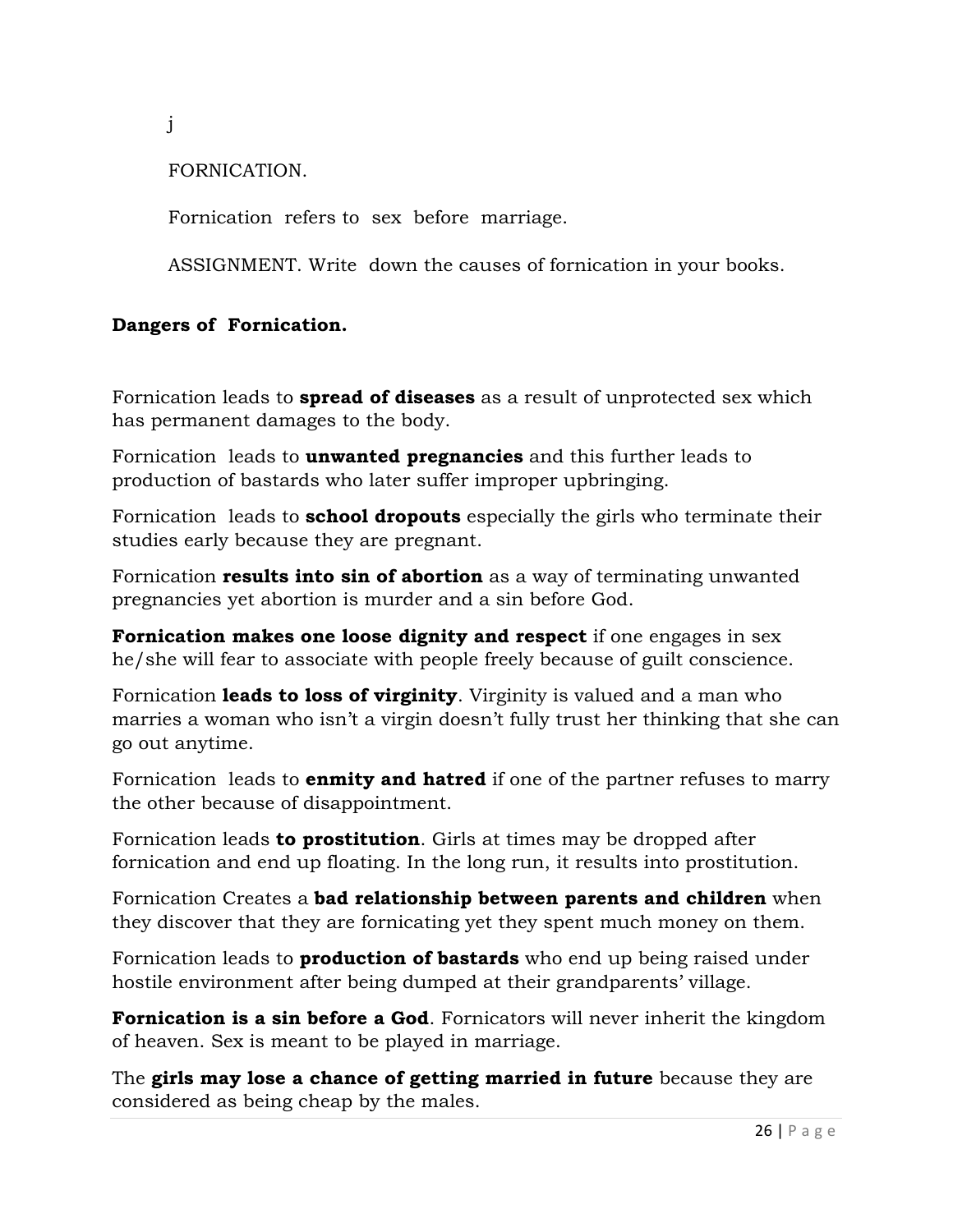j

### FORNICATION.

Fornication refers to sex before marriage.

ASSIGNMENT. Write down the causes of fornication in your books.

#### **Dangers of Fornication.**

Fornication leads to **spread of diseases** as a result of unprotected sex which has permanent damages to the body.

Fornication leads to **unwanted pregnancies** and this further leads to production of bastards who later suffer improper upbringing.

Fornication leads to **school dropouts** especially the girls who terminate their studies early because they are pregnant.

Fornication **results into sin of abortion** as a way of terminating unwanted pregnancies yet abortion is murder and a sin before God.

**Fornication makes one loose dignity and respect** if one engages in sex he/she will fear to associate with people freely because of guilt conscience.

Fornication **leads to loss of virginity**. Virginity is valued and a man who marries a woman who isn't a virgin doesn't fully trust her thinking that she can go out anytime.

Fornication leads to **enmity and hatred** if one of the partner refuses to marry the other because of disappointment.

Fornication leads **to prostitution**. Girls at times may be dropped after fornication and end up floating. In the long run, it results into prostitution.

Fornication Creates a **bad relationship between parents and children** when they discover that they are fornicating yet they spent much money on them.

Fornication leads to **production of bastards** who end up being raised under hostile environment after being dumped at their grandparents' village.

**Fornication is a sin before a God**. Fornicators will never inherit the kingdom of heaven. Sex is meant to be played in marriage.

The **girls may lose a chance of getting married in future** because they are considered as being cheap by the males.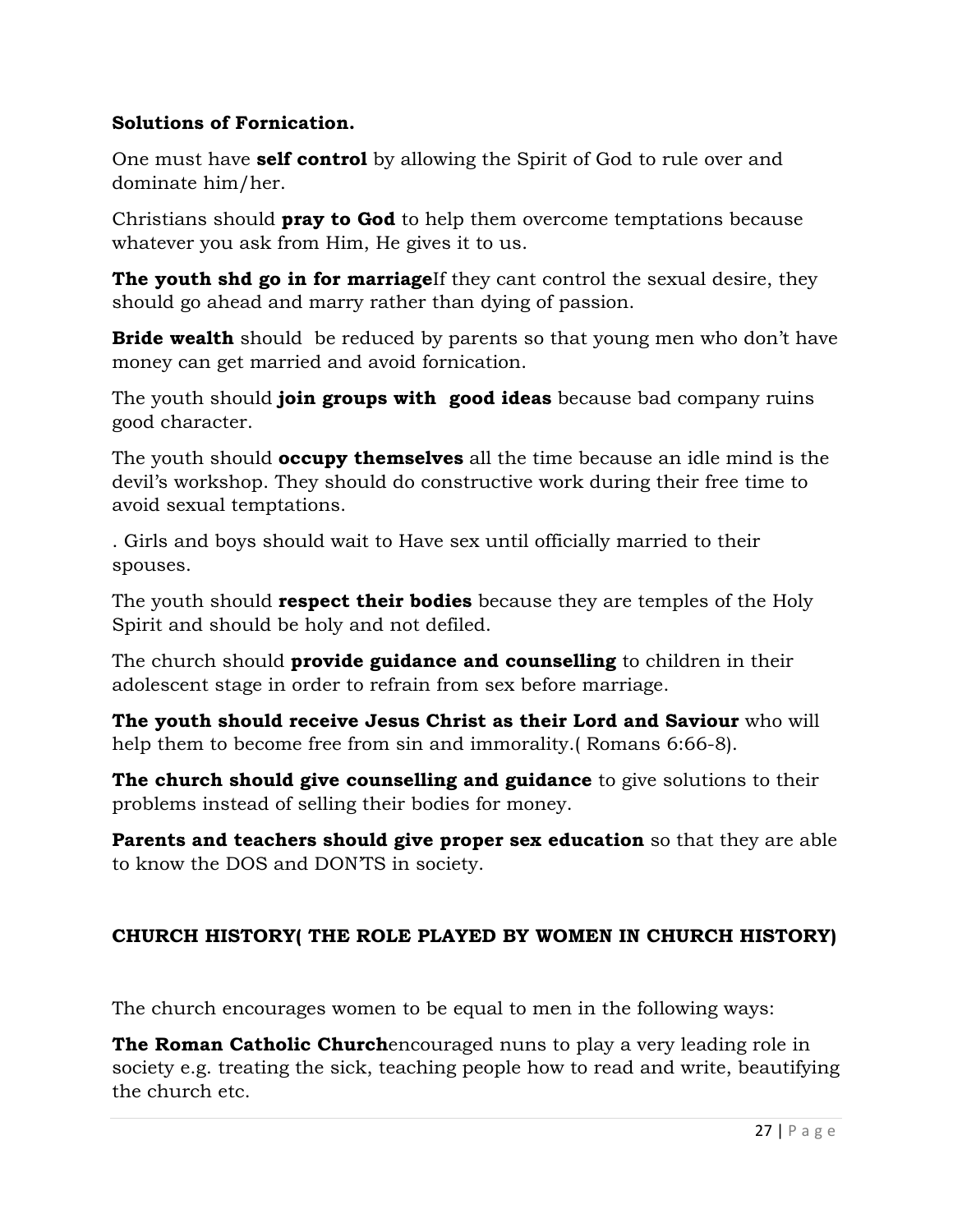### **Solutions of Fornication.**

One must have **self control** by allowing the Spirit of God to rule over and dominate him/her.

Christians should **pray to God** to help them overcome temptations because whatever you ask from Him, He gives it to us.

**The youth shd go in for marriage**If they cant control the sexual desire, they should go ahead and marry rather than dying of passion.

**Bride wealth** should be reduced by parents so that young men who don't have money can get married and avoid fornication.

The youth should **join groups with good ideas** because bad company ruins good character.

The youth should **occupy themselves** all the time because an idle mind is the devil's workshop. They should do constructive work during their free time to avoid sexual temptations.

. Girls and boys should wait to Have sex until officially married to their spouses.

The youth should **respect their bodies** because they are temples of the Holy Spirit and should be holy and not defiled.

The church should **provide guidance and counselling** to children in their adolescent stage in order to refrain from sex before marriage.

**The youth should receive Jesus Christ as their Lord and Saviour** who will help them to become free from sin and immorality.( Romans 6:66-8).

**The church should give counselling and guidance** to give solutions to their problems instead of selling their bodies for money.

**Parents and teachers should give proper sex education** so that they are able to know the DOS and DON'TS in society.

# **CHURCH HISTORY( THE ROLE PLAYED BY WOMEN IN CHURCH HISTORY)**

The church encourages women to be equal to men in the following ways:

**The Roman Catholic Church**encouraged nuns to play a very leading role in society e.g. treating the sick, teaching people how to read and write, beautifying the church etc.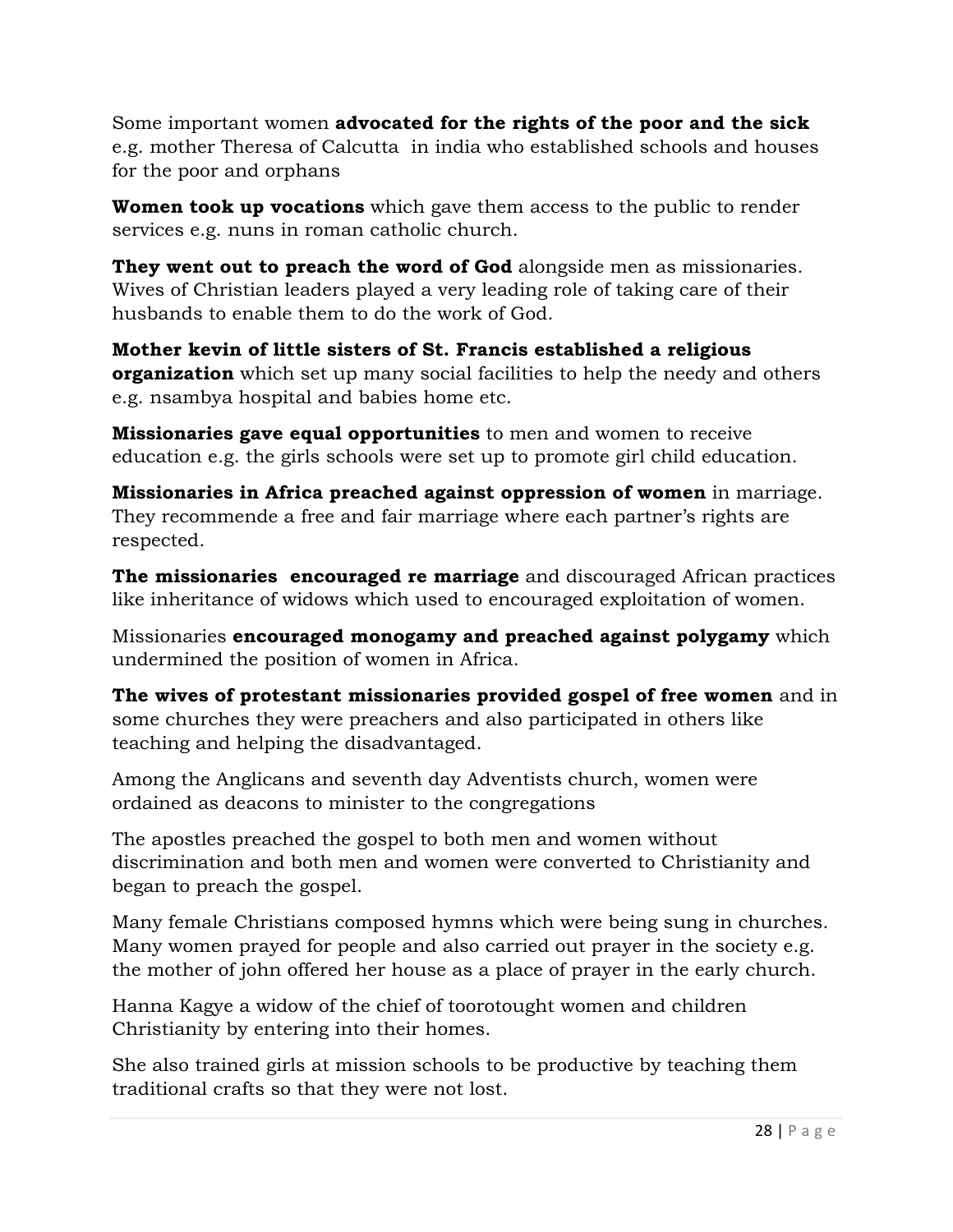Some important women **advocated for the rights of the poor and the sick** e.g. mother Theresa of Calcutta in india who established schools and houses for the poor and orphans

**Women took up vocations** which gave them access to the public to render services e.g. nuns in roman catholic church.

**They went out to preach the word of God** alongside men as missionaries. Wives of Christian leaders played a very leading role of taking care of their husbands to enable them to do the work of God.

**Mother kevin of little sisters of St. Francis established a religious organization** which set up many social facilities to help the needy and others e.g. nsambya hospital and babies home etc.

**Missionaries gave equal opportunities** to men and women to receive education e.g. the girls schools were set up to promote girl child education.

**Missionaries in Africa preached against oppression of women** in marriage. They recommende a free and fair marriage where each partner's rights are respected.

**The missionaries encouraged re marriage** and discouraged African practices like inheritance of widows which used to encouraged exploitation of women.

Missionaries **encouraged monogamy and preached against polygamy** which undermined the position of women in Africa.

**The wives of protestant missionaries provided gospel of free women** and in some churches they were preachers and also participated in others like teaching and helping the disadvantaged.

Among the Anglicans and seventh day Adventists church, women were ordained as deacons to minister to the congregations

The apostles preached the gospel to both men and women without discrimination and both men and women were converted to Christianity and began to preach the gospel.

Many female Christians composed hymns which were being sung in churches. Many women prayed for people and also carried out prayer in the society e.g. the mother of john offered her house as a place of prayer in the early church.

Hanna Kagye a widow of the chief of toorotought women and children Christianity by entering into their homes.

She also trained girls at mission schools to be productive by teaching them traditional crafts so that they were not lost.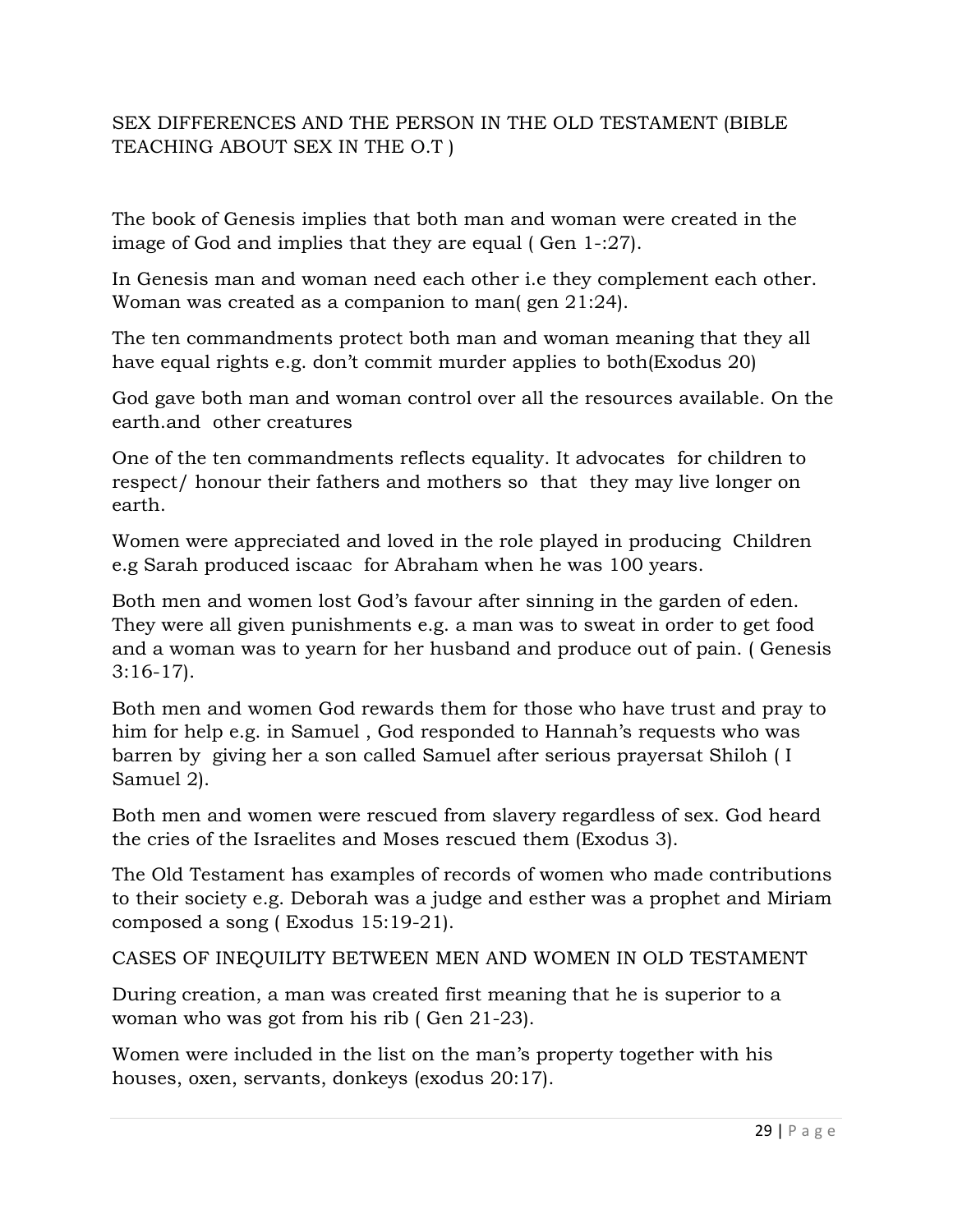### SEX DIFFERENCES AND THE PERSON IN THE OLD TESTAMENT (BIBLE TEACHING ABOUT SEX IN THE O.T )

The book of Genesis implies that both man and woman were created in the image of God and implies that they are equal ( Gen 1-:27).

In Genesis man and woman need each other i.e they complement each other. Woman was created as a companion to man( gen 21:24).

The ten commandments protect both man and woman meaning that they all have equal rights e.g. don't commit murder applies to both(Exodus 20)

God gave both man and woman control over all the resources available. On the earth.and other creatures

One of the ten commandments reflects equality. It advocates for children to respect/ honour their fathers and mothers so that they may live longer on earth.

Women were appreciated and loved in the role played in producing Children e.g Sarah produced iscaac for Abraham when he was 100 years.

Both men and women lost God's favour after sinning in the garden of eden. They were all given punishments e.g. a man was to sweat in order to get food and a woman was to yearn for her husband and produce out of pain. ( Genesis 3:16-17).

Both men and women God rewards them for those who have trust and pray to him for help e.g. in Samuel , God responded to Hannah's requests who was barren by giving her a son called Samuel after serious prayersat Shiloh ( I Samuel 2).

Both men and women were rescued from slavery regardless of sex. God heard the cries of the Israelites and Moses rescued them (Exodus 3).

The Old Testament has examples of records of women who made contributions to their society e.g. Deborah was a judge and esther was a prophet and Miriam composed a song ( Exodus 15:19-21).

CASES OF INEQUILITY BETWEEN MEN AND WOMEN IN OLD TESTAMENT

During creation, a man was created first meaning that he is superior to a woman who was got from his rib ( Gen 21-23).

Women were included in the list on the man's property together with his houses, oxen, servants, donkeys (exodus 20:17).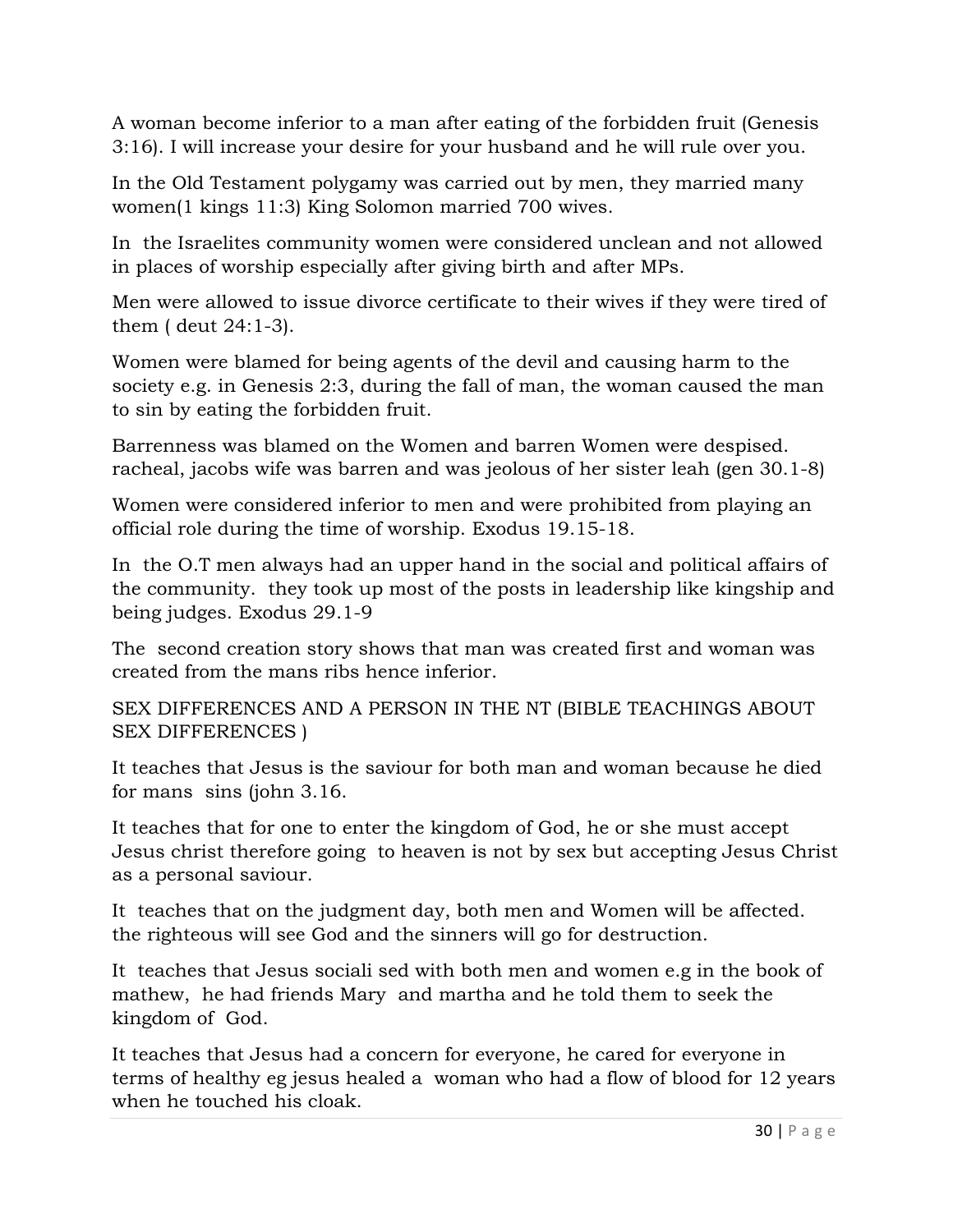A woman become inferior to a man after eating of the forbidden fruit (Genesis 3:16). I will increase your desire for your husband and he will rule over you.

In the Old Testament polygamy was carried out by men, they married many women(1 kings 11:3) King Solomon married 700 wives.

In the Israelites community women were considered unclean and not allowed in places of worship especially after giving birth and after MPs.

Men were allowed to issue divorce certificate to their wives if they were tired of them ( deut 24:1-3).

Women were blamed for being agents of the devil and causing harm to the society e.g. in Genesis 2:3, during the fall of man, the woman caused the man to sin by eating the forbidden fruit.

Barrenness was blamed on the Women and barren Women were despised. racheal, jacobs wife was barren and was jeolous of her sister leah (gen 30.1-8)

Women were considered inferior to men and were prohibited from playing an official role during the time of worship. Exodus 19.15-18.

In the O.T men always had an upper hand in the social and political affairs of the community. they took up most of the posts in leadership like kingship and being judges. Exodus 29.1-9

The second creation story shows that man was created first and woman was created from the mans ribs hence inferior.

SEX DIFFERENCES AND A PERSON IN THE NT (BIBLE TEACHINGS ABOUT SEX DIFFERENCES )

It teaches that Jesus is the saviour for both man and woman because he died for mans sins (john 3.16.

It teaches that for one to enter the kingdom of God, he or she must accept Jesus christ therefore going to heaven is not by sex but accepting Jesus Christ as a personal saviour.

It teaches that on the judgment day, both men and Women will be affected. the righteous will see God and the sinners will go for destruction.

It teaches that Jesus sociali sed with both men and women e.g in the book of mathew, he had friends Mary and martha and he told them to seek the kingdom of God.

It teaches that Jesus had a concern for everyone, he cared for everyone in terms of healthy eg jesus healed a woman who had a flow of blood for 12 years when he touched his cloak.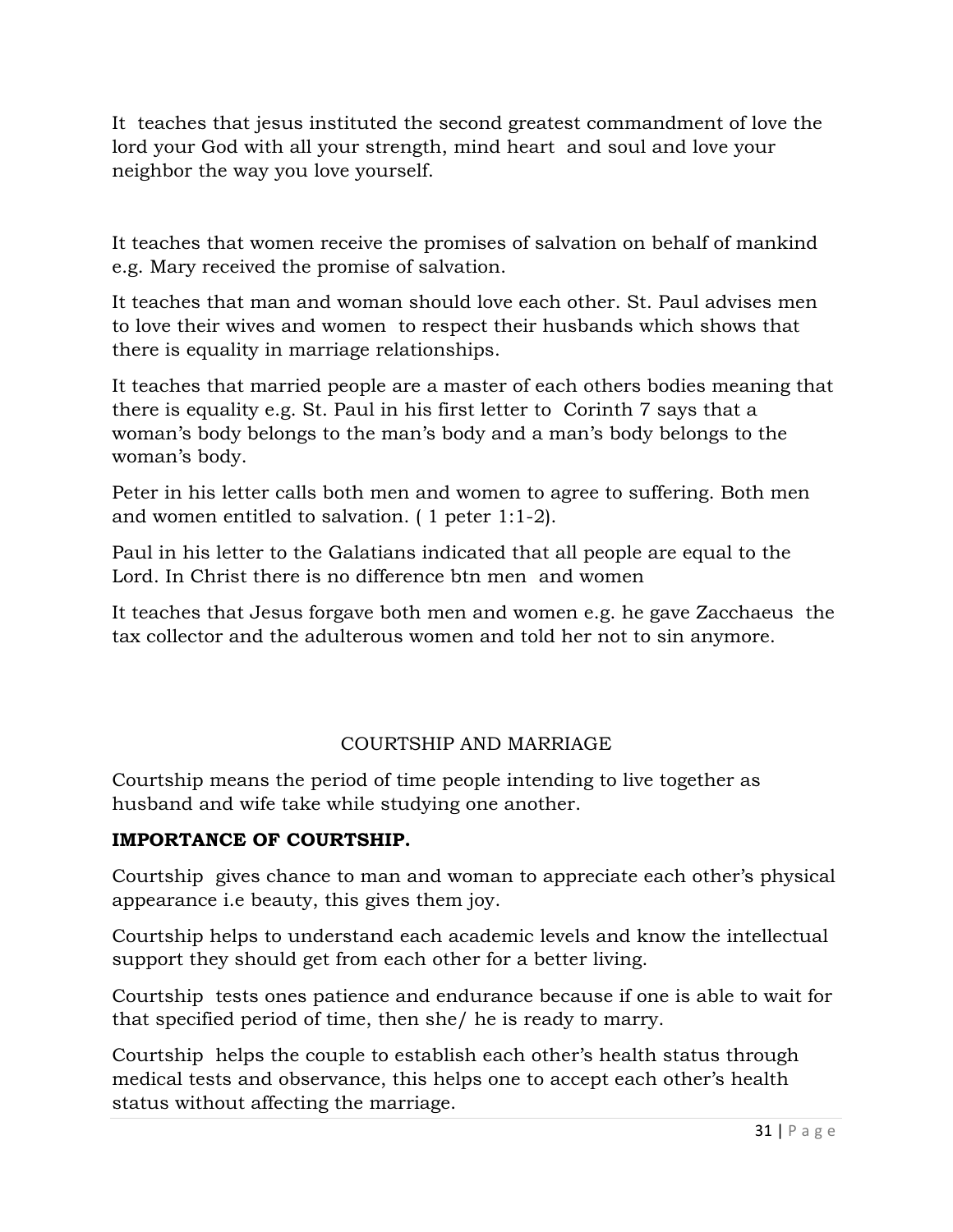It teaches that jesus instituted the second greatest commandment of love the lord your God with all your strength, mind heart and soul and love your neighbor the way you love yourself.

It teaches that women receive the promises of salvation on behalf of mankind e.g. Mary received the promise of salvation.

It teaches that man and woman should love each other. St. Paul advises men to love their wives and women to respect their husbands which shows that there is equality in marriage relationships.

It teaches that married people are a master of each others bodies meaning that there is equality e.g. St. Paul in his first letter to Corinth 7 says that a woman's body belongs to the man's body and a man's body belongs to the woman's body.

Peter in his letter calls both men and women to agree to suffering. Both men and women entitled to salvation. ( 1 peter 1:1-2).

Paul in his letter to the Galatians indicated that all people are equal to the Lord. In Christ there is no difference btn men and women

It teaches that Jesus forgave both men and women e.g. he gave Zacchaeus the tax collector and the adulterous women and told her not to sin anymore.

# COURTSHIP AND MARRIAGE

Courtship means the period of time people intending to live together as husband and wife take while studying one another.

### **IMPORTANCE OF COURTSHIP.**

Courtship gives chance to man and woman to appreciate each other's physical appearance i.e beauty, this gives them joy.

Courtship helps to understand each academic levels and know the intellectual support they should get from each other for a better living.

Courtship tests ones patience and endurance because if one is able to wait for that specified period of time, then she/ he is ready to marry.

Courtship helps the couple to establish each other's health status through medical tests and observance, this helps one to accept each other's health status without affecting the marriage.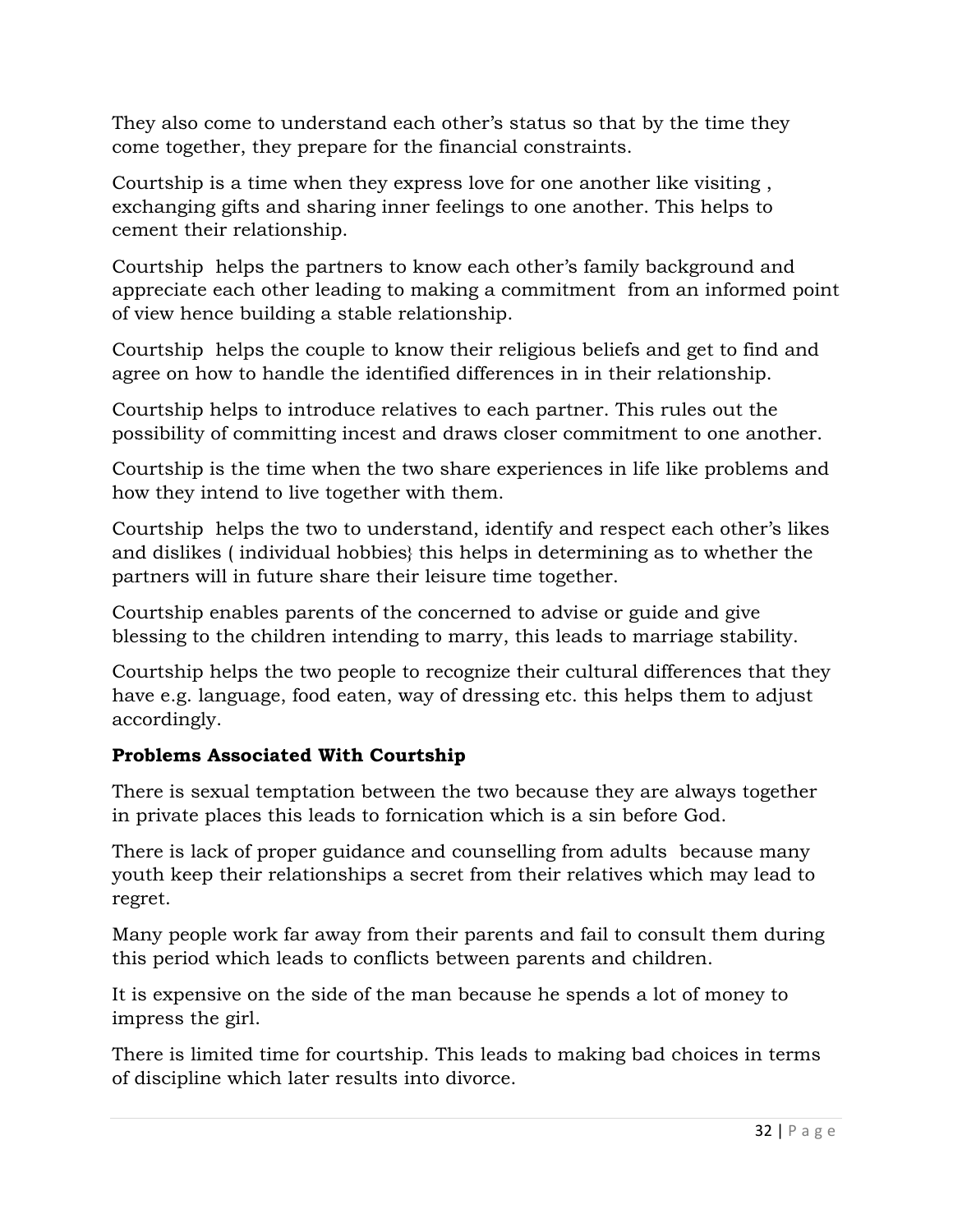They also come to understand each other's status so that by the time they come together, they prepare for the financial constraints.

Courtship is a time when they express love for one another like visiting , exchanging gifts and sharing inner feelings to one another. This helps to cement their relationship.

Courtship helps the partners to know each other's family background and appreciate each other leading to making a commitment from an informed point of view hence building a stable relationship.

Courtship helps the couple to know their religious beliefs and get to find and agree on how to handle the identified differences in in their relationship.

Courtship helps to introduce relatives to each partner. This rules out the possibility of committing incest and draws closer commitment to one another.

Courtship is the time when the two share experiences in life like problems and how they intend to live together with them.

Courtship helps the two to understand, identify and respect each other's likes and dislikes ( individual hobbies} this helps in determining as to whether the partners will in future share their leisure time together.

Courtship enables parents of the concerned to advise or guide and give blessing to the children intending to marry, this leads to marriage stability.

Courtship helps the two people to recognize their cultural differences that they have e.g. language, food eaten, way of dressing etc. this helps them to adjust accordingly.

# **Problems Associated With Courtship**

There is sexual temptation between the two because they are always together in private places this leads to fornication which is a sin before God.

There is lack of proper guidance and counselling from adults because many youth keep their relationships a secret from their relatives which may lead to regret.

Many people work far away from their parents and fail to consult them during this period which leads to conflicts between parents and children.

It is expensive on the side of the man because he spends a lot of money to impress the girl.

There is limited time for courtship. This leads to making bad choices in terms of discipline which later results into divorce.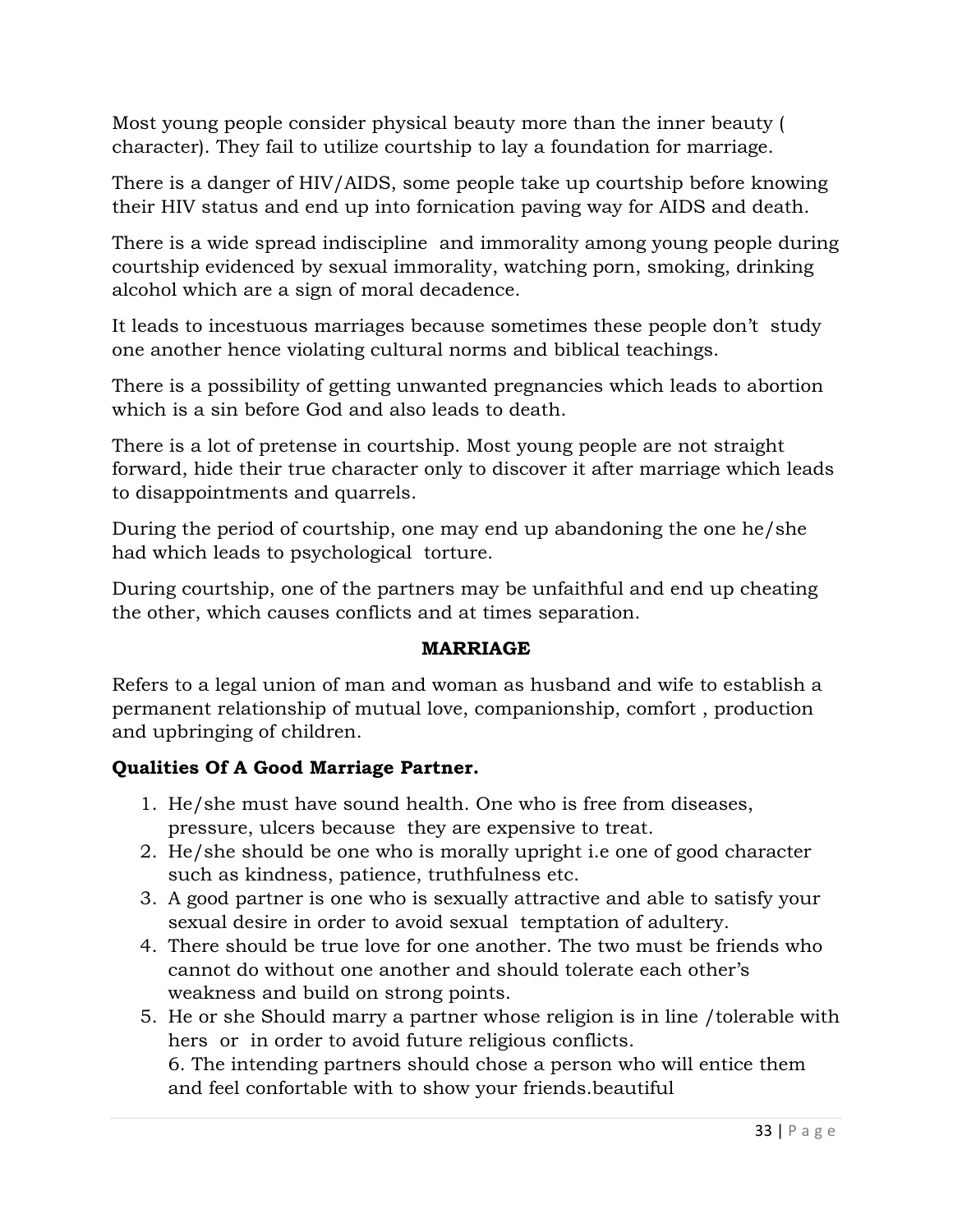Most young people consider physical beauty more than the inner beauty ( character). They fail to utilize courtship to lay a foundation for marriage.

There is a danger of HIV/AIDS, some people take up courtship before knowing their HIV status and end up into fornication paving way for AIDS and death.

There is a wide spread indiscipline and immorality among young people during courtship evidenced by sexual immorality, watching porn, smoking, drinking alcohol which are a sign of moral decadence.

It leads to incestuous marriages because sometimes these people don't study one another hence violating cultural norms and biblical teachings.

There is a possibility of getting unwanted pregnancies which leads to abortion which is a sin before God and also leads to death.

There is a lot of pretense in courtship. Most young people are not straight forward, hide their true character only to discover it after marriage which leads to disappointments and quarrels.

During the period of courtship, one may end up abandoning the one he/she had which leads to psychological torture.

During courtship, one of the partners may be unfaithful and end up cheating the other, which causes conflicts and at times separation.

### **MARRIAGE**

Refers to a legal union of man and woman as husband and wife to establish a permanent relationship of mutual love, companionship, comfort , production and upbringing of children.

# **Qualities Of A Good Marriage Partner.**

- 1. He/she must have sound health. One who is free from diseases, pressure, ulcers because they are expensive to treat.
- 2. He/she should be one who is morally upright i.e one of good character such as kindness, patience, truthfulness etc.
- 3. A good partner is one who is sexually attractive and able to satisfy your sexual desire in order to avoid sexual temptation of adultery.
- 4. There should be true love for one another. The two must be friends who cannot do without one another and should tolerate each other's weakness and build on strong points.
- 5. He or she Should marry a partner whose religion is in line /tolerable with hers or in order to avoid future religious conflicts.

6. The intending partners should chose a person who will entice them and feel confortable with to show your friends.beautiful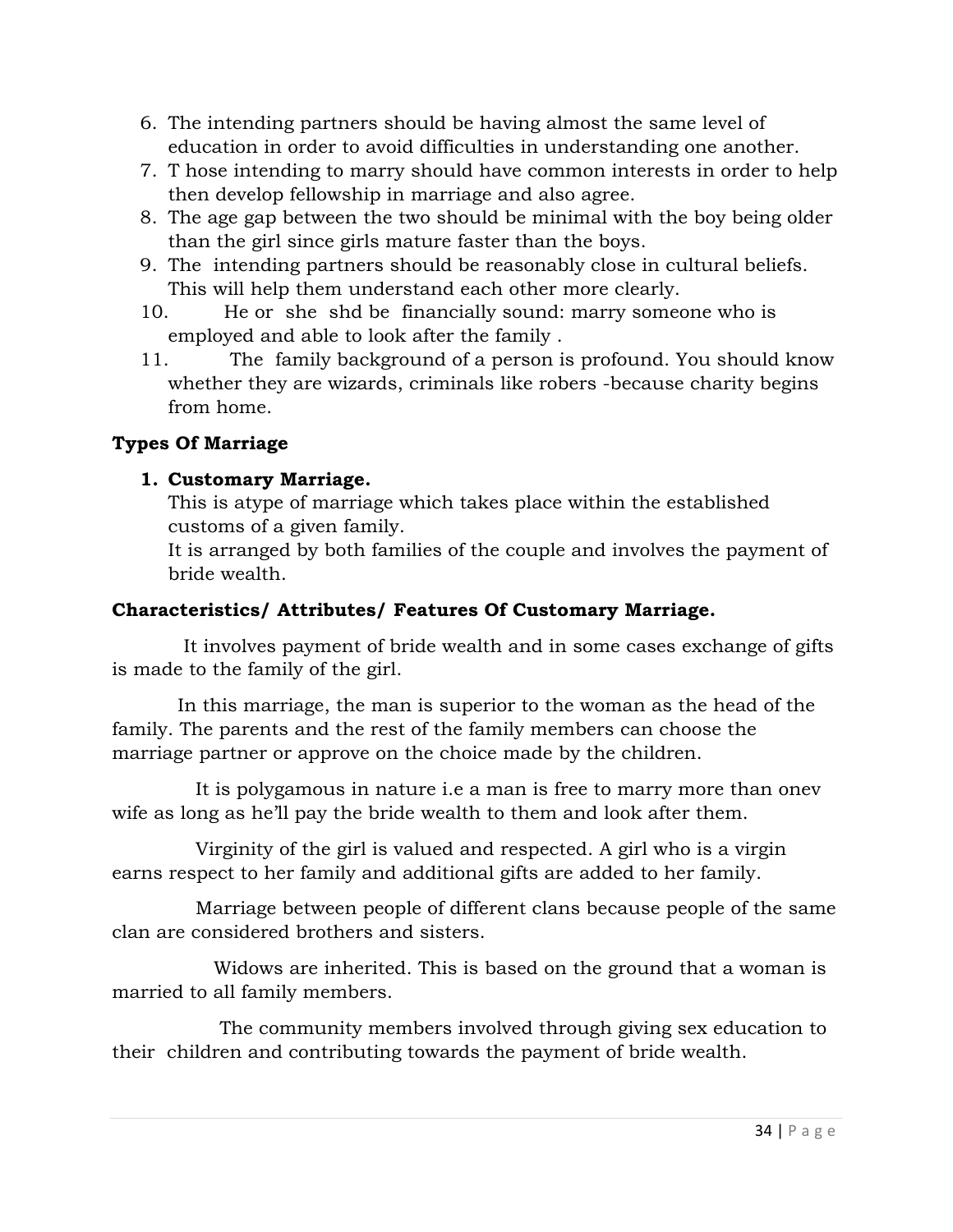- 6. The intending partners should be having almost the same level of education in order to avoid difficulties in understanding one another.
- 7. T hose intending to marry should have common interests in order to help then develop fellowship in marriage and also agree.
- 8. The age gap between the two should be minimal with the boy being older than the girl since girls mature faster than the boys.
- 9. The intending partners should be reasonably close in cultural beliefs. This will help them understand each other more clearly.
- 10. He or she shd be financially sound: marry someone who is employed and able to look after the family .
- 11. The family background of a person is profound. You should know whether they are wizards, criminals like robers -because charity begins from home.

### **Types Of Marriage**

#### **1. Customary Marriage.**

This is atype of marriage which takes place within the established customs of a given family.

It is arranged by both families of the couple and involves the payment of bride wealth.

#### **Characteristics/ Attributes/ Features Of Customary Marriage.**

 It involves payment of bride wealth and in some cases exchange of gifts is made to the family of the girl.

 In this marriage, the man is superior to the woman as the head of the family. The parents and the rest of the family members can choose the marriage partner or approve on the choice made by the children.

 It is polygamous in nature i.e a man is free to marry more than onev wife as long as he'll pay the bride wealth to them and look after them.

 Virginity of the girl is valued and respected. A girl who is a virgin earns respect to her family and additional gifts are added to her family.

 Marriage between people of different clans because people of the same clan are considered brothers and sisters.

 Widows are inherited. This is based on the ground that a woman is married to all family members.

 The community members involved through giving sex education to their children and contributing towards the payment of bride wealth.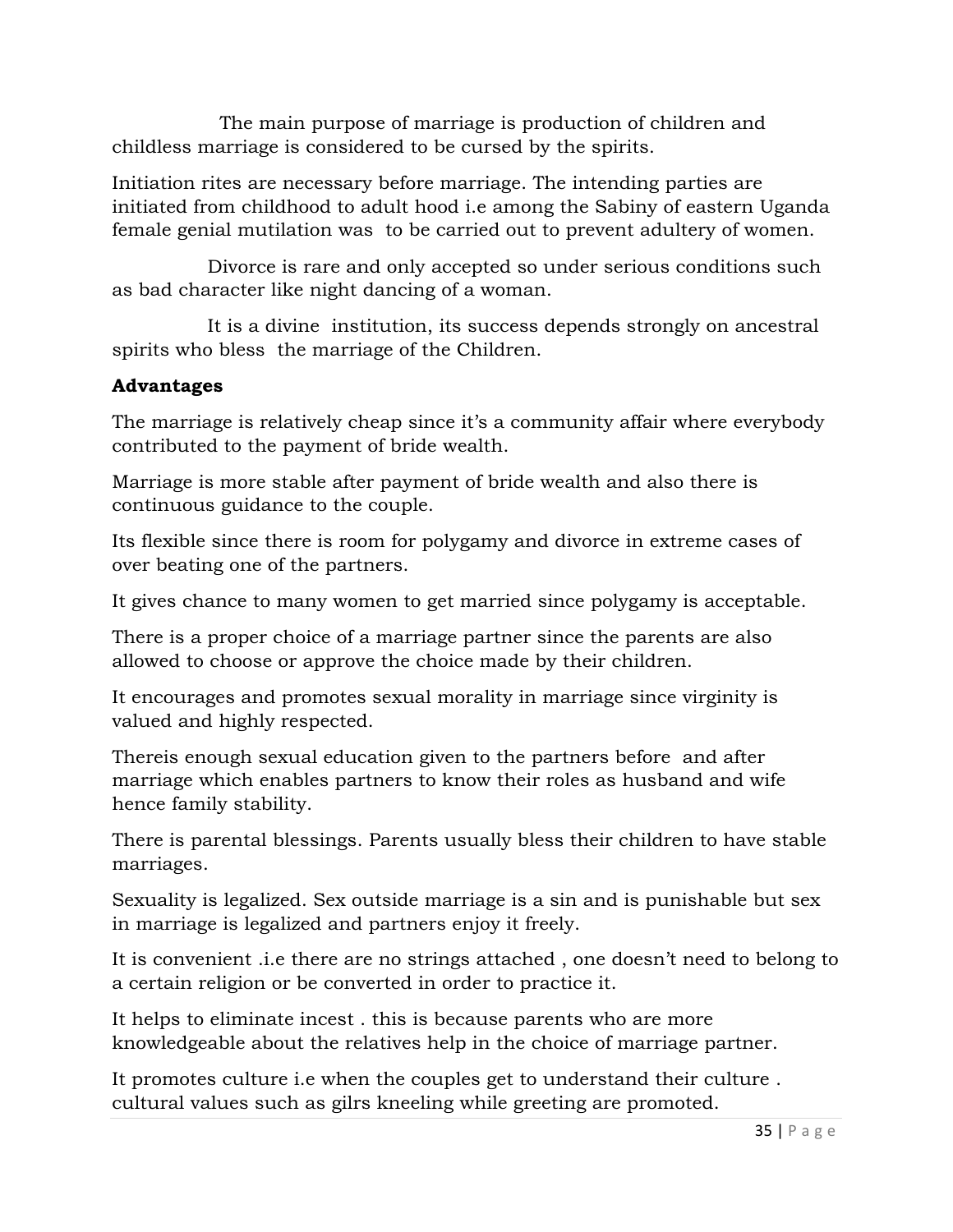The main purpose of marriage is production of children and childless marriage is considered to be cursed by the spirits.

Initiation rites are necessary before marriage. The intending parties are initiated from childhood to adult hood i.e among the Sabiny of eastern Uganda female genial mutilation was to be carried out to prevent adultery of women.

 Divorce is rare and only accepted so under serious conditions such as bad character like night dancing of a woman.

 It is a divine institution, its success depends strongly on ancestral spirits who bless the marriage of the Children.

### **Advantages**

The marriage is relatively cheap since it's a community affair where everybody contributed to the payment of bride wealth.

Marriage is more stable after payment of bride wealth and also there is continuous guidance to the couple.

Its flexible since there is room for polygamy and divorce in extreme cases of over beating one of the partners.

It gives chance to many women to get married since polygamy is acceptable.

There is a proper choice of a marriage partner since the parents are also allowed to choose or approve the choice made by their children.

It encourages and promotes sexual morality in marriage since virginity is valued and highly respected.

Thereis enough sexual education given to the partners before and after marriage which enables partners to know their roles as husband and wife hence family stability.

There is parental blessings. Parents usually bless their children to have stable marriages.

Sexuality is legalized. Sex outside marriage is a sin and is punishable but sex in marriage is legalized and partners enjoy it freely.

It is convenient .i.e there are no strings attached , one doesn't need to belong to a certain religion or be converted in order to practice it.

It helps to eliminate incest . this is because parents who are more knowledgeable about the relatives help in the choice of marriage partner.

It promotes culture i.e when the couples get to understand their culture . cultural values such as gilrs kneeling while greeting are promoted.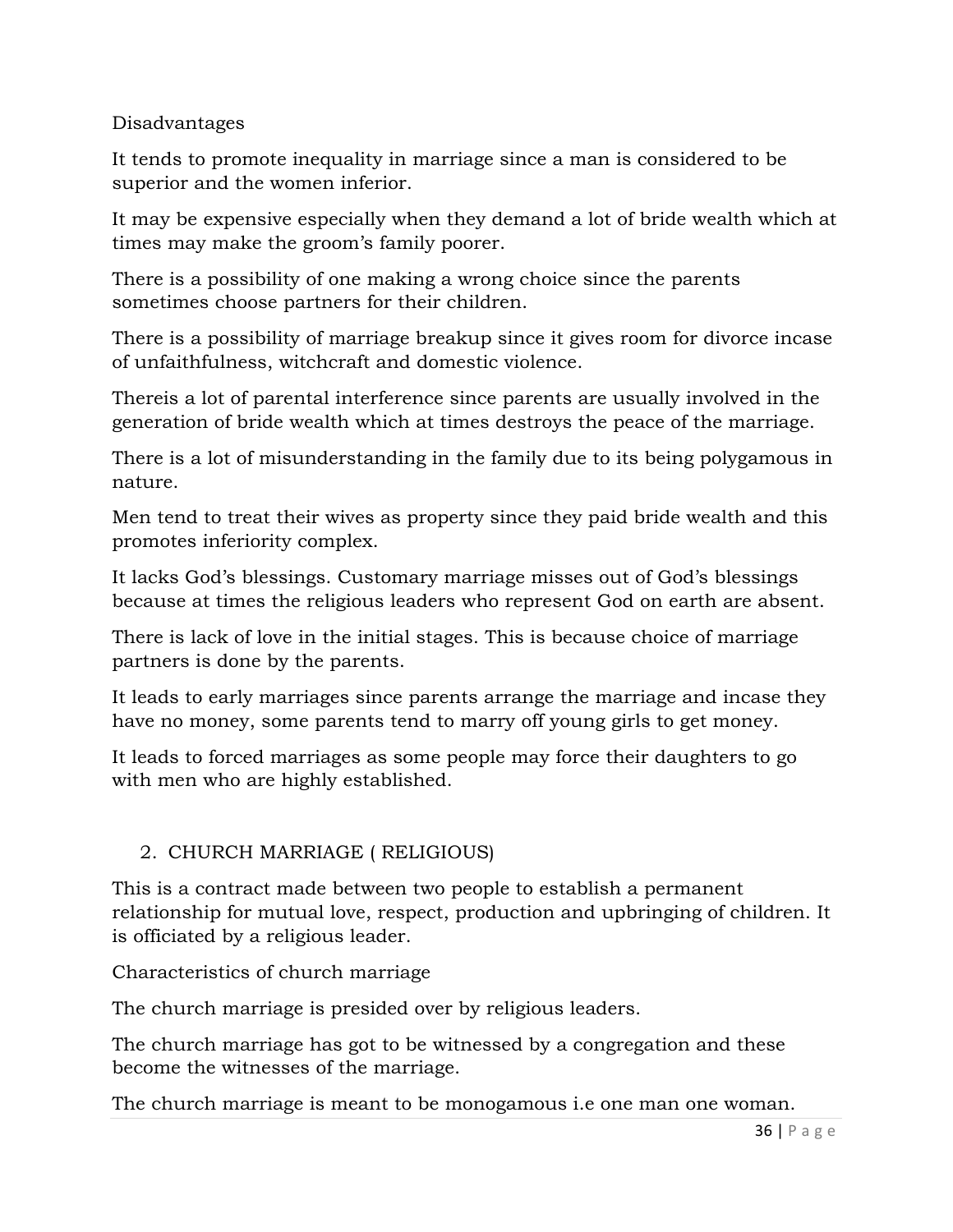Disadvantages

It tends to promote inequality in marriage since a man is considered to be superior and the women inferior.

It may be expensive especially when they demand a lot of bride wealth which at times may make the groom's family poorer.

There is a possibility of one making a wrong choice since the parents sometimes choose partners for their children.

There is a possibility of marriage breakup since it gives room for divorce incase of unfaithfulness, witchcraft and domestic violence.

Thereis a lot of parental interference since parents are usually involved in the generation of bride wealth which at times destroys the peace of the marriage.

There is a lot of misunderstanding in the family due to its being polygamous in nature.

Men tend to treat their wives as property since they paid bride wealth and this promotes inferiority complex.

It lacks God's blessings. Customary marriage misses out of God's blessings because at times the religious leaders who represent God on earth are absent.

There is lack of love in the initial stages. This is because choice of marriage partners is done by the parents.

It leads to early marriages since parents arrange the marriage and incase they have no money, some parents tend to marry off young girls to get money.

It leads to forced marriages as some people may force their daughters to go with men who are highly established.

# 2. CHURCH MARRIAGE ( RELIGIOUS)

This is a contract made between two people to establish a permanent relationship for mutual love, respect, production and upbringing of children. It is officiated by a religious leader.

Characteristics of church marriage

The church marriage is presided over by religious leaders.

The church marriage has got to be witnessed by a congregation and these become the witnesses of the marriage.

The church marriage is meant to be monogamous i.e one man one woman.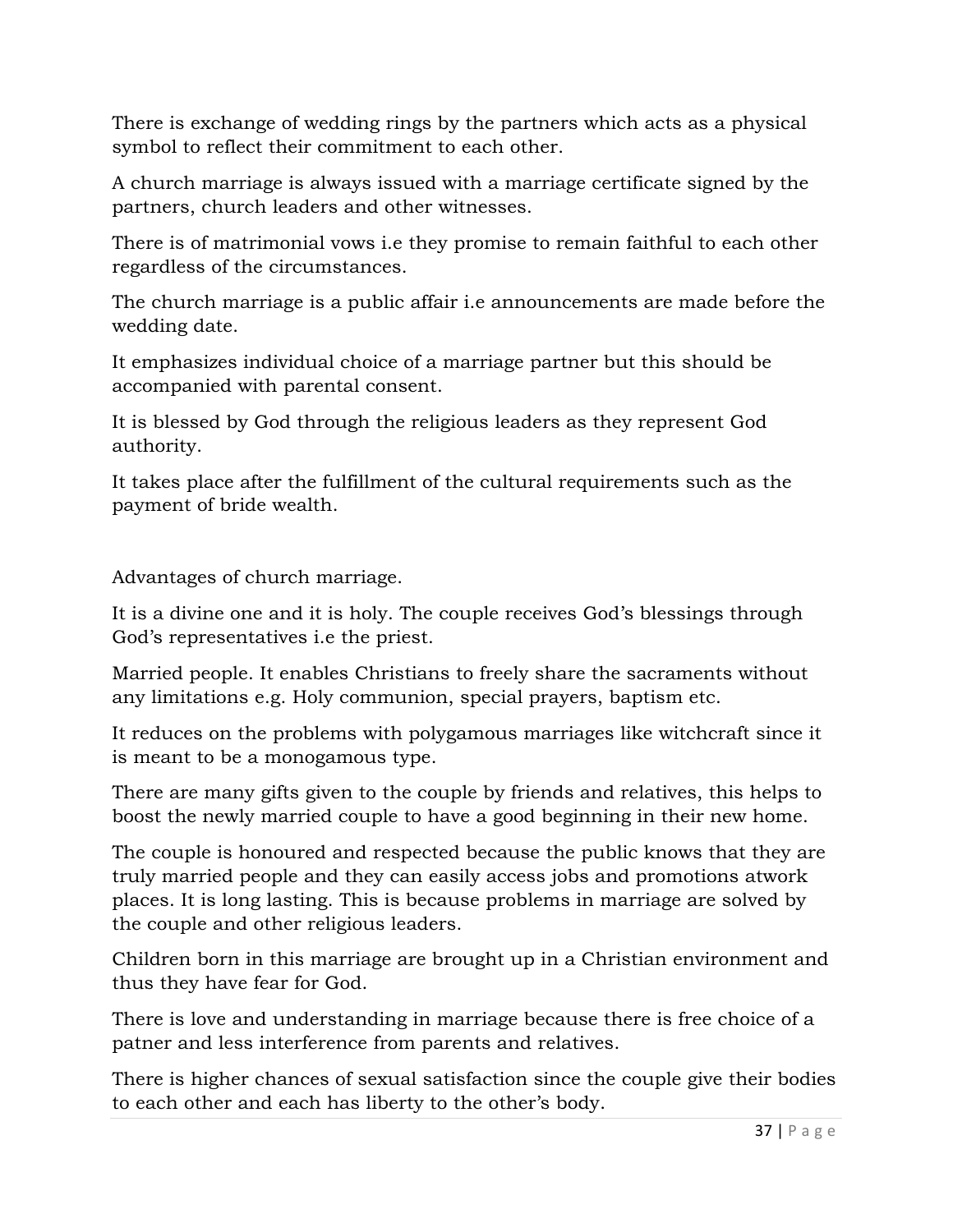There is exchange of wedding rings by the partners which acts as a physical symbol to reflect their commitment to each other.

A church marriage is always issued with a marriage certificate signed by the partners, church leaders and other witnesses.

There is of matrimonial vows i.e they promise to remain faithful to each other regardless of the circumstances.

The church marriage is a public affair i.e announcements are made before the wedding date.

It emphasizes individual choice of a marriage partner but this should be accompanied with parental consent.

It is blessed by God through the religious leaders as they represent God authority.

It takes place after the fulfillment of the cultural requirements such as the payment of bride wealth.

Advantages of church marriage.

It is a divine one and it is holy. The couple receives God's blessings through God's representatives i.e the priest.

Married people. It enables Christians to freely share the sacraments without any limitations e.g. Holy communion, special prayers, baptism etc.

It reduces on the problems with polygamous marriages like witchcraft since it is meant to be a monogamous type.

There are many gifts given to the couple by friends and relatives, this helps to boost the newly married couple to have a good beginning in their new home.

The couple is honoured and respected because the public knows that they are truly married people and they can easily access jobs and promotions atwork places. It is long lasting. This is because problems in marriage are solved by the couple and other religious leaders.

Children born in this marriage are brought up in a Christian environment and thus they have fear for God.

There is love and understanding in marriage because there is free choice of a patner and less interference from parents and relatives.

There is higher chances of sexual satisfaction since the couple give their bodies to each other and each has liberty to the other's body.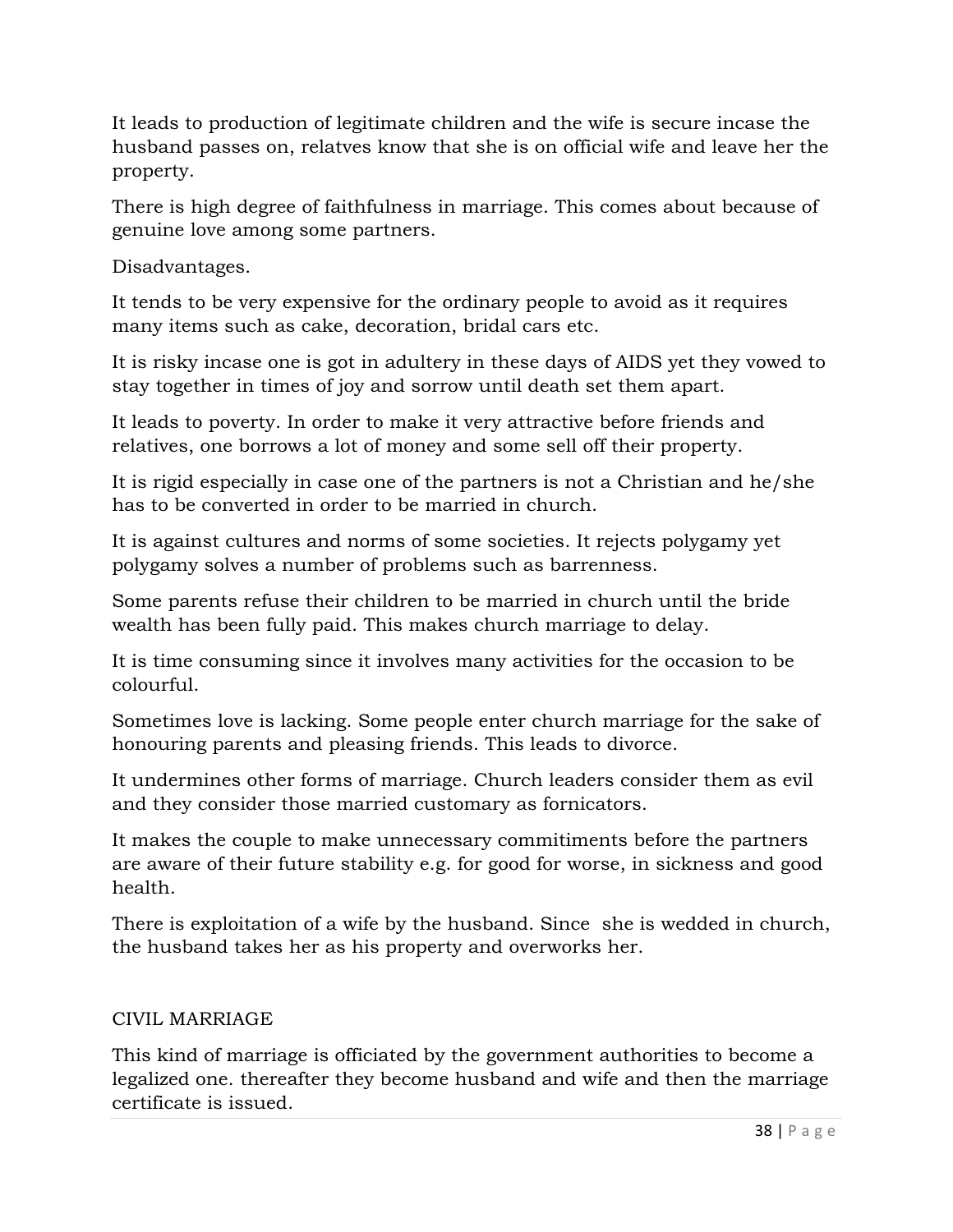It leads to production of legitimate children and the wife is secure incase the husband passes on, relatves know that she is on official wife and leave her the property.

There is high degree of faithfulness in marriage. This comes about because of genuine love among some partners.

Disadvantages.

It tends to be very expensive for the ordinary people to avoid as it requires many items such as cake, decoration, bridal cars etc.

It is risky incase one is got in adultery in these days of AIDS yet they vowed to stay together in times of joy and sorrow until death set them apart.

It leads to poverty. In order to make it very attractive before friends and relatives, one borrows a lot of money and some sell off their property.

It is rigid especially in case one of the partners is not a Christian and he/she has to be converted in order to be married in church.

It is against cultures and norms of some societies. It rejects polygamy yet polygamy solves a number of problems such as barrenness.

Some parents refuse their children to be married in church until the bride wealth has been fully paid. This makes church marriage to delay.

It is time consuming since it involves many activities for the occasion to be colourful.

Sometimes love is lacking. Some people enter church marriage for the sake of honouring parents and pleasing friends. This leads to divorce.

It undermines other forms of marriage. Church leaders consider them as evil and they consider those married customary as fornicators.

It makes the couple to make unnecessary commitiments before the partners are aware of their future stability e.g. for good for worse, in sickness and good health.

There is exploitation of a wife by the husband. Since she is wedded in church, the husband takes her as his property and overworks her.

### CIVIL MARRIAGE

This kind of marriage is officiated by the government authorities to become a legalized one. thereafter they become husband and wife and then the marriage certificate is issued.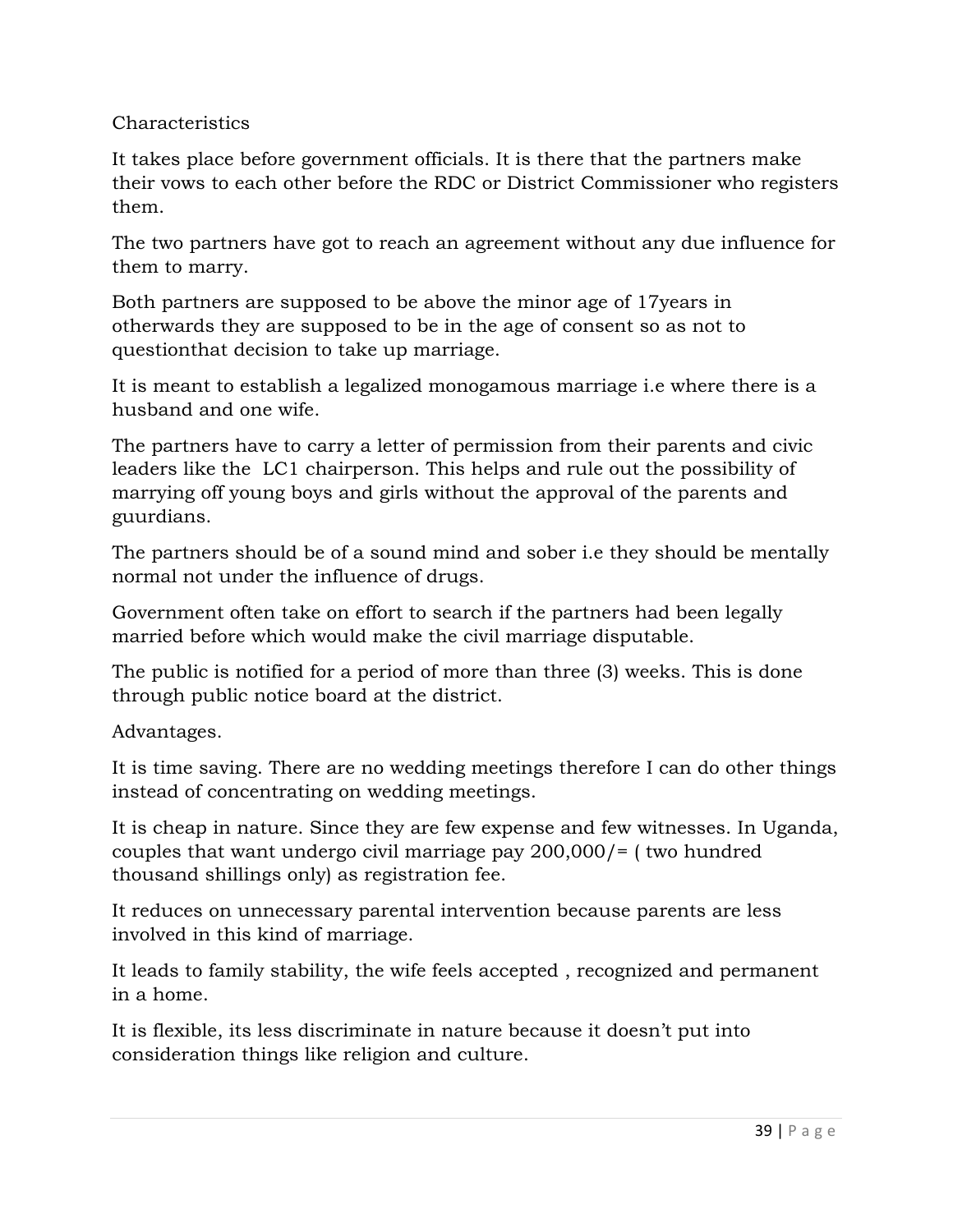### Characteristics

It takes place before government officials. It is there that the partners make their vows to each other before the RDC or District Commissioner who registers them.

The two partners have got to reach an agreement without any due influence for them to marry.

Both partners are supposed to be above the minor age of 17years in otherwards they are supposed to be in the age of consent so as not to questionthat decision to take up marriage.

It is meant to establish a legalized monogamous marriage i.e where there is a husband and one wife.

The partners have to carry a letter of permission from their parents and civic leaders like the LC1 chairperson. This helps and rule out the possibility of marrying off young boys and girls without the approval of the parents and guurdians.

The partners should be of a sound mind and sober i.e they should be mentally normal not under the influence of drugs.

Government often take on effort to search if the partners had been legally married before which would make the civil marriage disputable.

The public is notified for a period of more than three (3) weeks. This is done through public notice board at the district.

Advantages.

It is time saving. There are no wedding meetings therefore I can do other things instead of concentrating on wedding meetings.

It is cheap in nature. Since they are few expense and few witnesses. In Uganda, couples that want undergo civil marriage pay 200,000/= ( two hundred thousand shillings only) as registration fee.

It reduces on unnecessary parental intervention because parents are less involved in this kind of marriage.

It leads to family stability, the wife feels accepted , recognized and permanent in a home.

It is flexible, its less discriminate in nature because it doesn't put into consideration things like religion and culture.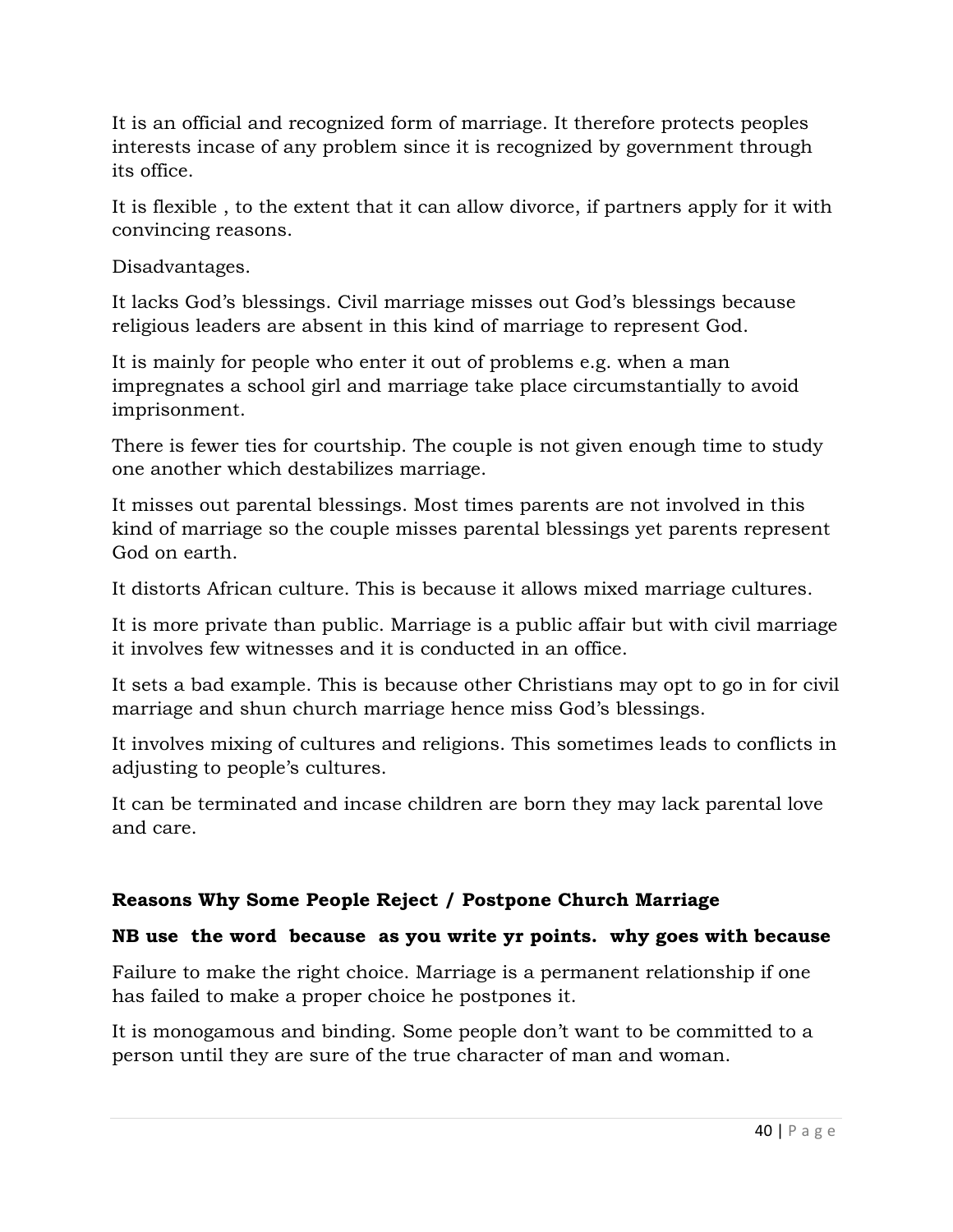It is an official and recognized form of marriage. It therefore protects peoples interests incase of any problem since it is recognized by government through its office.

It is flexible , to the extent that it can allow divorce, if partners apply for it with convincing reasons.

Disadvantages.

It lacks God's blessings. Civil marriage misses out God's blessings because religious leaders are absent in this kind of marriage to represent God.

It is mainly for people who enter it out of problems e.g. when a man impregnates a school girl and marriage take place circumstantially to avoid imprisonment.

There is fewer ties for courtship. The couple is not given enough time to study one another which destabilizes marriage.

It misses out parental blessings. Most times parents are not involved in this kind of marriage so the couple misses parental blessings yet parents represent God on earth.

It distorts African culture. This is because it allows mixed marriage cultures.

It is more private than public. Marriage is a public affair but with civil marriage it involves few witnesses and it is conducted in an office.

It sets a bad example. This is because other Christians may opt to go in for civil marriage and shun church marriage hence miss God's blessings.

It involves mixing of cultures and religions. This sometimes leads to conflicts in adjusting to people's cultures.

It can be terminated and incase children are born they may lack parental love and care.

# **Reasons Why Some People Reject / Postpone Church Marriage**

### **NB use the word because as you write yr points. why goes with because**

Failure to make the right choice. Marriage is a permanent relationship if one has failed to make a proper choice he postpones it.

It is monogamous and binding. Some people don't want to be committed to a person until they are sure of the true character of man and woman.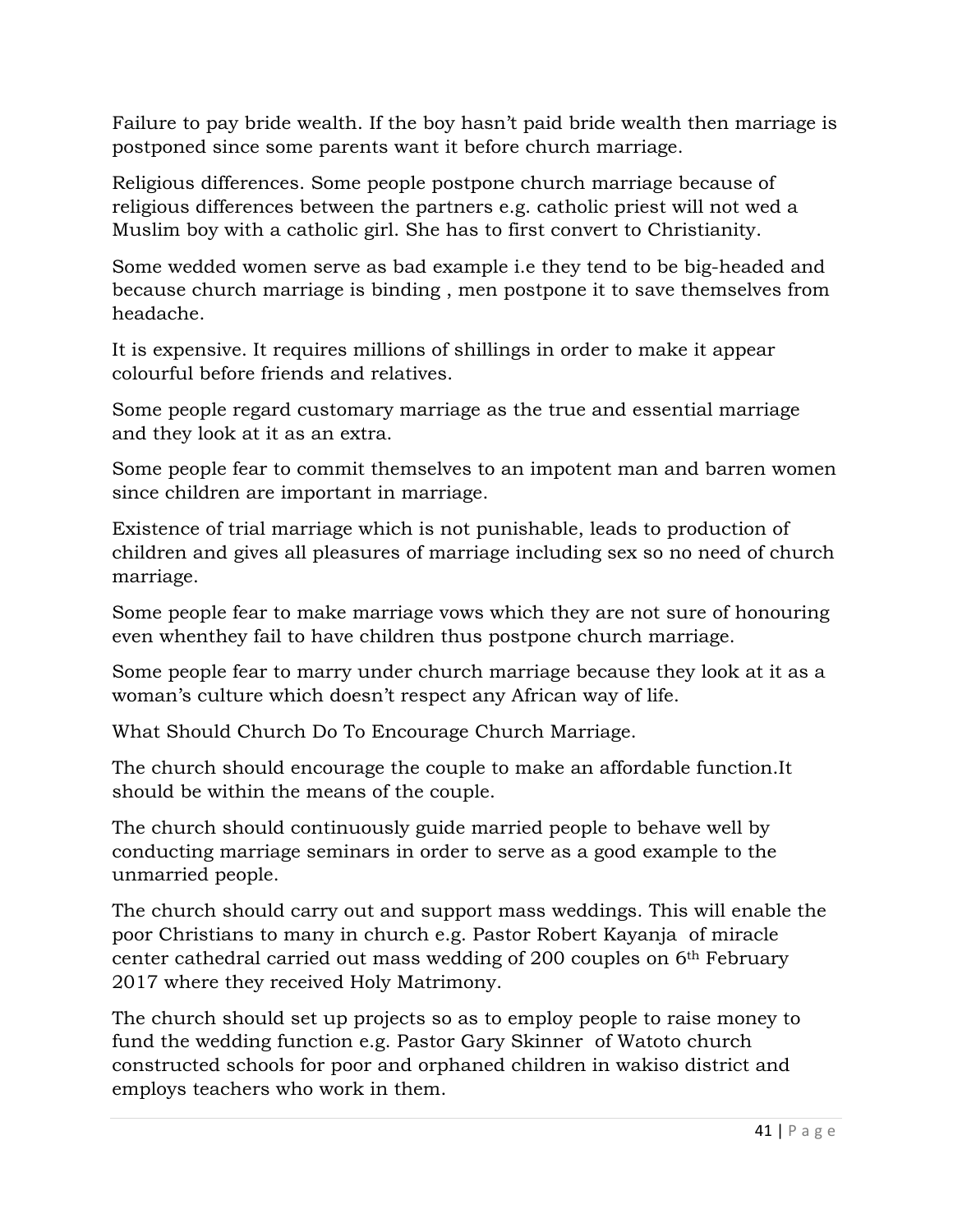Failure to pay bride wealth. If the boy hasn't paid bride wealth then marriage is postponed since some parents want it before church marriage.

Religious differences. Some people postpone church marriage because of religious differences between the partners e.g. catholic priest will not wed a Muslim boy with a catholic girl. She has to first convert to Christianity.

Some wedded women serve as bad example i.e they tend to be big-headed and because church marriage is binding , men postpone it to save themselves from headache.

It is expensive. It requires millions of shillings in order to make it appear colourful before friends and relatives.

Some people regard customary marriage as the true and essential marriage and they look at it as an extra.

Some people fear to commit themselves to an impotent man and barren women since children are important in marriage.

Existence of trial marriage which is not punishable, leads to production of children and gives all pleasures of marriage including sex so no need of church marriage.

Some people fear to make marriage vows which they are not sure of honouring even whenthey fail to have children thus postpone church marriage.

Some people fear to marry under church marriage because they look at it as a woman's culture which doesn't respect any African way of life.

What Should Church Do To Encourage Church Marriage.

The church should encourage the couple to make an affordable function.It should be within the means of the couple.

The church should continuously guide married people to behave well by conducting marriage seminars in order to serve as a good example to the unmarried people.

The church should carry out and support mass weddings. This will enable the poor Christians to many in church e.g. Pastor Robert Kayanja of miracle center cathedral carried out mass wedding of 200 couples on 6th February 2017 where they received Holy Matrimony.

The church should set up projects so as to employ people to raise money to fund the wedding function e.g. Pastor Gary Skinner of Watoto church constructed schools for poor and orphaned children in wakiso district and employs teachers who work in them.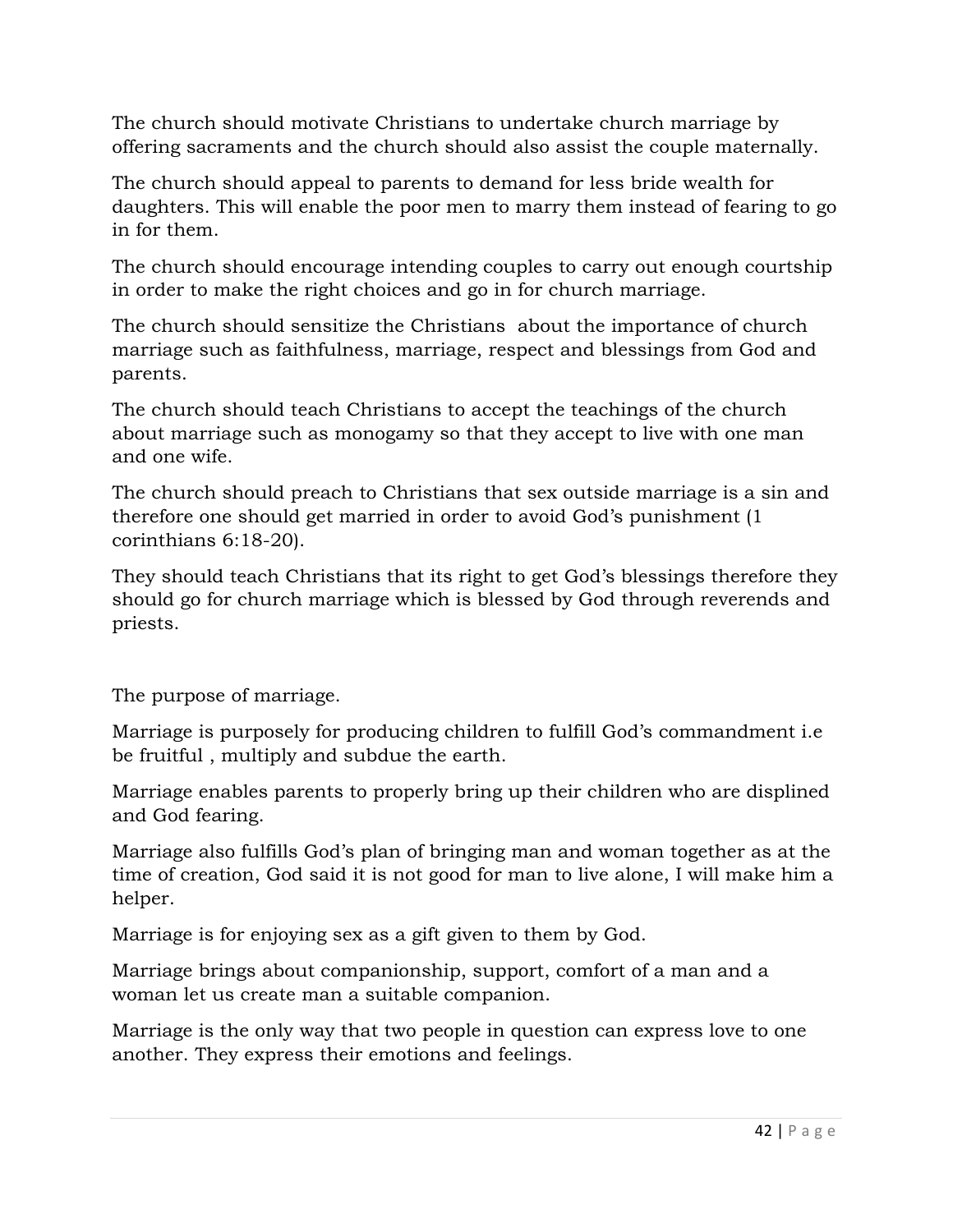The church should motivate Christians to undertake church marriage by offering sacraments and the church should also assist the couple maternally.

The church should appeal to parents to demand for less bride wealth for daughters. This will enable the poor men to marry them instead of fearing to go in for them.

The church should encourage intending couples to carry out enough courtship in order to make the right choices and go in for church marriage.

The church should sensitize the Christians about the importance of church marriage such as faithfulness, marriage, respect and blessings from God and parents.

The church should teach Christians to accept the teachings of the church about marriage such as monogamy so that they accept to live with one man and one wife.

The church should preach to Christians that sex outside marriage is a sin and therefore one should get married in order to avoid God's punishment (1 corinthians 6:18-20).

They should teach Christians that its right to get God's blessings therefore they should go for church marriage which is blessed by God through reverends and priests.

The purpose of marriage.

Marriage is purposely for producing children to fulfill God's commandment i.e be fruitful , multiply and subdue the earth.

Marriage enables parents to properly bring up their children who are displined and God fearing.

Marriage also fulfills God's plan of bringing man and woman together as at the time of creation, God said it is not good for man to live alone, I will make him a helper.

Marriage is for enjoying sex as a gift given to them by God.

Marriage brings about companionship, support, comfort of a man and a woman let us create man a suitable companion.

Marriage is the only way that two people in question can express love to one another. They express their emotions and feelings.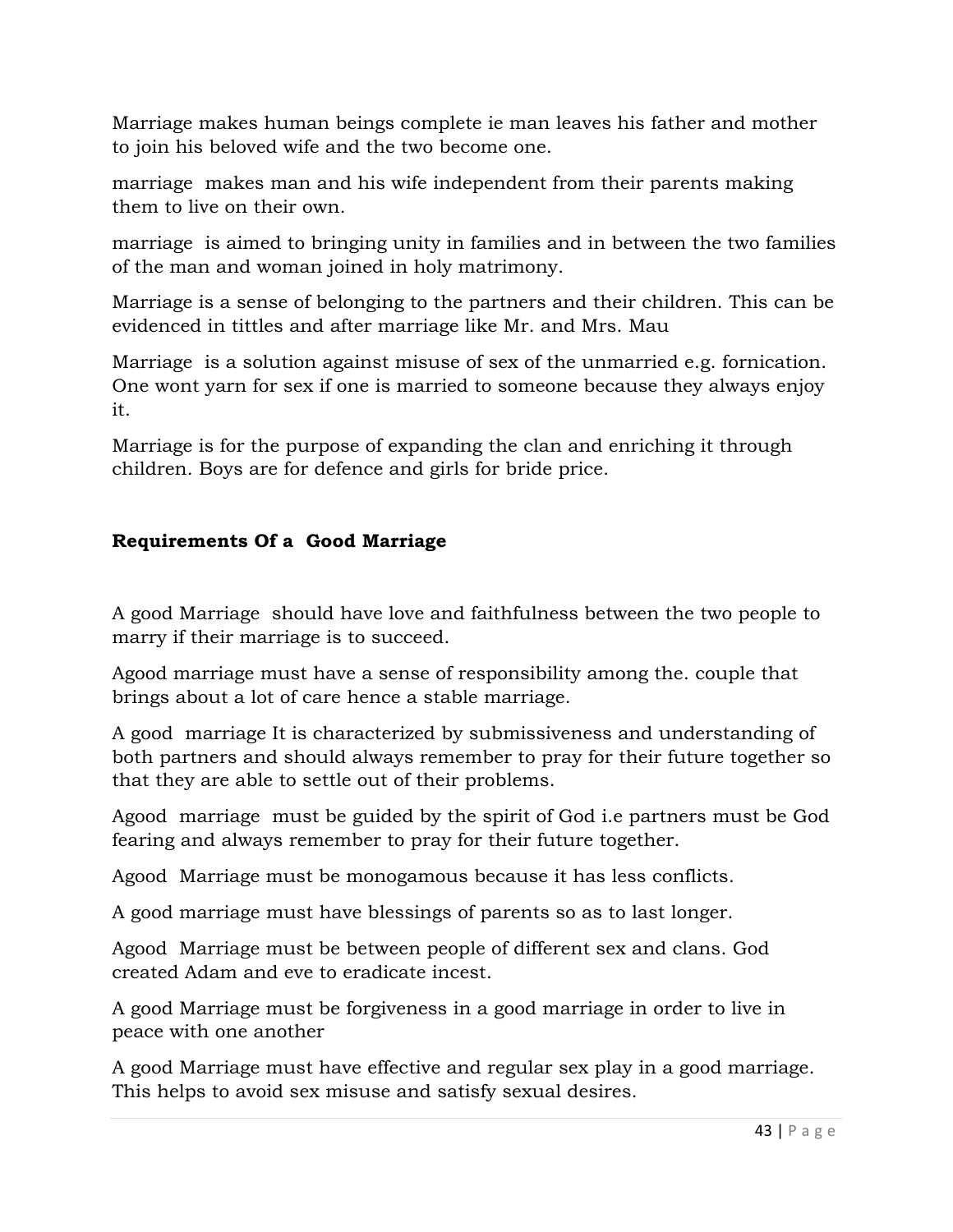Marriage makes human beings complete ie man leaves his father and mother to join his beloved wife and the two become one.

marriage makes man and his wife independent from their parents making them to live on their own.

marriage is aimed to bringing unity in families and in between the two families of the man and woman joined in holy matrimony.

Marriage is a sense of belonging to the partners and their children. This can be evidenced in tittles and after marriage like Mr. and Mrs. Mau

Marriage is a solution against misuse of sex of the unmarried e.g. fornication. One wont yarn for sex if one is married to someone because they always enjoy it.

Marriage is for the purpose of expanding the clan and enriching it through children. Boys are for defence and girls for bride price.

### **Requirements Of a Good Marriage**

A good Marriage should have love and faithfulness between the two people to marry if their marriage is to succeed.

Agood marriage must have a sense of responsibility among the. couple that brings about a lot of care hence a stable marriage.

A good marriage It is characterized by submissiveness and understanding of both partners and should always remember to pray for their future together so that they are able to settle out of their problems.

Agood marriage must be guided by the spirit of God i.e partners must be God fearing and always remember to pray for their future together.

Agood Marriage must be monogamous because it has less conflicts.

A good marriage must have blessings of parents so as to last longer.

Agood Marriage must be between people of different sex and clans. God created Adam and eve to eradicate incest.

A good Marriage must be forgiveness in a good marriage in order to live in peace with one another

A good Marriage must have effective and regular sex play in a good marriage. This helps to avoid sex misuse and satisfy sexual desires.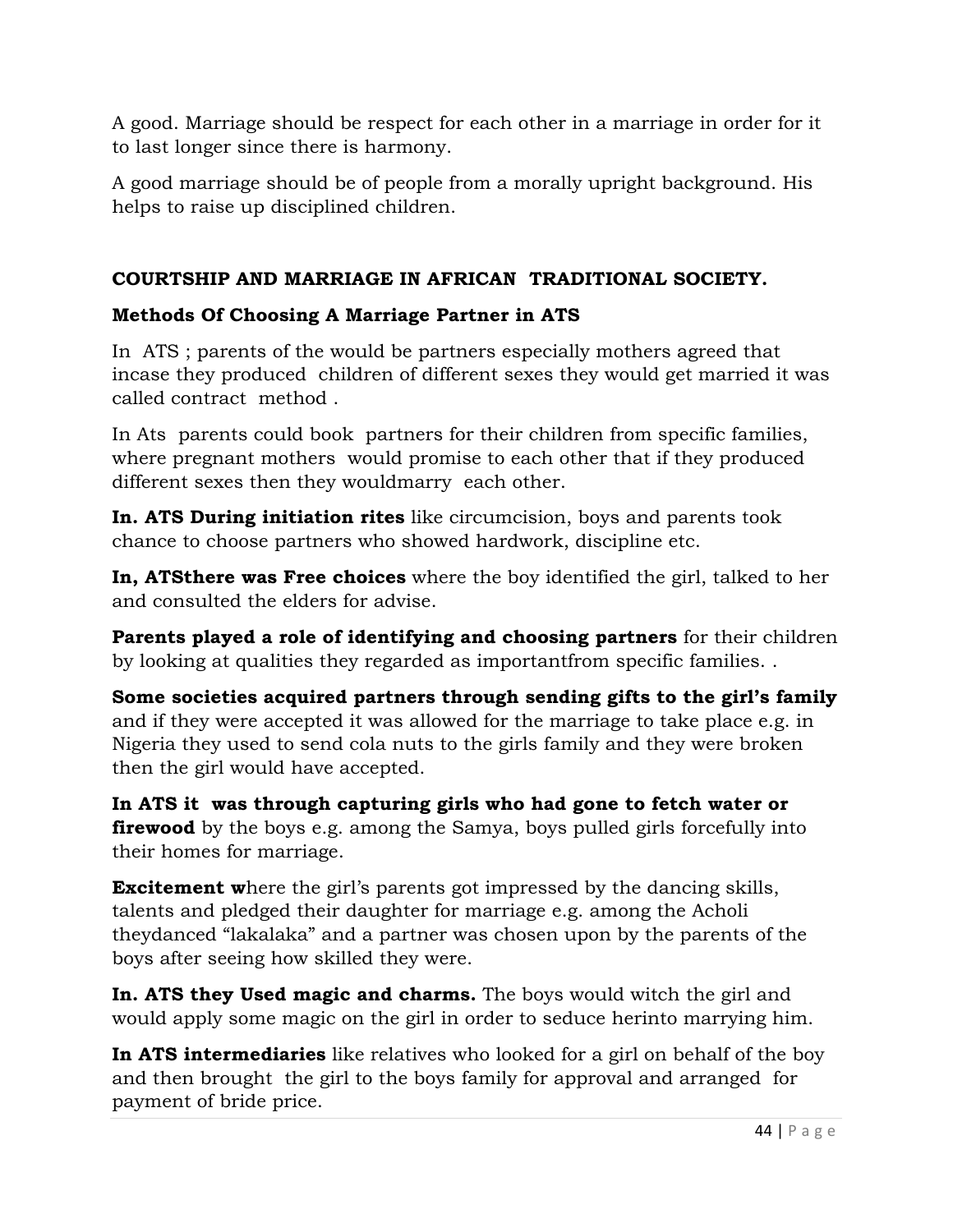A good. Marriage should be respect for each other in a marriage in order for it to last longer since there is harmony.

A good marriage should be of people from a morally upright background. His helps to raise up disciplined children.

# **COURTSHIP AND MARRIAGE IN AFRICAN TRADITIONAL SOCIETY.**

# **Methods Of Choosing A Marriage Partner in ATS**

In ATS ; parents of the would be partners especially mothers agreed that incase they produced children of different sexes they would get married it was called contract method .

In Ats parents could book partners for their children from specific families, where pregnant mothers would promise to each other that if they produced different sexes then they wouldmarry each other.

**In. ATS During initiation rites** like circumcision, boys and parents took chance to choose partners who showed hardwork, discipline etc.

**In, ATSthere was Free choices** where the boy identified the girl, talked to her and consulted the elders for advise.

**Parents played a role of identifying and choosing partners** for their children by looking at qualities they regarded as importantfrom specific families. .

**Some societies acquired partners through sending gifts to the girl's family** and if they were accepted it was allowed for the marriage to take place e.g. in Nigeria they used to send cola nuts to the girls family and they were broken then the girl would have accepted.

**In ATS it was through capturing girls who had gone to fetch water or firewood** by the boys e.g. among the Samya, boys pulled girls forcefully into their homes for marriage.

**Excitement where the girl's parents got impressed by the dancing skills,** talents and pledged their daughter for marriage e.g. among the Acholi theydanced "lakalaka" and a partner was chosen upon by the parents of the boys after seeing how skilled they were.

**In. ATS they Used magic and charms.** The boys would witch the girl and would apply some magic on the girl in order to seduce herinto marrying him.

**In ATS intermediaries** like relatives who looked for a girl on behalf of the boy and then brought the girl to the boys family for approval and arranged for payment of bride price.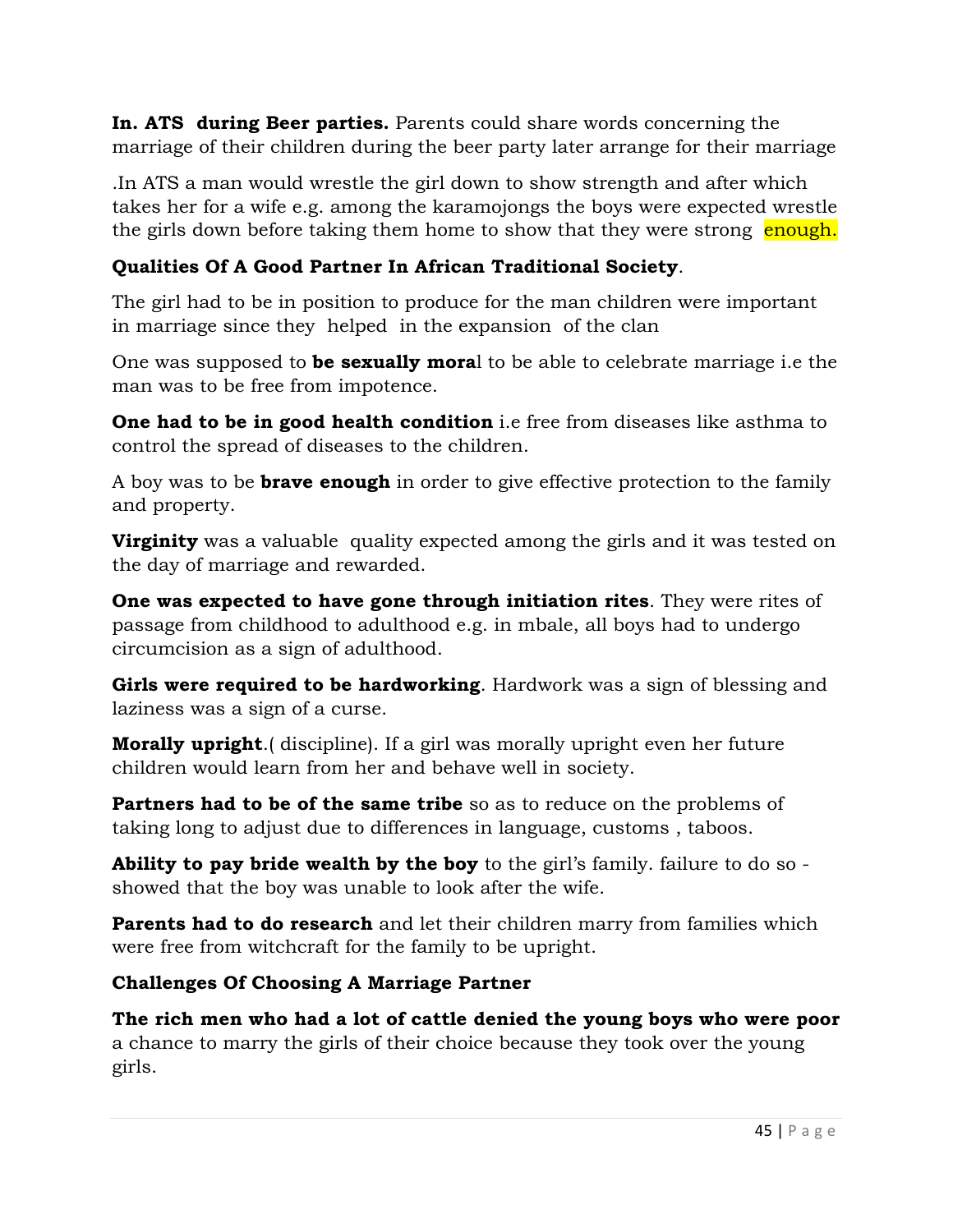**In. ATS during Beer parties.** Parents could share words concerning the marriage of their children during the beer party later arrange for their marriage

.In ATS a man would wrestle the girl down to show strength and after which takes her for a wife e.g. among the karamojongs the boys were expected wrestle the girls down before taking them home to show that they were strong enough.

# **Qualities Of A Good Partner In African Traditional Society**.

The girl had to be in position to produce for the man children were important in marriage since they helped in the expansion of the clan

One was supposed to **be sexually mora**l to be able to celebrate marriage i.e the man was to be free from impotence.

**One had to be in good health condition** i.e free from diseases like asthma to control the spread of diseases to the children.

A boy was to be **brave enough** in order to give effective protection to the family and property.

**Virginity** was a valuable quality expected among the girls and it was tested on the day of marriage and rewarded.

**One was expected to have gone through initiation rites**. They were rites of passage from childhood to adulthood e.g. in mbale, all boys had to undergo circumcision as a sign of adulthood.

**Girls were required to be hardworking**. Hardwork was a sign of blessing and laziness was a sign of a curse.

**Morally upright**.( discipline). If a girl was morally upright even her future children would learn from her and behave well in society.

**Partners had to be of the same tribe** so as to reduce on the problems of taking long to adjust due to differences in language, customs , taboos.

**Ability to pay bride wealth by the boy** to the girl's family. failure to do so showed that the boy was unable to look after the wife.

**Parents had to do research** and let their children marry from families which were free from witchcraft for the family to be upright.

# **Challenges Of Choosing A Marriage Partner**

**The rich men who had a lot of cattle denied the young boys who were poor** a chance to marry the girls of their choice because they took over the young girls.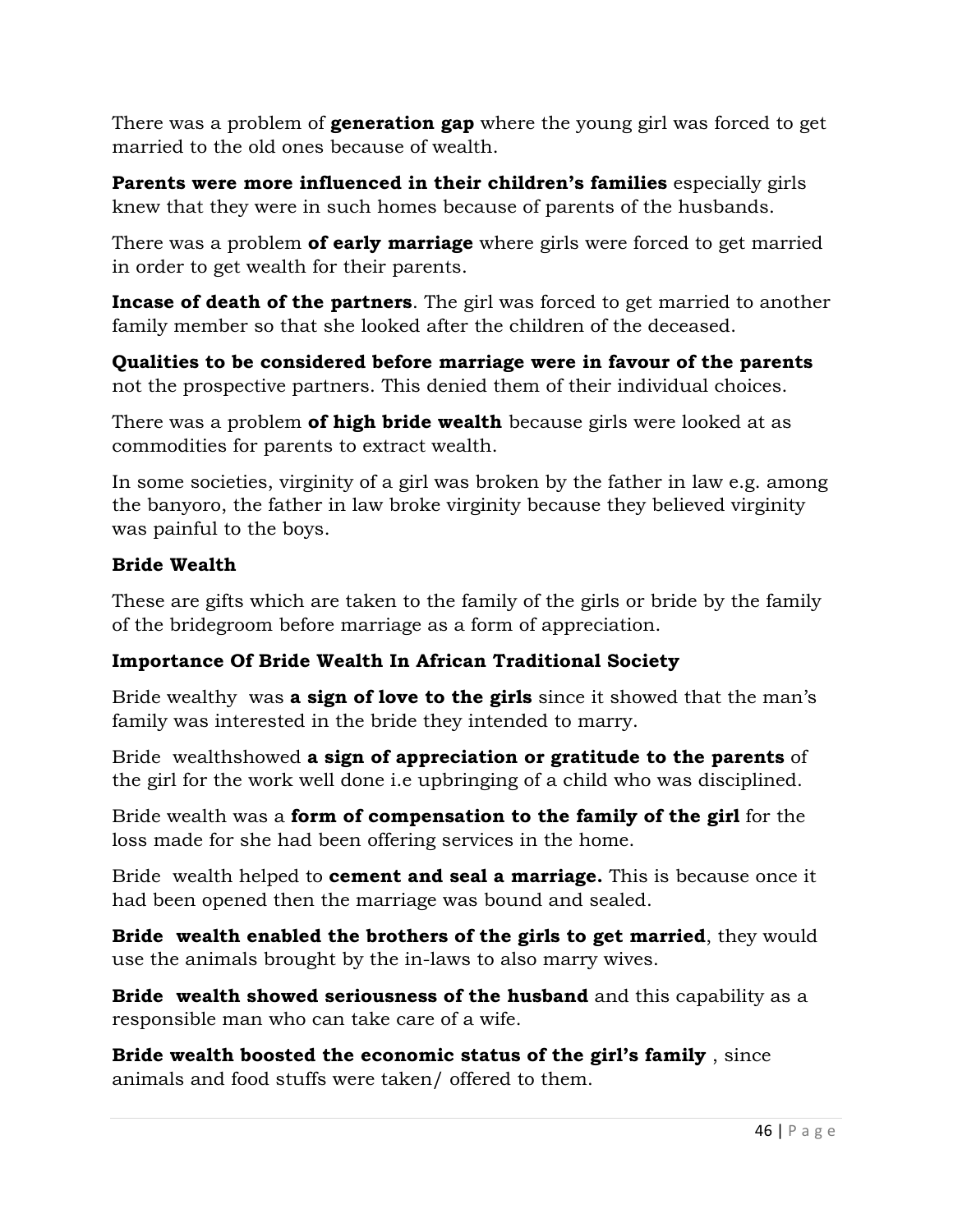There was a problem of **generation gap** where the young girl was forced to get married to the old ones because of wealth.

**Parents were more influenced in their children's families** especially girls knew that they were in such homes because of parents of the husbands.

There was a problem **of early marriage** where girls were forced to get married in order to get wealth for their parents.

**Incase of death of the partners**. The girl was forced to get married to another family member so that she looked after the children of the deceased.

**Qualities to be considered before marriage were in favour of the parents**  not the prospective partners. This denied them of their individual choices.

There was a problem **of high bride wealth** because girls were looked at as commodities for parents to extract wealth.

In some societies, virginity of a girl was broken by the father in law e.g. among the banyoro, the father in law broke virginity because they believed virginity was painful to the boys.

### **Bride Wealth**

These are gifts which are taken to the family of the girls or bride by the family of the bridegroom before marriage as a form of appreciation.

### **Importance Of Bride Wealth In African Traditional Society**

Bride wealthy was **a sign of love to the girls** since it showed that the man's family was interested in the bride they intended to marry.

Bride wealthshowed **a sign of appreciation or gratitude to the parents** of the girl for the work well done i.e upbringing of a child who was disciplined.

Bride wealth was a **form of compensation to the family of the girl** for the loss made for she had been offering services in the home.

Bride wealth helped to **cement and seal a marriage.** This is because once it had been opened then the marriage was bound and sealed.

**Bride wealth enabled the brothers of the girls to get married**, they would use the animals brought by the in-laws to also marry wives.

**Bride wealth showed seriousness of the husband** and this capability as a responsible man who can take care of a wife.

**Bride wealth boosted the economic status of the girl's family** , since animals and food stuffs were taken/ offered to them.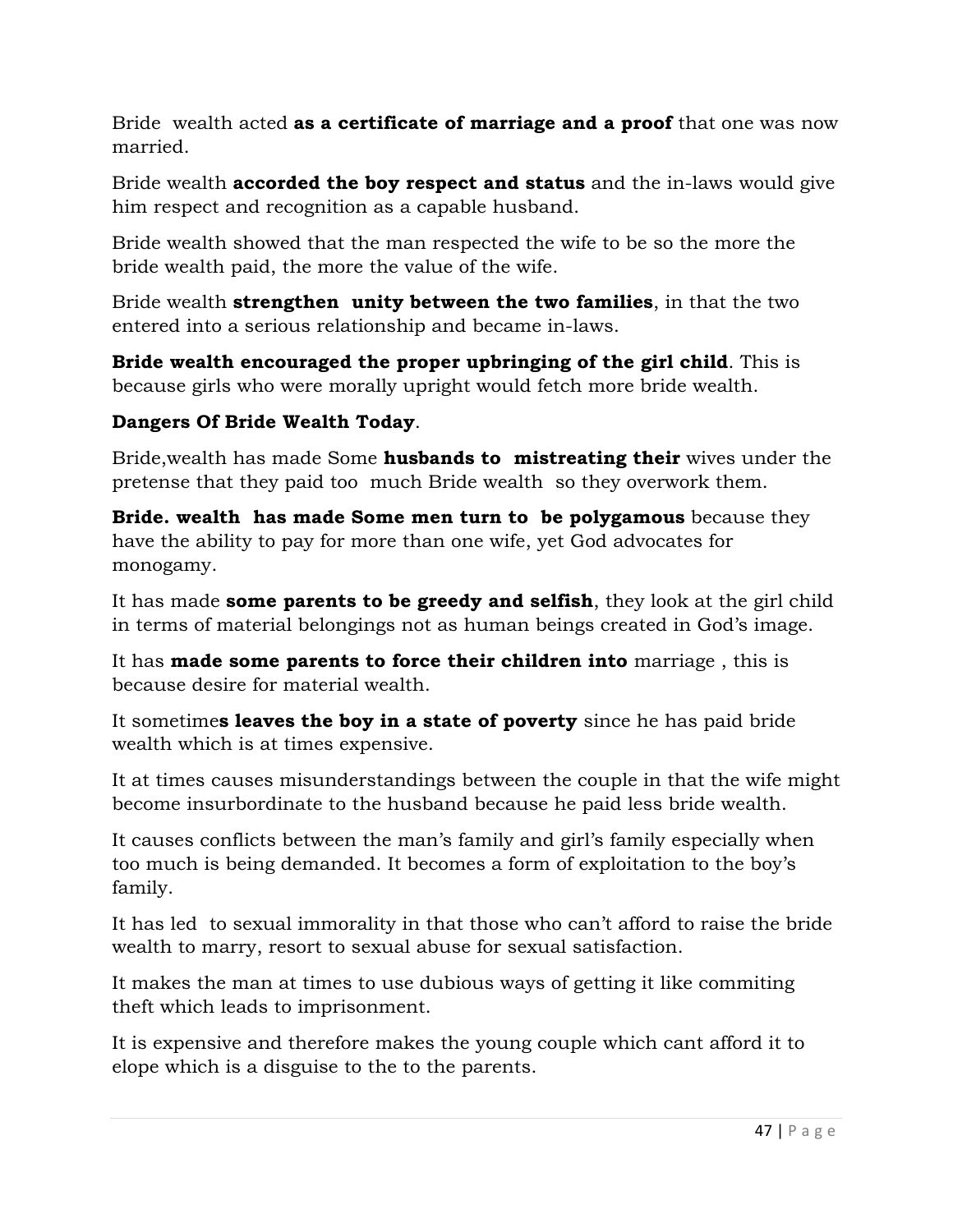Bride wealth acted **as a certificate of marriage and a proof** that one was now married.

Bride wealth **accorded the boy respect and status** and the in-laws would give him respect and recognition as a capable husband.

Bride wealth showed that the man respected the wife to be so the more the bride wealth paid, the more the value of the wife.

Bride wealth **strengthen unity between the two families**, in that the two entered into a serious relationship and became in-laws.

**Bride wealth encouraged the proper upbringing of the girl child**. This is because girls who were morally upright would fetch more bride wealth.

### **Dangers Of Bride Wealth Today**.

Bride,wealth has made Some **husbands to mistreating their** wives under the pretense that they paid too much Bride wealth so they overwork them.

**Bride. wealth has made Some men turn to be polygamous** because they have the ability to pay for more than one wife, yet God advocates for monogamy.

It has made **some parents to be greedy and selfish**, they look at the girl child in terms of material belongings not as human beings created in God's image.

It has **made some parents to force their children into** marriage , this is because desire for material wealth.

It sometime**s leaves the boy in a state of poverty** since he has paid bride wealth which is at times expensive.

It at times causes misunderstandings between the couple in that the wife might become insurbordinate to the husband because he paid less bride wealth.

It causes conflicts between the man's family and girl's family especially when too much is being demanded. It becomes a form of exploitation to the boy's family.

It has led to sexual immorality in that those who can't afford to raise the bride wealth to marry, resort to sexual abuse for sexual satisfaction.

It makes the man at times to use dubious ways of getting it like commiting theft which leads to imprisonment.

It is expensive and therefore makes the young couple which cant afford it to elope which is a disguise to the to the parents.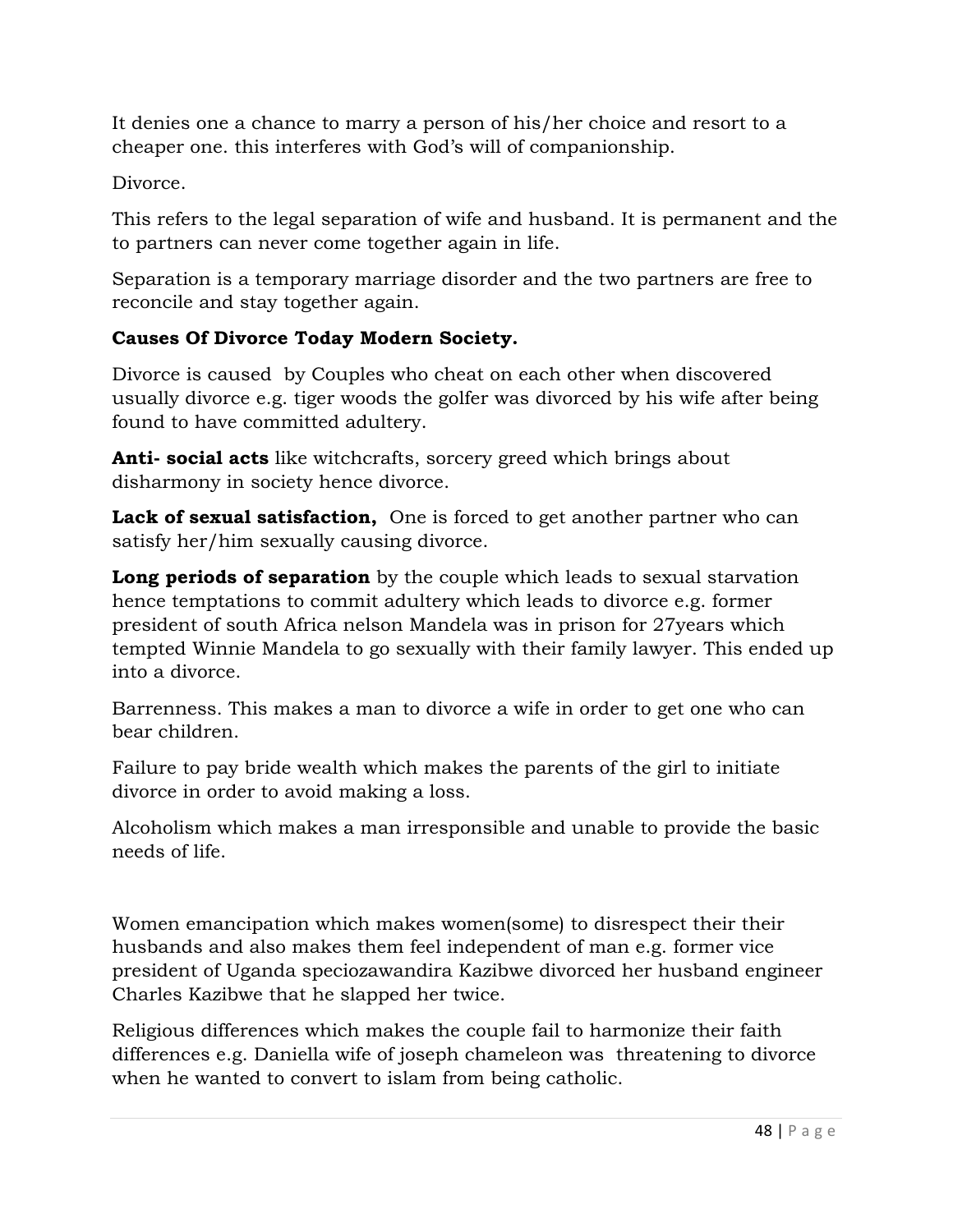It denies one a chance to marry a person of his/her choice and resort to a cheaper one. this interferes with God's will of companionship.

Divorce.

This refers to the legal separation of wife and husband. It is permanent and the to partners can never come together again in life.

Separation is a temporary marriage disorder and the two partners are free to reconcile and stay together again.

### **Causes Of Divorce Today Modern Society.**

Divorce is caused by Couples who cheat on each other when discovered usually divorce e.g. tiger woods the golfer was divorced by his wife after being found to have committed adultery.

**Anti- social acts** like witchcrafts, sorcery greed which brings about disharmony in society hence divorce.

Lack of sexual satisfaction, One is forced to get another partner who can satisfy her/him sexually causing divorce.

**Long periods of separation** by the couple which leads to sexual starvation hence temptations to commit adultery which leads to divorce e.g. former president of south Africa nelson Mandela was in prison for 27years which tempted Winnie Mandela to go sexually with their family lawyer. This ended up into a divorce.

Barrenness. This makes a man to divorce a wife in order to get one who can bear children.

Failure to pay bride wealth which makes the parents of the girl to initiate divorce in order to avoid making a loss.

Alcoholism which makes a man irresponsible and unable to provide the basic needs of life.

Women emancipation which makes women(some) to disrespect their their husbands and also makes them feel independent of man e.g. former vice president of Uganda speciozawandira Kazibwe divorced her husband engineer Charles Kazibwe that he slapped her twice.

Religious differences which makes the couple fail to harmonize their faith differences e.g. Daniella wife of joseph chameleon was threatening to divorce when he wanted to convert to islam from being catholic.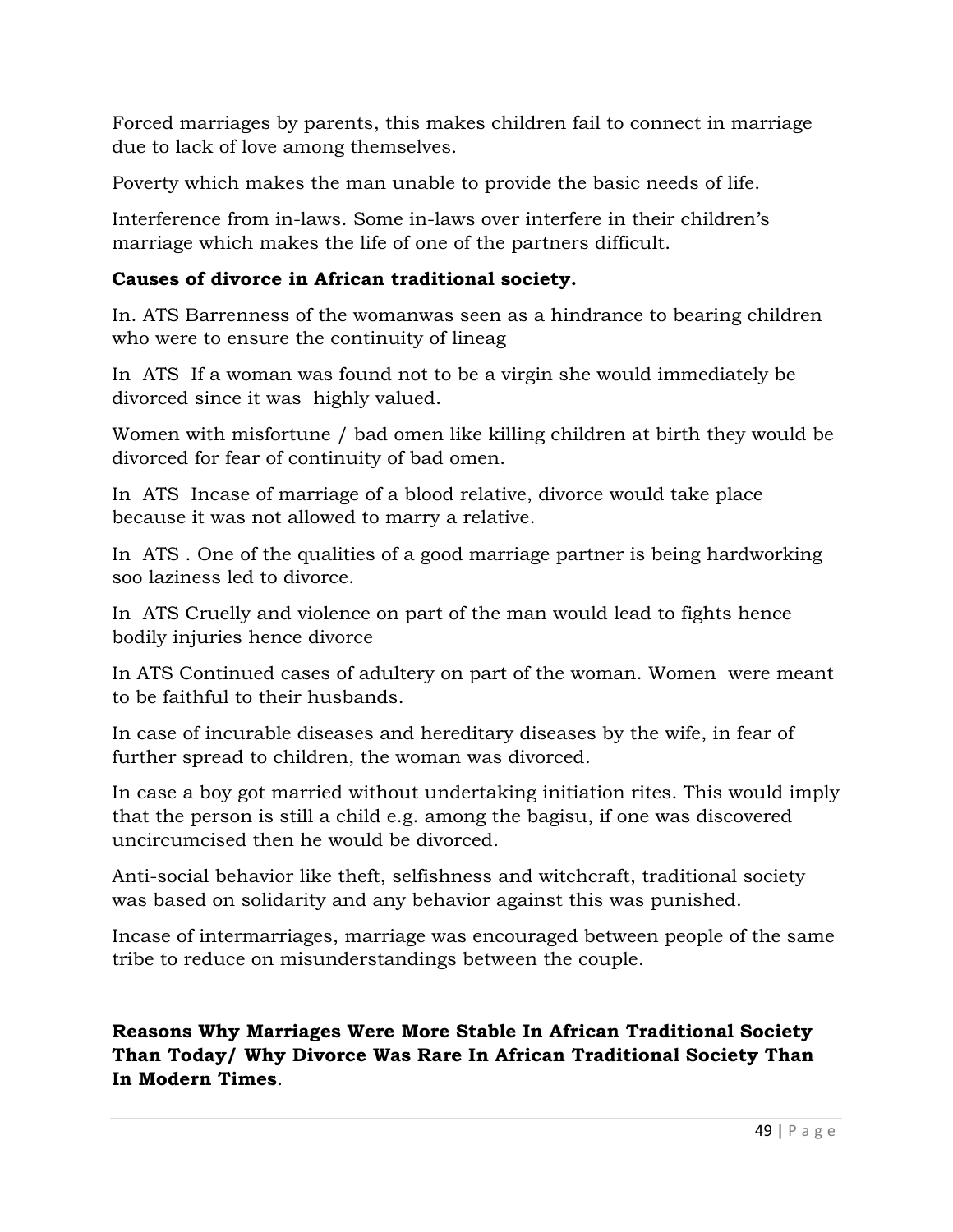Forced marriages by parents, this makes children fail to connect in marriage due to lack of love among themselves.

Poverty which makes the man unable to provide the basic needs of life.

Interference from in-laws. Some in-laws over interfere in their children's marriage which makes the life of one of the partners difficult.

### **Causes of divorce in African traditional society.**

In. ATS Barrenness of the womanwas seen as a hindrance to bearing children who were to ensure the continuity of lineag

In ATS If a woman was found not to be a virgin she would immediately be divorced since it was highly valued.

Women with misfortune / bad omen like killing children at birth they would be divorced for fear of continuity of bad omen.

In ATS Incase of marriage of a blood relative, divorce would take place because it was not allowed to marry a relative.

In ATS . One of the qualities of a good marriage partner is being hardworking soo laziness led to divorce.

In ATS Cruelly and violence on part of the man would lead to fights hence bodily injuries hence divorce

In ATS Continued cases of adultery on part of the woman. Women were meant to be faithful to their husbands.

In case of incurable diseases and hereditary diseases by the wife, in fear of further spread to children, the woman was divorced.

In case a boy got married without undertaking initiation rites. This would imply that the person is still a child e.g. among the bagisu, if one was discovered uncircumcised then he would be divorced.

Anti-social behavior like theft, selfishness and witchcraft, traditional society was based on solidarity and any behavior against this was punished.

Incase of intermarriages, marriage was encouraged between people of the same tribe to reduce on misunderstandings between the couple.

**Reasons Why Marriages Were More Stable In African Traditional Society Than Today/ Why Divorce Was Rare In African Traditional Society Than In Modern Times**.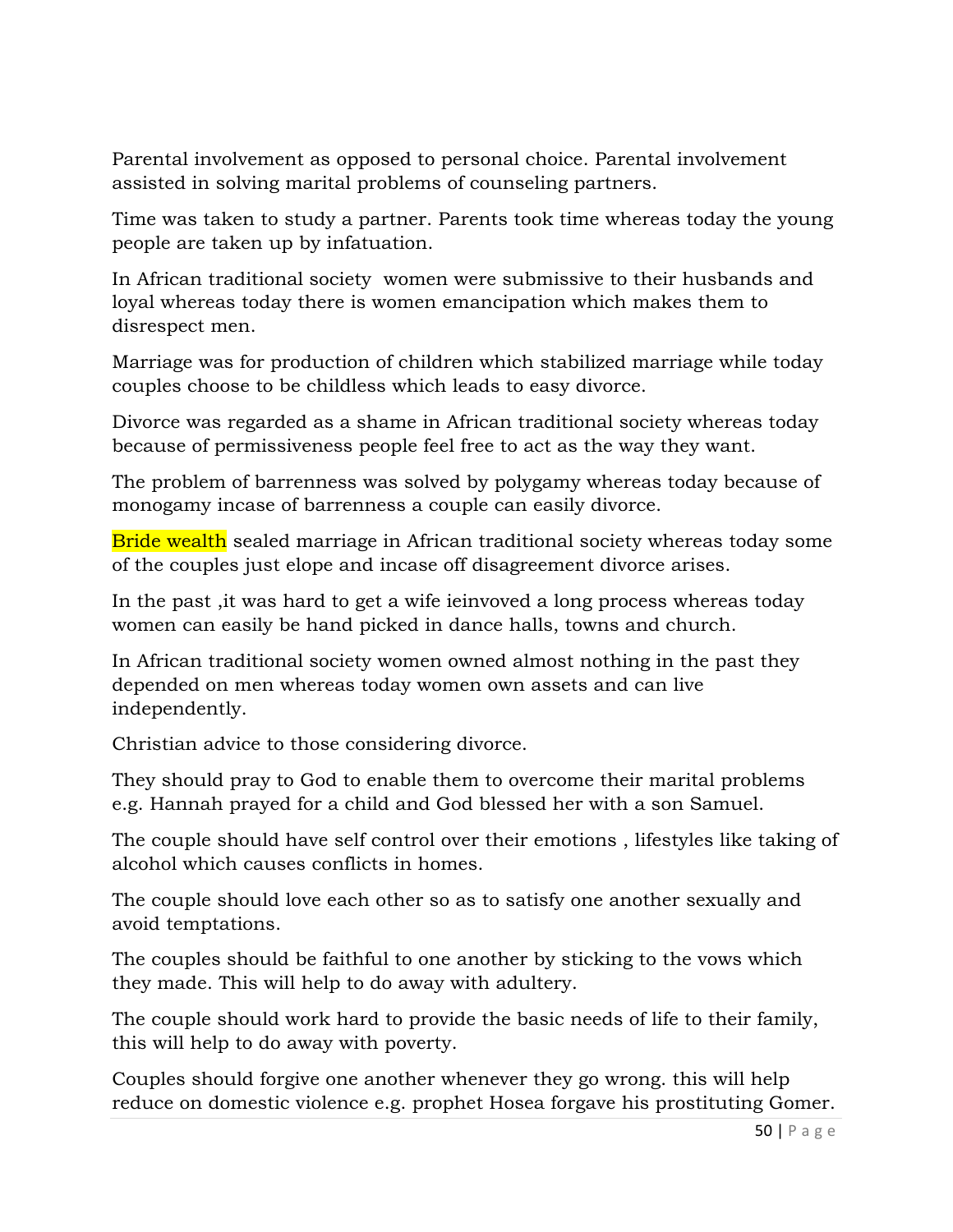Parental involvement as opposed to personal choice. Parental involvement assisted in solving marital problems of counseling partners.

Time was taken to study a partner. Parents took time whereas today the young people are taken up by infatuation.

In African traditional society women were submissive to their husbands and loyal whereas today there is women emancipation which makes them to disrespect men.

Marriage was for production of children which stabilized marriage while today couples choose to be childless which leads to easy divorce.

Divorce was regarded as a shame in African traditional society whereas today because of permissiveness people feel free to act as the way they want.

The problem of barrenness was solved by polygamy whereas today because of monogamy incase of barrenness a couple can easily divorce.

Bride wealth sealed marriage in African traditional society whereas today some of the couples just elope and incase off disagreement divorce arises.

In the past ,it was hard to get a wife ieinvoved a long process whereas today women can easily be hand picked in dance halls, towns and church.

In African traditional society women owned almost nothing in the past they depended on men whereas today women own assets and can live independently.

Christian advice to those considering divorce.

They should pray to God to enable them to overcome their marital problems e.g. Hannah prayed for a child and God blessed her with a son Samuel.

The couple should have self control over their emotions , lifestyles like taking of alcohol which causes conflicts in homes.

The couple should love each other so as to satisfy one another sexually and avoid temptations.

The couples should be faithful to one another by sticking to the vows which they made. This will help to do away with adultery.

The couple should work hard to provide the basic needs of life to their family, this will help to do away with poverty.

Couples should forgive one another whenever they go wrong. this will help reduce on domestic violence e.g. prophet Hosea forgave his prostituting Gomer.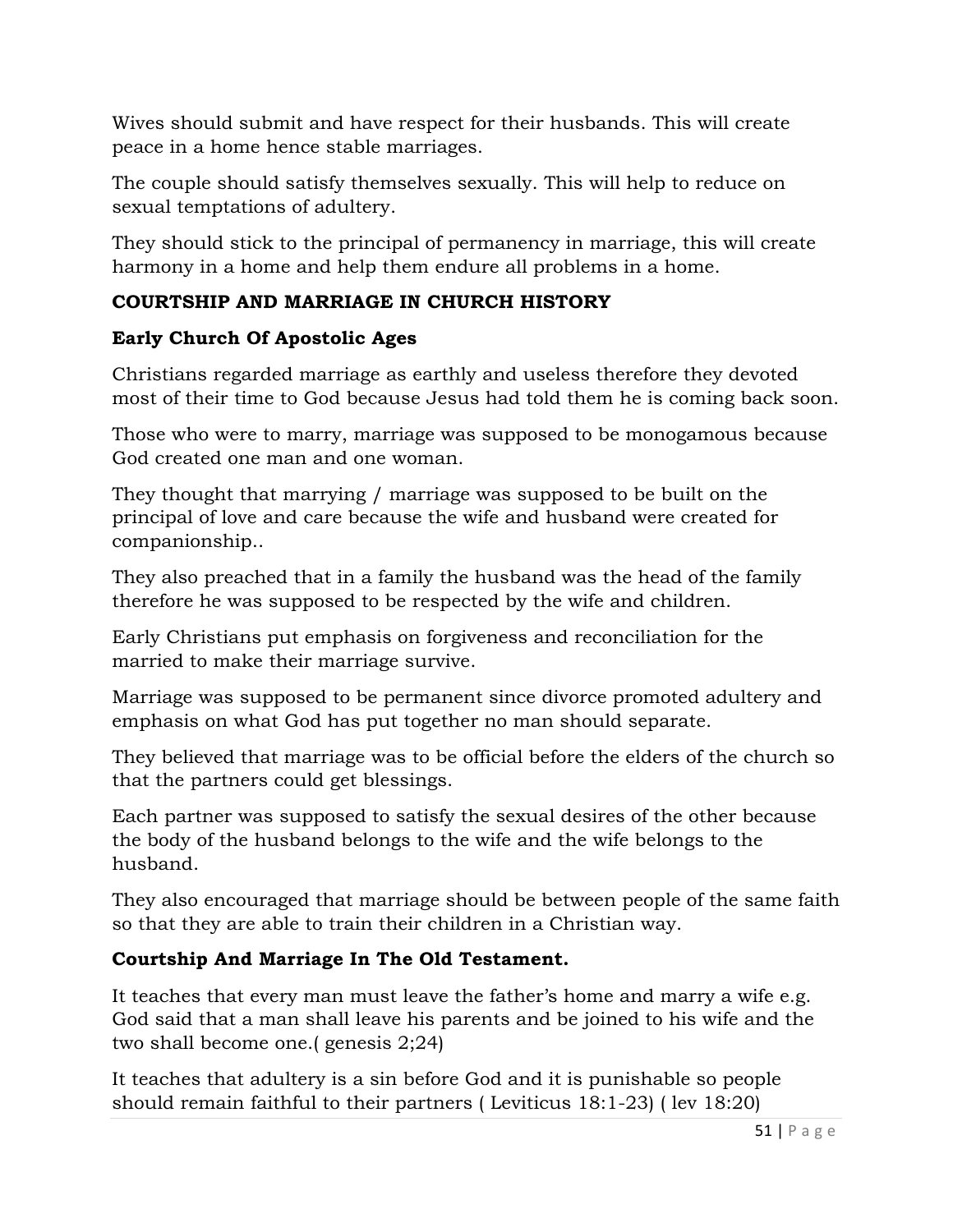Wives should submit and have respect for their husbands. This will create peace in a home hence stable marriages.

The couple should satisfy themselves sexually. This will help to reduce on sexual temptations of adultery.

They should stick to the principal of permanency in marriage, this will create harmony in a home and help them endure all problems in a home.

# **COURTSHIP AND MARRIAGE IN CHURCH HISTORY**

# **Early Church Of Apostolic Ages**

Christians regarded marriage as earthly and useless therefore they devoted most of their time to God because Jesus had told them he is coming back soon.

Those who were to marry, marriage was supposed to be monogamous because God created one man and one woman.

They thought that marrying / marriage was supposed to be built on the principal of love and care because the wife and husband were created for companionship..

They also preached that in a family the husband was the head of the family therefore he was supposed to be respected by the wife and children.

Early Christians put emphasis on forgiveness and reconciliation for the married to make their marriage survive.

Marriage was supposed to be permanent since divorce promoted adultery and emphasis on what God has put together no man should separate.

They believed that marriage was to be official before the elders of the church so that the partners could get blessings.

Each partner was supposed to satisfy the sexual desires of the other because the body of the husband belongs to the wife and the wife belongs to the husband.

They also encouraged that marriage should be between people of the same faith so that they are able to train their children in a Christian way.

# **Courtship And Marriage In The Old Testament.**

It teaches that every man must leave the father's home and marry a wife e.g. God said that a man shall leave his parents and be joined to his wife and the two shall become one.( genesis 2;24)

It teaches that adultery is a sin before God and it is punishable so people should remain faithful to their partners ( Leviticus 18:1-23) ( lev 18:20)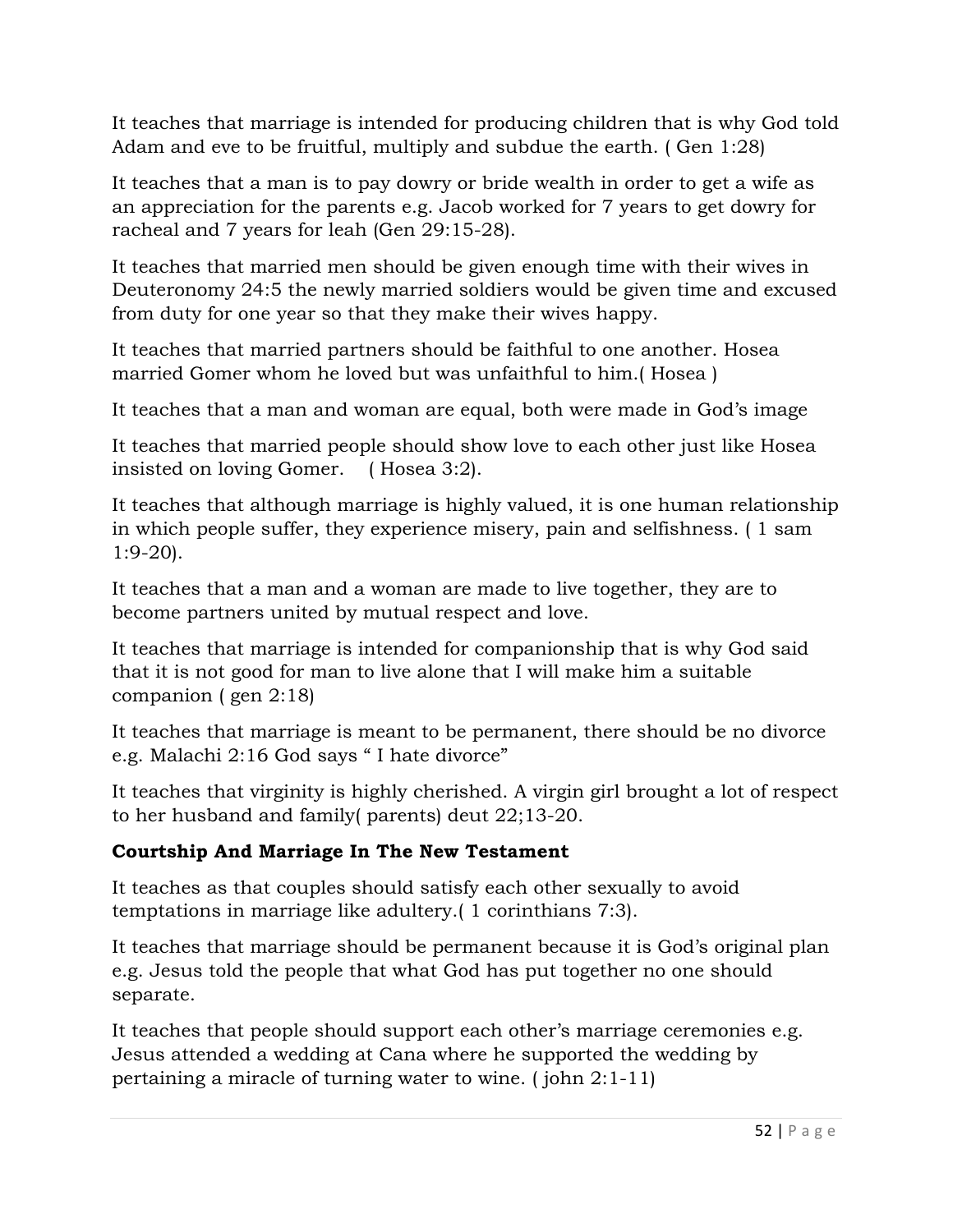It teaches that marriage is intended for producing children that is why God told Adam and eve to be fruitful, multiply and subdue the earth. ( Gen 1:28)

It teaches that a man is to pay dowry or bride wealth in order to get a wife as an appreciation for the parents e.g. Jacob worked for 7 years to get dowry for racheal and 7 years for leah (Gen 29:15-28).

It teaches that married men should be given enough time with their wives in Deuteronomy 24:5 the newly married soldiers would be given time and excused from duty for one year so that they make their wives happy.

It teaches that married partners should be faithful to one another. Hosea married Gomer whom he loved but was unfaithful to him.( Hosea )

It teaches that a man and woman are equal, both were made in God's image

It teaches that married people should show love to each other just like Hosea insisted on loving Gomer. ( Hosea 3:2).

It teaches that although marriage is highly valued, it is one human relationship in which people suffer, they experience misery, pain and selfishness. ( 1 sam 1:9-20).

It teaches that a man and a woman are made to live together, they are to become partners united by mutual respect and love.

It teaches that marriage is intended for companionship that is why God said that it is not good for man to live alone that I will make him a suitable companion ( gen 2:18)

It teaches that marriage is meant to be permanent, there should be no divorce e.g. Malachi 2:16 God says " I hate divorce"

It teaches that virginity is highly cherished. A virgin girl brought a lot of respect to her husband and family( parents) deut 22;13-20.

# **Courtship And Marriage In The New Testament**

It teaches as that couples should satisfy each other sexually to avoid temptations in marriage like adultery.( 1 corinthians 7:3).

It teaches that marriage should be permanent because it is God's original plan e.g. Jesus told the people that what God has put together no one should separate.

It teaches that people should support each other's marriage ceremonies e.g. Jesus attended a wedding at Cana where he supported the wedding by pertaining a miracle of turning water to wine. ( john 2:1-11)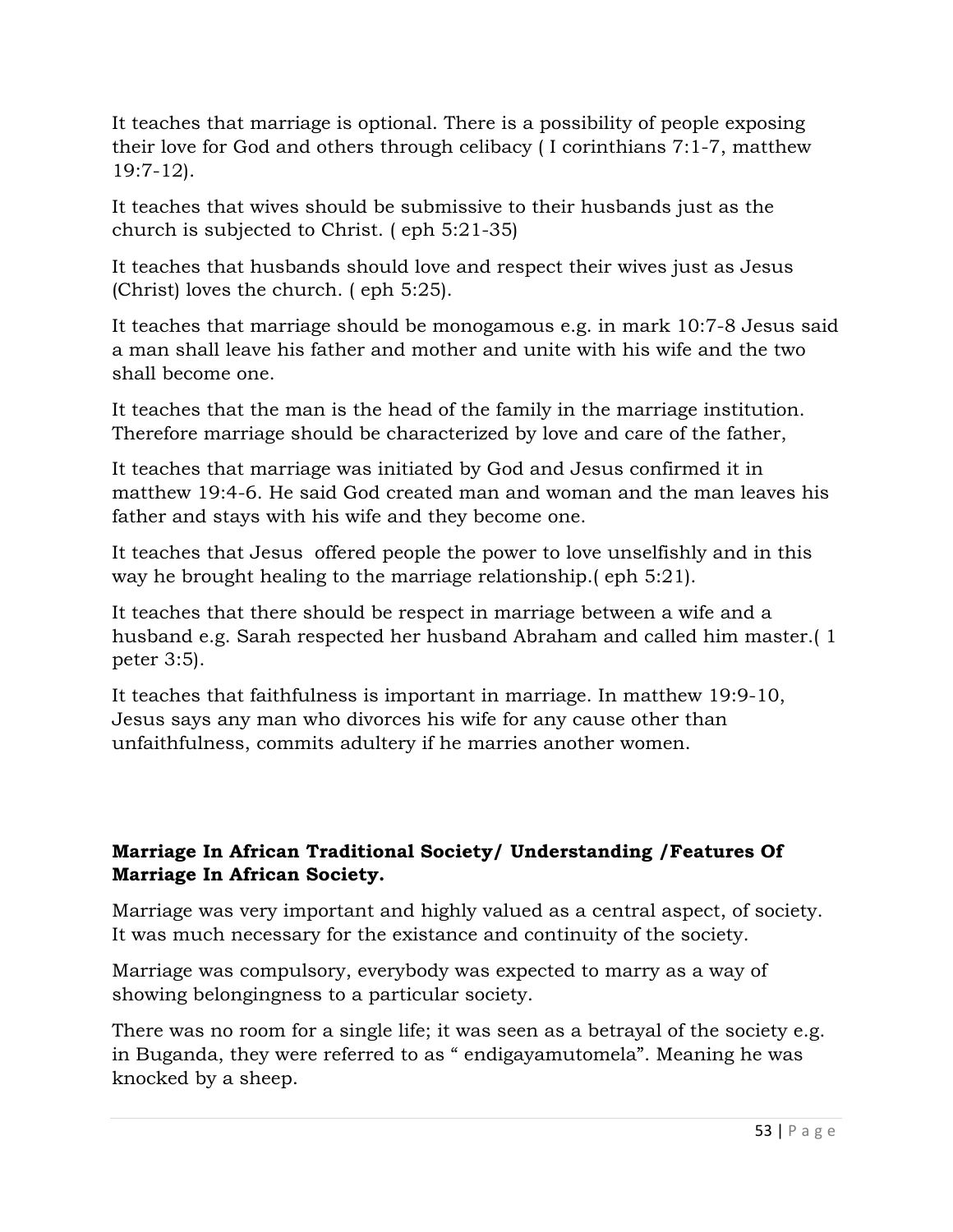It teaches that marriage is optional. There is a possibility of people exposing their love for God and others through celibacy ( I corinthians 7:1-7, matthew 19:7-12).

It teaches that wives should be submissive to their husbands just as the church is subjected to Christ. ( eph 5:21-35)

It teaches that husbands should love and respect their wives just as Jesus (Christ) loves the church. ( eph 5:25).

It teaches that marriage should be monogamous e.g. in mark 10:7-8 Jesus said a man shall leave his father and mother and unite with his wife and the two shall become one.

It teaches that the man is the head of the family in the marriage institution. Therefore marriage should be characterized by love and care of the father,

It teaches that marriage was initiated by God and Jesus confirmed it in matthew 19:4-6. He said God created man and woman and the man leaves his father and stays with his wife and they become one.

It teaches that Jesus offered people the power to love unselfishly and in this way he brought healing to the marriage relationship.( eph 5:21).

It teaches that there should be respect in marriage between a wife and a husband e.g. Sarah respected her husband Abraham and called him master.( 1 peter 3:5).

It teaches that faithfulness is important in marriage. In matthew 19:9-10, Jesus says any man who divorces his wife for any cause other than unfaithfulness, commits adultery if he marries another women.

### **Marriage In African Traditional Society/ Understanding /Features Of Marriage In African Society.**

Marriage was very important and highly valued as a central aspect, of society. It was much necessary for the existance and continuity of the society.

Marriage was compulsory, everybody was expected to marry as a way of showing belongingness to a particular society.

There was no room for a single life; it was seen as a betrayal of the society e.g. in Buganda, they were referred to as " endigayamutomela". Meaning he was knocked by a sheep.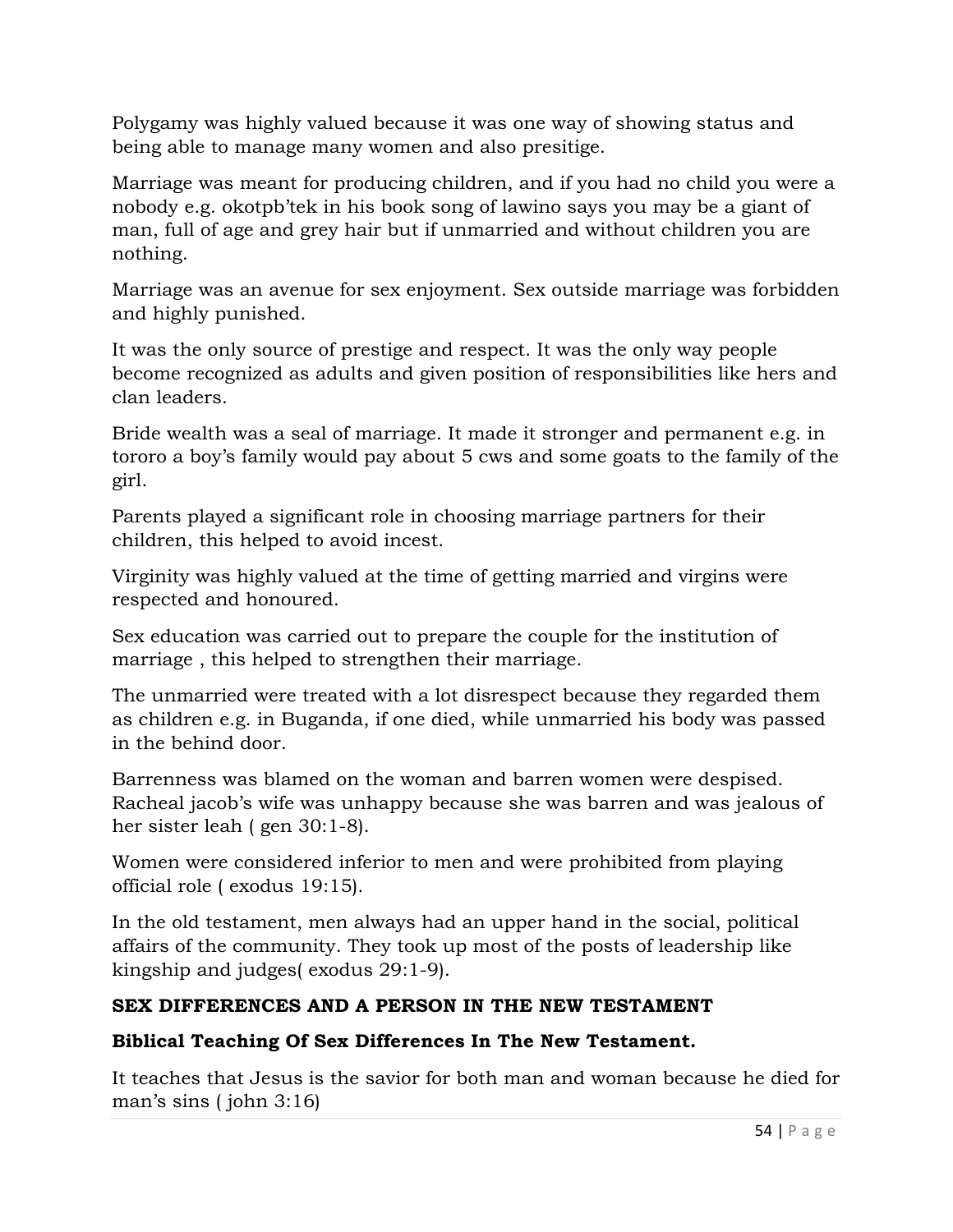Polygamy was highly valued because it was one way of showing status and being able to manage many women and also presitige.

Marriage was meant for producing children, and if you had no child you were a nobody e.g. okotpb'tek in his book song of lawino says you may be a giant of man, full of age and grey hair but if unmarried and without children you are nothing.

Marriage was an avenue for sex enjoyment. Sex outside marriage was forbidden and highly punished.

It was the only source of prestige and respect. It was the only way people become recognized as adults and given position of responsibilities like hers and clan leaders.

Bride wealth was a seal of marriage. It made it stronger and permanent e.g. in tororo a boy's family would pay about 5 cws and some goats to the family of the girl.

Parents played a significant role in choosing marriage partners for their children, this helped to avoid incest.

Virginity was highly valued at the time of getting married and virgins were respected and honoured.

Sex education was carried out to prepare the couple for the institution of marriage , this helped to strengthen their marriage.

The unmarried were treated with a lot disrespect because they regarded them as children e.g. in Buganda, if one died, while unmarried his body was passed in the behind door.

Barrenness was blamed on the woman and barren women were despised. Racheal jacob's wife was unhappy because she was barren and was jealous of her sister leah ( gen 30:1-8).

Women were considered inferior to men and were prohibited from playing official role ( exodus 19:15).

In the old testament, men always had an upper hand in the social, political affairs of the community. They took up most of the posts of leadership like kingship and judges( exodus 29:1-9).

# **SEX DIFFERENCES AND A PERSON IN THE NEW TESTAMENT**

### **Biblical Teaching Of Sex Differences In The New Testament.**

It teaches that Jesus is the savior for both man and woman because he died for man's sins ( john 3:16)